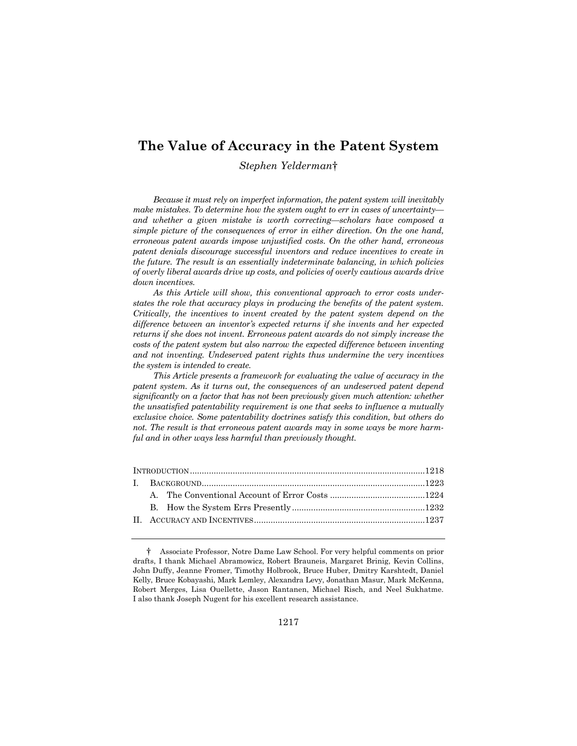# **The Value of Accuracy in the Patent System**

# *Stephen Yelderman*†

*Because it must rely on imperfect information, the patent system will inevitably make mistakes. To determine how the system ought to err in cases of uncertainty and whether a given mistake is worth correcting—scholars have composed a simple picture of the consequences of error in either direction. On the one hand, erroneous patent awards impose unjustified costs. On the other hand, erroneous patent denials discourage successful inventors and reduce incentives to create in the future. The result is an essentially indeterminate balancing, in which policies of overly liberal awards drive up costs, and policies of overly cautious awards drive down incentives.* 

*As this Article will show, this conventional approach to error costs understates the role that accuracy plays in producing the benefits of the patent system. Critically, the incentives to invent created by the patent system depend on the difference between an inventor's expected returns if she invents and her expected returns if she does not invent. Erroneous patent awards do not simply increase the costs of the patent system but also narrow the expected difference between inventing and not inventing. Undeserved patent rights thus undermine the very incentives the system is intended to create.* 

*This Article presents a framework for evaluating the value of accuracy in the patent system. As it turns out, the consequences of an undeserved patent depend significantly on a factor that has not been previously given much attention: whether the unsatisfied patentability requirement is one that seeks to influence a mutually exclusive choice. Some patentability doctrines satisfy this condition, but others do not. The result is that erroneous patent awards may in some ways be more harmful and in other ways less harmful than previously thought.* 

 <sup>†</sup> Associate Professor, Notre Dame Law School. For very helpful comments on prior drafts, I thank Michael Abramowicz, Robert Brauneis, Margaret Brinig, Kevin Collins, John Duffy, Jeanne Fromer, Timothy Holbrook, Bruce Huber, Dmitry Karshtedt, Daniel Kelly, Bruce Kobayashi, Mark Lemley, Alexandra Levy, Jonathan Masur, Mark McKenna, Robert Merges, Lisa Ouellette, Jason Rantanen, Michael Risch, and Neel Sukhatme. I also thank Joseph Nugent for his excellent research assistance.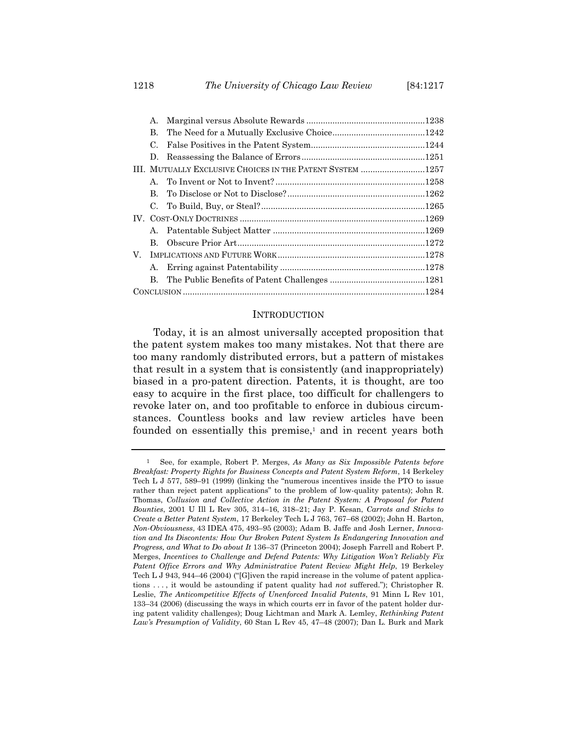1218 *The University of Chicago Law Review* [84:1217

|  | А.          |                                                           |  |
|--|-------------|-----------------------------------------------------------|--|
|  | В.          |                                                           |  |
|  | C.          |                                                           |  |
|  | D.          |                                                           |  |
|  |             | III. MUTUALLY EXCLUSIVE CHOICES IN THE PATENT SYSTEM 1257 |  |
|  |             |                                                           |  |
|  | $\bf{B}$    |                                                           |  |
|  | $C_{\cdot}$ |                                                           |  |
|  |             |                                                           |  |
|  |             |                                                           |  |
|  | B.          |                                                           |  |
|  |             |                                                           |  |
|  | А.          |                                                           |  |
|  | В.          |                                                           |  |
|  |             |                                                           |  |

## **INTRODUCTION**

Today, it is an almost universally accepted proposition that the patent system makes too many mistakes. Not that there are too many randomly distributed errors, but a pattern of mistakes that result in a system that is consistently (and inappropriately) biased in a pro-patent direction. Patents, it is thought, are too easy to acquire in the first place, too difficult for challengers to revoke later on, and too profitable to enforce in dubious circumstances. Countless books and law review articles have been founded on essentially this premise,<sup>1</sup> and in recent years both

<sup>1</sup> See, for example, Robert P. Merges, *As Many as Six Impossible Patents before Breakfast: Property Rights for Business Concepts and Patent System Reform*, 14 Berkeley Tech L J 577, 589–91 (1999) (linking the "numerous incentives inside the PTO to issue rather than reject patent applications" to the problem of low-quality patents); John R. Thomas, *Collusion and Collective Action in the Patent System: A Proposal for Patent Bounties*, 2001 U Ill L Rev 305, 314–16, 318–21; Jay P. Kesan, *Carrots and Sticks to Create a Better Patent System*, 17 Berkeley Tech L J 763, 767–68 (2002); John H. Barton, *Non-Obviousness*, 43 IDEA 475, 493–95 (2003); Adam B. Jaffe and Josh Lerner, *Innovation and Its Discontents: How Our Broken Patent System Is Endangering Innovation and Progress, and What to Do about It* 136–37 (Princeton 2004); Joseph Farrell and Robert P. Merges, *Incentives to Challenge and Defend Patents: Why Litigation Won't Reliably Fix Patent Office Errors and Why Administrative Patent Review Might Help*, 19 Berkeley Tech L J 943, 944–46 (2004) ("[G]iven the rapid increase in the volume of patent applications . . . , it would be astounding if patent quality had *not* suffered."); Christopher R. Leslie, *The Anticompetitive Effects of Unenforced Invalid Patents*, 91 Minn L Rev 101, 133–34 (2006) (discussing the ways in which courts err in favor of the patent holder during patent validity challenges); Doug Lichtman and Mark A. Lemley, *Rethinking Patent Law's Presumption of Validity*, 60 Stan L Rev 45, 47–48 (2007); Dan L. Burk and Mark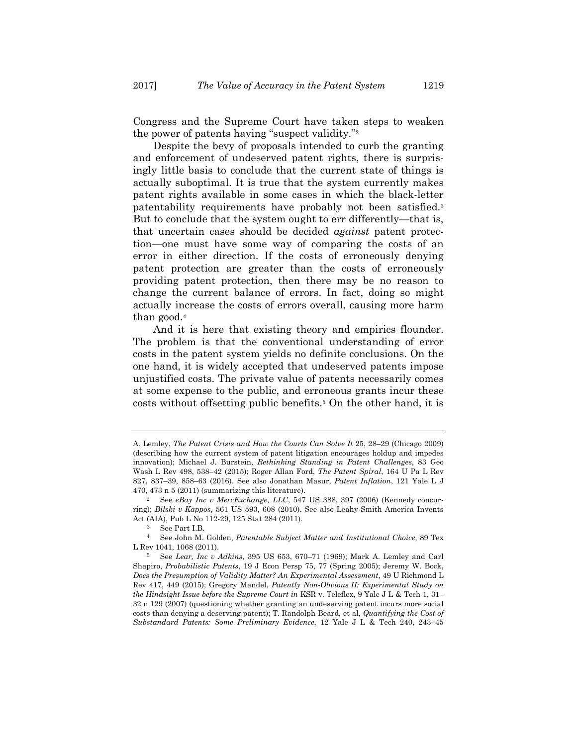Congress and the Supreme Court have taken steps to weaken the power of patents having "suspect validity."2

Despite the bevy of proposals intended to curb the granting and enforcement of undeserved patent rights, there is surprisingly little basis to conclude that the current state of things is actually suboptimal. It is true that the system currently makes patent rights available in some cases in which the black-letter patentability requirements have probably not been satisfied.3 But to conclude that the system ought to err differently—that is, that uncertain cases should be decided *against* patent protection—one must have some way of comparing the costs of an error in either direction. If the costs of erroneously denying patent protection are greater than the costs of erroneously providing patent protection, then there may be no reason to change the current balance of errors. In fact, doing so might actually increase the costs of errors overall, causing more harm than good.4

And it is here that existing theory and empirics flounder. The problem is that the conventional understanding of error costs in the patent system yields no definite conclusions. On the one hand, it is widely accepted that undeserved patents impose unjustified costs. The private value of patents necessarily comes at some expense to the public, and erroneous grants incur these costs without offsetting public benefits.5 On the other hand, it is

A. Lemley, *The Patent Crisis and How the Courts Can Solve It* 25, 28–29 (Chicago 2009) (describing how the current system of patent litigation encourages holdup and impedes innovation); Michael J. Burstein, *Rethinking Standing in Patent Challenges*, 83 Geo Wash L Rev 498, 538–42 (2015); Roger Allan Ford, *The Patent Spiral*, 164 U Pa L Rev 827, 837–39, 858–63 (2016). See also Jonathan Masur, *Patent Inflation*, 121 Yale L J 470, 473 n 5 (2011) (summarizing this literature).

<sup>2</sup> See *eBay Inc v MercExchange, LLC*, 547 US 388, 397 (2006) (Kennedy concurring); *Bilski v Kappos*, 561 US 593, 608 (2010). See also Leahy-Smith America Invents Act (AIA), Pub L No 112-29, 125 Stat 284 (2011).

<sup>3</sup> See Part I.B.

<sup>4</sup> See John M. Golden, *Patentable Subject Matter and Institutional Choice*, 89 Tex L Rev 1041, 1068 (2011).

<sup>5</sup> See *Lear, Inc v Adkins*, 395 US 653, 670–71 (1969); Mark A. Lemley and Carl Shapiro, *Probabilistic Patents*, 19 J Econ Persp 75, 77 (Spring 2005); Jeremy W. Bock, *Does the Presumption of Validity Matter? An Experimental Assessment*, 49 U Richmond L Rev 417, 449 (2015); Gregory Mandel, *Patently Non-Obvious II: Experimental Study on the Hindsight Issue before the Supreme Court in* KSR v. Teleflex, 9 Yale J L & Tech 1, 31– 32 n 129 (2007) (questioning whether granting an undeserving patent incurs more social costs than denying a deserving patent); T. Randolph Beard, et al, *Quantifying the Cost of Substandard Patents: Some Preliminary Evidence*, 12 Yale J L & Tech 240, 243–45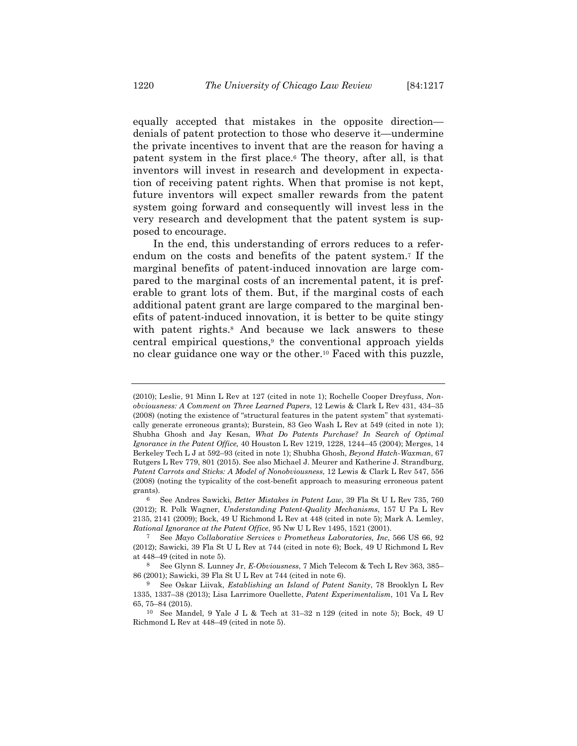equally accepted that mistakes in the opposite direction denials of patent protection to those who deserve it—undermine the private incentives to invent that are the reason for having a patent system in the first place.6 The theory, after all, is that inventors will invest in research and development in expectation of receiving patent rights. When that promise is not kept, future inventors will expect smaller rewards from the patent system going forward and consequently will invest less in the very research and development that the patent system is supposed to encourage.

In the end, this understanding of errors reduces to a referendum on the costs and benefits of the patent system.7 If the marginal benefits of patent-induced innovation are large compared to the marginal costs of an incremental patent, it is preferable to grant lots of them. But, if the marginal costs of each additional patent grant are large compared to the marginal benefits of patent-induced innovation, it is better to be quite stingy with patent rights.<sup>8</sup> And because we lack answers to these central empirical questions,9 the conventional approach yields no clear guidance one way or the other.10 Faced with this puzzle,

<sup>(2010);</sup> Leslie, 91 Minn L Rev at 127 (cited in note 1); Rochelle Cooper Dreyfuss, *Nonobviousness: A Comment on Three Learned Papers*, 12 Lewis & Clark L Rev 431, 434–35 (2008) (noting the existence of "structural features in the patent system" that systematically generate erroneous grants); Burstein, 83 Geo Wash L Rev at 549 (cited in note 1); Shubha Ghosh and Jay Kesan, *What Do Patents Purchase? In Search of Optimal Ignorance in the Patent Office,* 40 Houston L Rev 1219, 1228, 1244–45 (2004); Merges, 14 Berkeley Tech L J at 592–93 (cited in note 1); Shubha Ghosh, *Beyond Hatch-Waxman*, 67 Rutgers L Rev 779, 801 (2015). See also Michael J. Meurer and Katherine J. Strandburg, *Patent Carrots and Sticks: A Model of Nonobviousness*, 12 Lewis & Clark L Rev 547, 556 (2008) (noting the typicality of the cost-benefit approach to measuring erroneous patent grants).

<sup>6</sup> See Andres Sawicki, *Better Mistakes in Patent Law*, 39 Fla St U L Rev 735, 760 (2012); R. Polk Wagner, *Understanding Patent-Quality Mechanisms*, 157 U Pa L Rev 2135, 2141 (2009); Bock, 49 U Richmond L Rev at 448 (cited in note 5); Mark A. Lemley, *Rational Ignorance at the Patent Office*, 95 Nw U L Rev 1495, 1521 (2001).

<sup>7</sup> See *Mayo Collaborative Services v Prometheus Laboratories, Inc*, 566 US 66, 92 (2012); Sawicki, 39 Fla St U L Rev at 744 (cited in note 6); Bock, 49 U Richmond L Rev at 448–49 (cited in note 5).

<sup>8</sup> See Glynn S. Lunney Jr, *E-Obviousness*, 7 Mich Telecom & Tech L Rev 363, 385– 86 (2001); Sawicki, 39 Fla St U L Rev at 744 (cited in note 6).

<sup>9</sup> See Oskar Liivak, *Establishing an Island of Patent Sanity*, 78 Brooklyn L Rev 1335, 1337–38 (2013); Lisa Larrimore Ouellette, *Patent Experimentalism*, 101 Va L Rev 65, 75–84 (2015).

<sup>10</sup> See Mandel, 9 Yale J L & Tech at 31–32 n 129 (cited in note 5); Bock, 49 U Richmond L Rev at 448–49 (cited in note 5).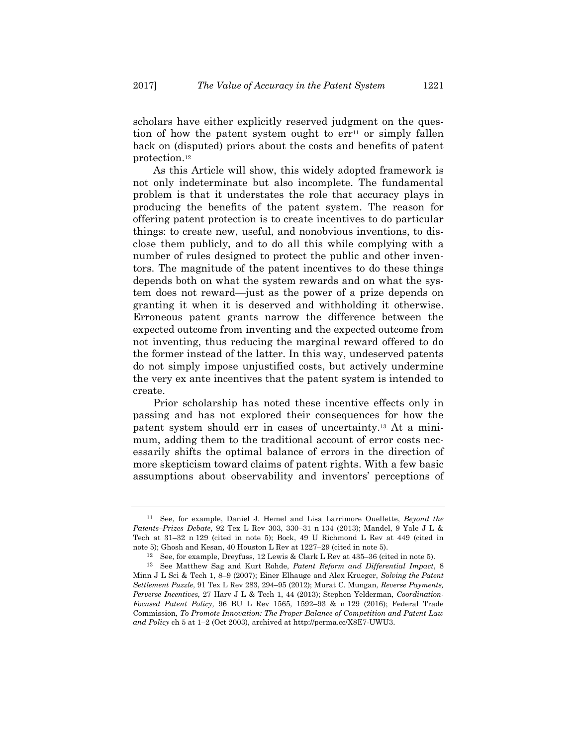scholars have either explicitly reserved judgment on the question of how the patent system ought to  $err<sup>11</sup>$  or simply fallen back on (disputed) priors about the costs and benefits of patent protection.12

As this Article will show, this widely adopted framework is not only indeterminate but also incomplete. The fundamental problem is that it understates the role that accuracy plays in producing the benefits of the patent system. The reason for offering patent protection is to create incentives to do particular things: to create new, useful, and nonobvious inventions, to disclose them publicly, and to do all this while complying with a number of rules designed to protect the public and other inventors. The magnitude of the patent incentives to do these things depends both on what the system rewards and on what the system does not reward—just as the power of a prize depends on granting it when it is deserved and withholding it otherwise. Erroneous patent grants narrow the difference between the expected outcome from inventing and the expected outcome from not inventing, thus reducing the marginal reward offered to do the former instead of the latter. In this way, undeserved patents do not simply impose unjustified costs, but actively undermine the very ex ante incentives that the patent system is intended to create.

Prior scholarship has noted these incentive effects only in passing and has not explored their consequences for how the patent system should err in cases of uncertainty.13 At a minimum, adding them to the traditional account of error costs necessarily shifts the optimal balance of errors in the direction of more skepticism toward claims of patent rights. With a few basic assumptions about observability and inventors' perceptions of

<sup>11</sup> See, for example, Daniel J. Hemel and Lisa Larrimore Ouellette, *Beyond the Patents–Prizes Debate*, 92 Tex L Rev 303, 330–31 n 134 (2013); Mandel, 9 Yale J L & Tech at 31–32 n 129 (cited in note 5); Bock, 49 U Richmond L Rev at 449 (cited in note 5); Ghosh and Kesan, 40 Houston L Rev at 1227–29 (cited in note 5).

<sup>12</sup> See, for example, Dreyfuss, 12 Lewis & Clark L Rev at 435–36 (cited in note 5). 13 See Matthew Sag and Kurt Rohde, *Patent Reform and Differential Impact*, 8 Minn J L Sci & Tech 1, 8–9 (2007); Einer Elhauge and Alex Krueger, *Solving the Patent Settlement Puzzle*, 91 Tex L Rev 283, 294–95 (2012); Murat C. Mungan, *Reverse Payments, Perverse Incentives*, 27 Harv J L & Tech 1, 44 (2013); Stephen Yelderman, *Coordination-Focused Patent Policy*, 96 BU L Rev 1565, 1592–93 & n 129 (2016); Federal Trade Commission, *To Promote Innovation: The Proper Balance of Competition and Patent Law and Policy* ch 5 at 1–2 (Oct 2003), archived at http://perma.cc/X8E7-UWU3.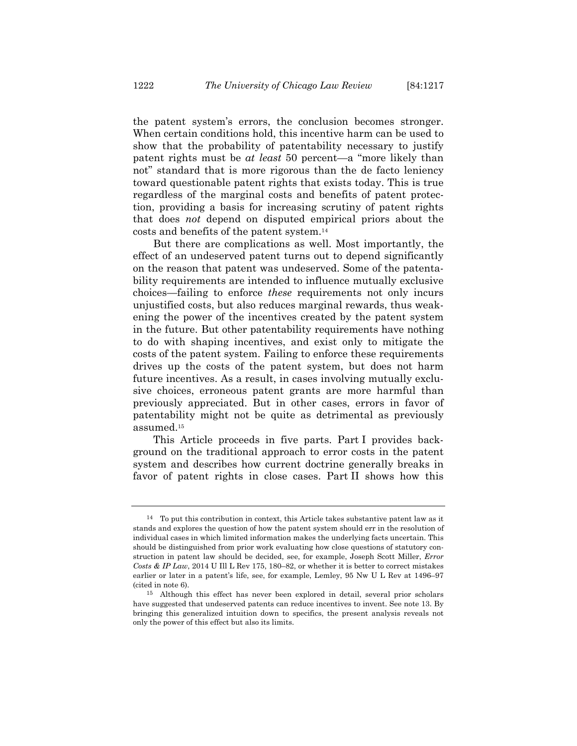the patent system's errors, the conclusion becomes stronger. When certain conditions hold, this incentive harm can be used to show that the probability of patentability necessary to justify patent rights must be *at least* 50 percent—a "more likely than not" standard that is more rigorous than the de facto leniency toward questionable patent rights that exists today. This is true regardless of the marginal costs and benefits of patent protection, providing a basis for increasing scrutiny of patent rights that does *not* depend on disputed empirical priors about the costs and benefits of the patent system.14

But there are complications as well. Most importantly, the effect of an undeserved patent turns out to depend significantly on the reason that patent was undeserved. Some of the patentability requirements are intended to influence mutually exclusive choices—failing to enforce *these* requirements not only incurs unjustified costs, but also reduces marginal rewards, thus weakening the power of the incentives created by the patent system in the future. But other patentability requirements have nothing to do with shaping incentives, and exist only to mitigate the costs of the patent system. Failing to enforce these requirements drives up the costs of the patent system, but does not harm future incentives. As a result, in cases involving mutually exclusive choices, erroneous patent grants are more harmful than previously appreciated. But in other cases, errors in favor of patentability might not be quite as detrimental as previously assumed.15

This Article proceeds in five parts. Part I provides background on the traditional approach to error costs in the patent system and describes how current doctrine generally breaks in favor of patent rights in close cases. Part II shows how this

<sup>14</sup> To put this contribution in context, this Article takes substantive patent law as it stands and explores the question of how the patent system should err in the resolution of individual cases in which limited information makes the underlying facts uncertain. This should be distinguished from prior work evaluating how close questions of statutory construction in patent law should be decided, see, for example, Joseph Scott Miller, *Error Costs & IP Law*, 2014 U Ill L Rev 175, 180–82, or whether it is better to correct mistakes earlier or later in a patent's life, see, for example, Lemley, 95 Nw U L Rev at 1496–97 (cited in note 6).

<sup>15</sup> Although this effect has never been explored in detail, several prior scholars have suggested that undeserved patents can reduce incentives to invent. See note 13. By bringing this generalized intuition down to specifics, the present analysis reveals not only the power of this effect but also its limits.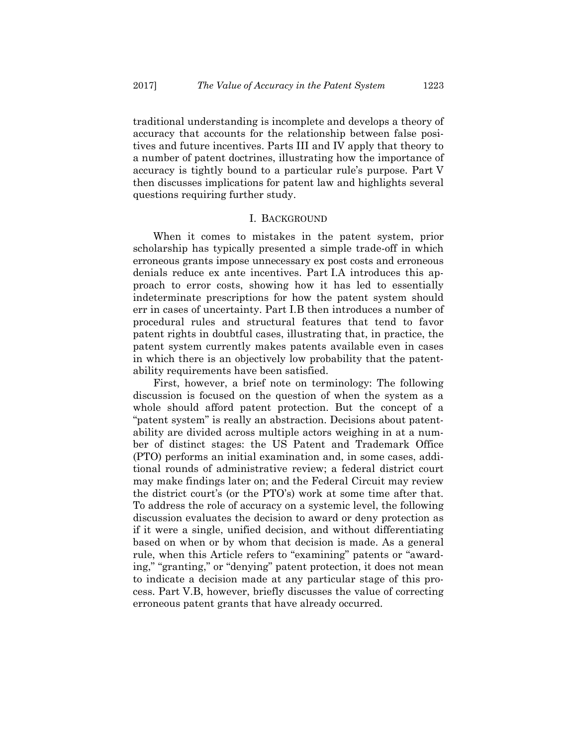traditional understanding is incomplete and develops a theory of accuracy that accounts for the relationship between false positives and future incentives. Parts III and IV apply that theory to a number of patent doctrines, illustrating how the importance of accuracy is tightly bound to a particular rule's purpose. Part V then discusses implications for patent law and highlights several questions requiring further study.

#### I. BACKGROUND

When it comes to mistakes in the patent system, prior scholarship has typically presented a simple trade-off in which erroneous grants impose unnecessary ex post costs and erroneous denials reduce ex ante incentives. Part I.A introduces this approach to error costs, showing how it has led to essentially indeterminate prescriptions for how the patent system should err in cases of uncertainty. Part I.B then introduces a number of procedural rules and structural features that tend to favor patent rights in doubtful cases, illustrating that, in practice, the patent system currently makes patents available even in cases in which there is an objectively low probability that the patentability requirements have been satisfied.

First, however, a brief note on terminology: The following discussion is focused on the question of when the system as a whole should afford patent protection. But the concept of a "patent system" is really an abstraction. Decisions about patentability are divided across multiple actors weighing in at a number of distinct stages: the US Patent and Trademark Office (PTO) performs an initial examination and, in some cases, additional rounds of administrative review; a federal district court may make findings later on; and the Federal Circuit may review the district court's (or the PTO's) work at some time after that. To address the role of accuracy on a systemic level, the following discussion evaluates the decision to award or deny protection as if it were a single, unified decision, and without differentiating based on when or by whom that decision is made. As a general rule, when this Article refers to "examining" patents or "awarding," "granting," or "denying" patent protection, it does not mean to indicate a decision made at any particular stage of this process. Part V.B, however, briefly discusses the value of correcting erroneous patent grants that have already occurred.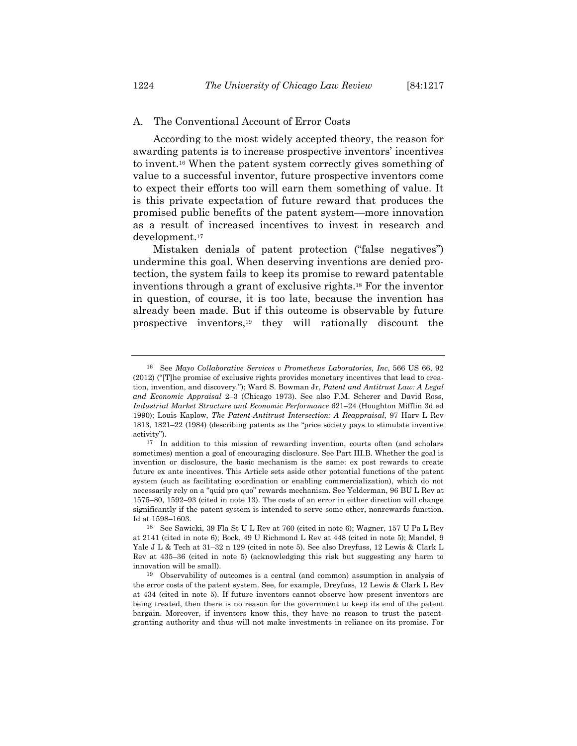According to the most widely accepted theory, the reason for awarding patents is to increase prospective inventors' incentives to invent.16 When the patent system correctly gives something of value to a successful inventor, future prospective inventors come to expect their efforts too will earn them something of value. It is this private expectation of future reward that produces the promised public benefits of the patent system—more innovation as a result of increased incentives to invest in research and development.17

Mistaken denials of patent protection ("false negatives") undermine this goal. When deserving inventions are denied protection, the system fails to keep its promise to reward patentable inventions through a grant of exclusive rights.18 For the inventor in question, of course, it is too late, because the invention has already been made. But if this outcome is observable by future prospective inventors,19 they will rationally discount the

<sup>16</sup> See *Mayo Collaborative Services v Prometheus Laboratories, Inc*, 566 US 66, 92 (2012) ("[T]he promise of exclusive rights provides monetary incentives that lead to creation, invention, and discovery."); Ward S. Bowman Jr, *Patent and Antitrust Law: A Legal and Economic Appraisal* 2–3 (Chicago 1973). See also F.M. Scherer and David Ross, *Industrial Market Structure and Economic Performance* 621–24 (Houghton Mifflin 3d ed 1990); Louis Kaplow, *The Patent-Antitrust Intersection: A Reappraisal*, 97 Harv L Rev 1813, 1821–22 (1984) (describing patents as the "price society pays to stimulate inventive activity").

<sup>17</sup> In addition to this mission of rewarding invention, courts often (and scholars sometimes) mention a goal of encouraging disclosure. See Part III.B. Whether the goal is invention or disclosure, the basic mechanism is the same: ex post rewards to create future ex ante incentives. This Article sets aside other potential functions of the patent system (such as facilitating coordination or enabling commercialization), which do not necessarily rely on a "quid pro quo" rewards mechanism. See Yelderman, 96 BU L Rev at 1575–80, 1592–93 (cited in note 13). The costs of an error in either direction will change significantly if the patent system is intended to serve some other, nonrewards function. Id at 1598–1603.

<sup>18</sup> See Sawicki, 39 Fla St U L Rev at 760 (cited in note 6); Wagner, 157 U Pa L Rev at 2141 (cited in note 6); Bock, 49 U Richmond L Rev at 448 (cited in note 5); Mandel, 9 Yale J L & Tech at 31–32 n 129 (cited in note 5). See also Dreyfuss, 12 Lewis & Clark L Rev at 435–36 (cited in note 5) (acknowledging this risk but suggesting any harm to innovation will be small).

<sup>19</sup> Observability of outcomes is a central (and common) assumption in analysis of the error costs of the patent system. See, for example, Dreyfuss, 12 Lewis & Clark L Rev at 434 (cited in note 5). If future inventors cannot observe how present inventors are being treated, then there is no reason for the government to keep its end of the patent bargain. Moreover, if inventors know this, they have no reason to trust the patentgranting authority and thus will not make investments in reliance on its promise. For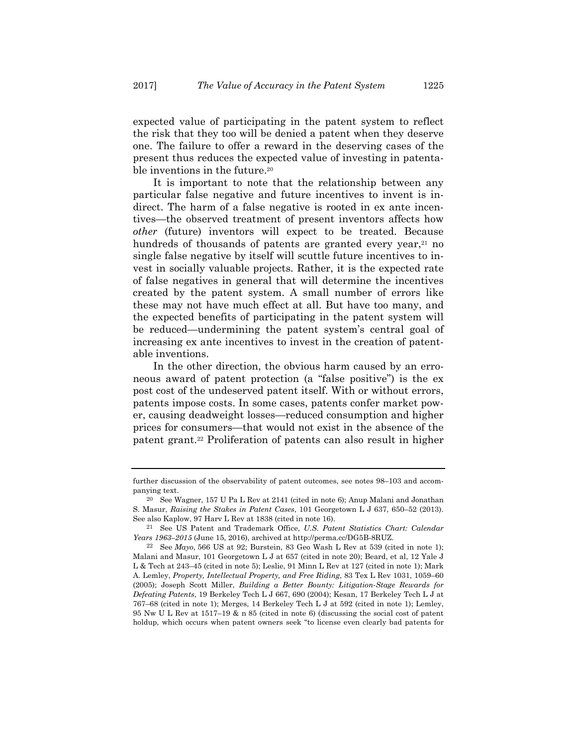expected value of participating in the patent system to reflect the risk that they too will be denied a patent when they deserve one. The failure to offer a reward in the deserving cases of the present thus reduces the expected value of investing in patentable inventions in the future.<sup>20</sup>

It is important to note that the relationship between any particular false negative and future incentives to invent is indirect. The harm of a false negative is rooted in ex ante incentives—the observed treatment of present inventors affects how *other* (future) inventors will expect to be treated. Because hundreds of thousands of patents are granted every year,<sup>21</sup> no single false negative by itself will scuttle future incentives to invest in socially valuable projects. Rather, it is the expected rate of false negatives in general that will determine the incentives created by the patent system. A small number of errors like these may not have much effect at all. But have too many, and the expected benefits of participating in the patent system will be reduced—undermining the patent system's central goal of increasing ex ante incentives to invest in the creation of patentable inventions.

In the other direction, the obvious harm caused by an erroneous award of patent protection (a "false positive") is the ex post cost of the undeserved patent itself. With or without errors, patents impose costs. In some cases, patents confer market power, causing deadweight losses—reduced consumption and higher prices for consumers—that would not exist in the absence of the patent grant.22 Proliferation of patents can also result in higher

further discussion of the observability of patent outcomes, see notes 98–103 and accompanying text.

<sup>20</sup> See Wagner, 157 U Pa L Rev at 2141 (cited in note 6); Anup Malani and Jonathan S. Masur, *Raising the Stakes in Patent Cases*, 101 Georgetown L J 637, 650–52 (2013). See also Kaplow, 97 Harv L Rev at 1838 (cited in note 16).

<sup>21</sup> See US Patent and Trademark Office, *U.S. Patent Statistics Chart: Calendar Years 1963–2015* (June 15, 2016), archived at http://perma.cc/DG5B-8RUZ.

<sup>22</sup> See *Mayo*, 566 US at 92; Burstein, 83 Geo Wash L Rev at 539 (cited in note 1); Malani and Masur, 101 Georgetown L J at 657 (cited in note 20); Beard, et al, 12 Yale J L & Tech at 243–45 (cited in note 5); Leslie, 91 Minn L Rev at 127 (cited in note 1); Mark A. Lemley, *Property, Intellectual Property, and Free Riding*, 83 Tex L Rev 1031, 1059–60 (2005); Joseph Scott Miller, *Building a Better Bounty: Litigation-Stage Rewards for Defeating Patents*, 19 Berkeley Tech L J 667, 690 (2004); Kesan, 17 Berkeley Tech L J at 767–68 (cited in note 1); Merges, 14 Berkeley Tech L J at 592 (cited in note 1); Lemley, 95 Nw U L Rev at 1517–19 & n 85 (cited in note 6) (discussing the social cost of patent holdup, which occurs when patent owners seek "to license even clearly bad patents for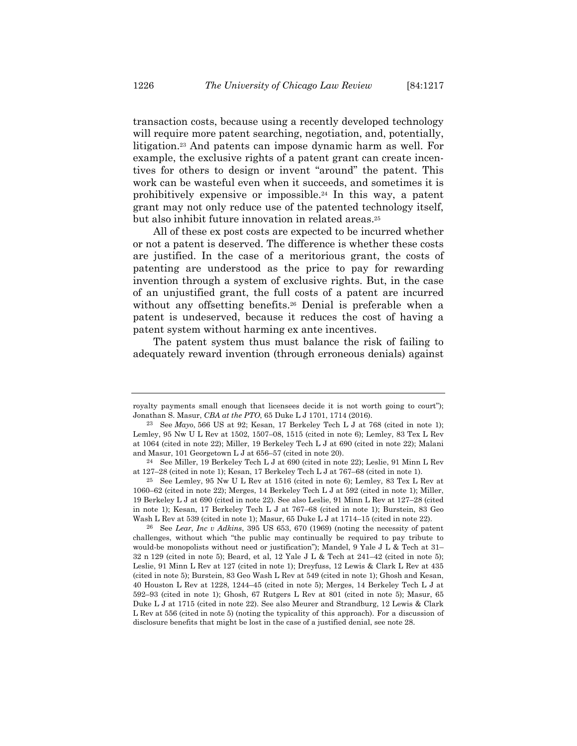transaction costs, because using a recently developed technology will require more patent searching, negotiation, and, potentially, litigation.23 And patents can impose dynamic harm as well. For example, the exclusive rights of a patent grant can create incentives for others to design or invent "around" the patent. This work can be wasteful even when it succeeds, and sometimes it is prohibitively expensive or impossible.24 In this way, a patent grant may not only reduce use of the patented technology itself, but also inhibit future innovation in related areas.<sup>25</sup>

All of these ex post costs are expected to be incurred whether or not a patent is deserved. The difference is whether these costs are justified. In the case of a meritorious grant, the costs of patenting are understood as the price to pay for rewarding invention through a system of exclusive rights. But, in the case of an unjustified grant, the full costs of a patent are incurred without any offsetting benefits.<sup>26</sup> Denial is preferable when a patent is undeserved, because it reduces the cost of having a patent system without harming ex ante incentives.

The patent system thus must balance the risk of failing to adequately reward invention (through erroneous denials) against

26 See *Lear, Inc v Adkins*, 395 US 653, 670 (1969) (noting the necessity of patent challenges, without which "the public may continually be required to pay tribute to would-be monopolists without need or justification"); Mandel, 9 Yale J L & Tech at 31– 32 n 129 (cited in note 5); Beard, et al, 12 Yale J L & Tech at 241–42 (cited in note 5); Leslie, 91 Minn L Rev at 127 (cited in note 1); Dreyfuss, 12 Lewis & Clark L Rev at 435 (cited in note 5); Burstein, 83 Geo Wash L Rev at 549 (cited in note 1); Ghosh and Kesan, 40 Houston L Rev at 1228, 1244–45 (cited in note 5); Merges, 14 Berkeley Tech L J at 592–93 (cited in note 1); Ghosh, 67 Rutgers L Rev at 801 (cited in note 5); Masur, 65 Duke L J at 1715 (cited in note 22). See also Meurer and Strandburg, 12 Lewis & Clark L Rev at 556 (cited in note 5) (noting the typicality of this approach). For a discussion of disclosure benefits that might be lost in the case of a justified denial, see note 28.

royalty payments small enough that licensees decide it is not worth going to court"); Jonathan S. Masur, *CBA at the PTO*, 65 Duke L J 1701, 1714 (2016).

<sup>23</sup> See *Mayo*, 566 US at 92; Kesan, 17 Berkeley Tech L J at 768 (cited in note 1); Lemley, 95 Nw U L Rev at 1502, 1507–08, 1515 (cited in note 6); Lemley, 83 Tex L Rev at 1064 (cited in note 22); Miller, 19 Berkeley Tech L J at 690 (cited in note 22); Malani and Masur, 101 Georgetown L J at 656–57 (cited in note 20).

<sup>24</sup> See Miller, 19 Berkeley Tech L J at 690 (cited in note 22); Leslie, 91 Minn L Rev at 127–28 (cited in note 1); Kesan, 17 Berkeley Tech L J at 767–68 (cited in note 1).

<sup>25</sup> See Lemley, 95 Nw U L Rev at 1516 (cited in note 6); Lemley, 83 Tex L Rev at 1060–62 (cited in note 22); Merges, 14 Berkeley Tech L J at 592 (cited in note 1); Miller, 19 Berkeley L J at 690 (cited in note 22). See also Leslie, 91 Minn L Rev at 127–28 (cited in note 1); Kesan, 17 Berkeley Tech L J at 767–68 (cited in note 1); Burstein, 83 Geo Wash L Rev at 539 (cited in note 1); Masur, 65 Duke L J at 1714–15 (cited in note 22).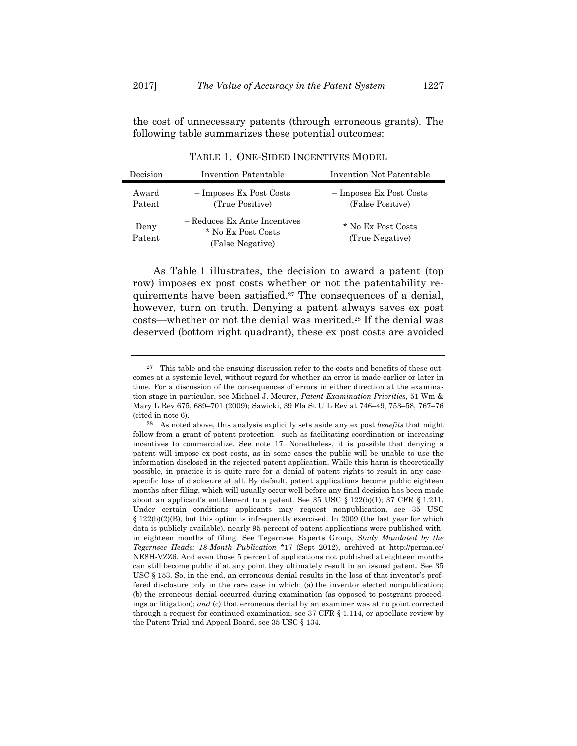the cost of unnecessary patents (through erroneous grants). The following table summarizes these potential outcomes:

| Decision        | Invention Patentable                                                   | Invention Not Patentable                    |
|-----------------|------------------------------------------------------------------------|---------------------------------------------|
| Award<br>Patent | $-$ Imposes Ex Post Costs<br>(True Positive)                           | - Imposes Ex Post Costs<br>(False Positive) |
| Deny<br>Patent  | - Reduces Ex Ante Incentives<br>* No Ex Post Costs<br>(False Negative) | * No Ex Post Costs<br>(True Negative)       |

TABLE 1. ONE-SIDED INCENTIVES MODEL

As Table 1 illustrates, the decision to award a patent (top row) imposes ex post costs whether or not the patentability requirements have been satisfied.27 The consequences of a denial, however, turn on truth. Denying a patent always saves ex post costs—whether or not the denial was merited.28 If the denial was deserved (bottom right quadrant), these ex post costs are avoided

<sup>27</sup> This table and the ensuing discussion refer to the costs and benefits of these outcomes at a systemic level, without regard for whether an error is made earlier or later in time. For a discussion of the consequences of errors in either direction at the examination stage in particular, see Michael J. Meurer, *Patent Examination Priorities*, 51 Wm & Mary L Rev 675, 689–701 (2009); Sawicki, 39 Fla St U L Rev at 746–49, 753–58, 767–76 (cited in note 6).

<sup>28</sup> As noted above, this analysis explicitly sets aside any ex post *benefits* that might follow from a grant of patent protection—such as facilitating coordination or increasing incentives to commercialize. See note 17. Nonetheless, it is possible that denying a patent will impose ex post costs, as in some cases the public will be unable to use the information disclosed in the rejected patent application. While this harm is theoretically possible, in practice it is quite rare for a denial of patent rights to result in any casespecific loss of disclosure at all. By default, patent applications become public eighteen months after filing, which will usually occur well before any final decision has been made about an applicant's entitlement to a patent. See 35 USC  $\S 122(b)(1)$ ; 37 CFR  $\S 1.211$ . Under certain conditions applicants may request nonpublication, see 35 USC § 122(b)(2)(B), but this option is infrequently exercised. In 2009 (the last year for which data is publicly available), nearly 95 percent of patent applications were published within eighteen months of filing. See Tegernsee Experts Group, *Study Mandated by the Tegernsee Heads: 18-Month Publication* \*17 (Sept 2012), archived at http://perma.cc/ NE8H-VZZ6. And even those 5 percent of applications not published at eighteen months can still become public if at any point they ultimately result in an issued patent. See 35 USC § 153. So, in the end, an erroneous denial results in the loss of that inventor's proffered disclosure only in the rare case in which: (a) the inventor elected nonpublication; (b) the erroneous denial occurred during examination (as opposed to postgrant proceedings or litigation); *and* (c) that erroneous denial by an examiner was at no point corrected through a request for continued examination, see 37 CFR § 1.114, or appellate review by the Patent Trial and Appeal Board, see 35 USC § 134.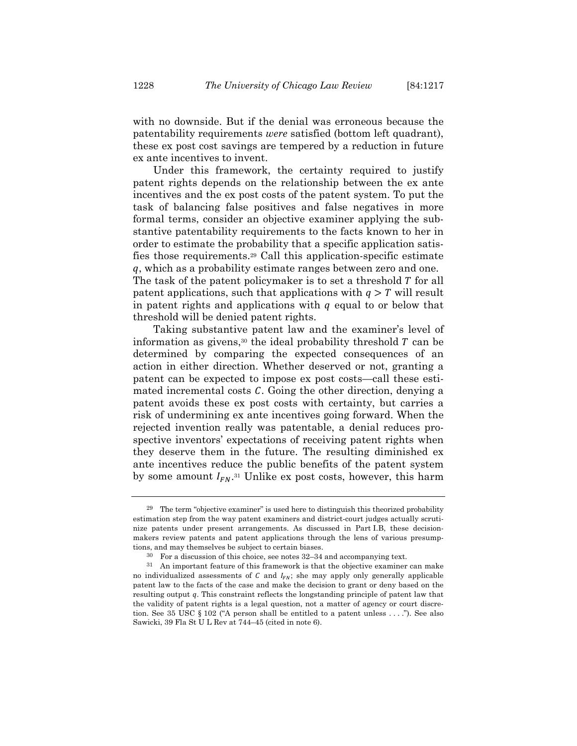with no downside. But if the denial was erroneous because the patentability requirements *were* satisfied (bottom left quadrant), these ex post cost savings are tempered by a reduction in future ex ante incentives to invent.

Under this framework, the certainty required to justify patent rights depends on the relationship between the ex ante incentives and the ex post costs of the patent system. To put the task of balancing false positives and false negatives in more formal terms, consider an objective examiner applying the substantive patentability requirements to the facts known to her in order to estimate the probability that a specific application satisfies those requirements.29 Call this application-specific estimate q, which as a probability estimate ranges between zero and one. The task of the patent policymaker is to set a threshold  $T$  for all patent applications, such that applications with  $q > T$  will result in patent rights and applications with  $q$  equal to or below that threshold will be denied patent rights.

Taking substantive patent law and the examiner's level of information as givens,<sup>30</sup> the ideal probability threshold  $T$  can be determined by comparing the expected consequences of an action in either direction. Whether deserved or not, granting a patent can be expected to impose ex post costs—call these estimated incremental costs  $C$ . Going the other direction, denying a patent avoids these ex post costs with certainty, but carries a risk of undermining ex ante incentives going forward. When the rejected invention really was patentable, a denial reduces prospective inventors' expectations of receiving patent rights when they deserve them in the future. The resulting diminished ex ante incentives reduce the public benefits of the patent system by some amount  $I_{FN}$ .<sup>31</sup> Unlike ex post costs, however, this harm

 $29$  The term "objective examiner" is used here to distinguish this theorized probability estimation step from the way patent examiners and district-court judges actually scrutinize patents under present arrangements. As discussed in Part I.B, these decisionmakers review patents and patent applications through the lens of various presumptions, and may themselves be subject to certain biases.

<sup>&</sup>lt;sup>30</sup> For a discussion of this choice, see notes  $32-34$  and accompanying text.<br><sup>31</sup> An important feature of this framework is that the objective examiner can make no individualized assessments of  $C$  and  $I_{FN}$ ; she may apply only generally applicable patent law to the facts of the case and make the decision to grant or deny based on the resulting output  $q$ . This constraint reflects the longstanding principle of patent law that the validity of patent rights is a legal question, not a matter of agency or court discretion. See 35 USC § 102 ("A person shall be entitled to a patent unless . . . ."). See also Sawicki, 39 Fla St U L Rev at 744–45 (cited in note 6).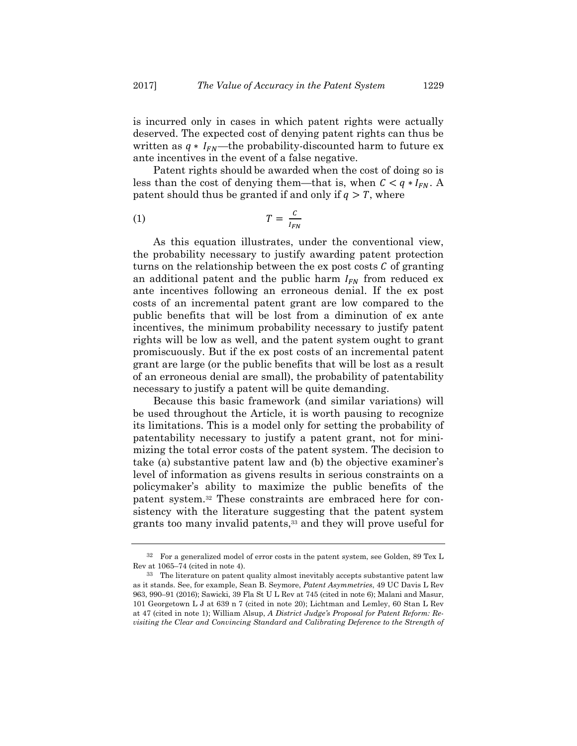is incurred only in cases in which patent rights were actually deserved. The expected cost of denying patent rights can thus be written as  $q * I_{FN}$ —the probability-discounted harm to future ex ante incentives in the event of a false negative.

Patent rights should be awarded when the cost of doing so is less than the cost of denying them—that is, when  $C < q * I_{FN}$ . A patent should thus be granted if and only if  $q > T$ , where

$$
(1) \t\t T = \frac{c}{I_{FN}}
$$

As this equation illustrates, under the conventional view, the probability necessary to justify awarding patent protection turns on the relationship between the ex post costs  $\mathcal C$  of granting an additional patent and the public harm  $I_{FN}$  from reduced ex ante incentives following an erroneous denial. If the ex post costs of an incremental patent grant are low compared to the public benefits that will be lost from a diminution of ex ante incentives, the minimum probability necessary to justify patent rights will be low as well, and the patent system ought to grant promiscuously. But if the ex post costs of an incremental patent grant are large (or the public benefits that will be lost as a result of an erroneous denial are small), the probability of patentability necessary to justify a patent will be quite demanding.

Because this basic framework (and similar variations) will be used throughout the Article, it is worth pausing to recognize its limitations. This is a model only for setting the probability of patentability necessary to justify a patent grant, not for minimizing the total error costs of the patent system. The decision to take (a) substantive patent law and (b) the objective examiner's level of information as givens results in serious constraints on a policymaker's ability to maximize the public benefits of the patent system.32 These constraints are embraced here for consistency with the literature suggesting that the patent system grants too many invalid patents,33 and they will prove useful for

<sup>32</sup> For a generalized model of error costs in the patent system, see Golden, 89 Tex L Rev at 1065–74 (cited in note 4).

<sup>33</sup> The literature on patent quality almost inevitably accepts substantive patent law as it stands. See, for example, Sean B. Seymore, *Patent Asymmetries*, 49 UC Davis L Rev 963, 990–91 (2016); Sawicki, 39 Fla St U L Rev at 745 (cited in note 6); Malani and Masur, 101 Georgetown L J at 639 n 7 (cited in note 20); Lichtman and Lemley, 60 Stan L Rev at 47 (cited in note 1); William Alsup, *A District Judge's Proposal for Patent Reform: Revisiting the Clear and Convincing Standard and Calibrating Deference to the Strength of*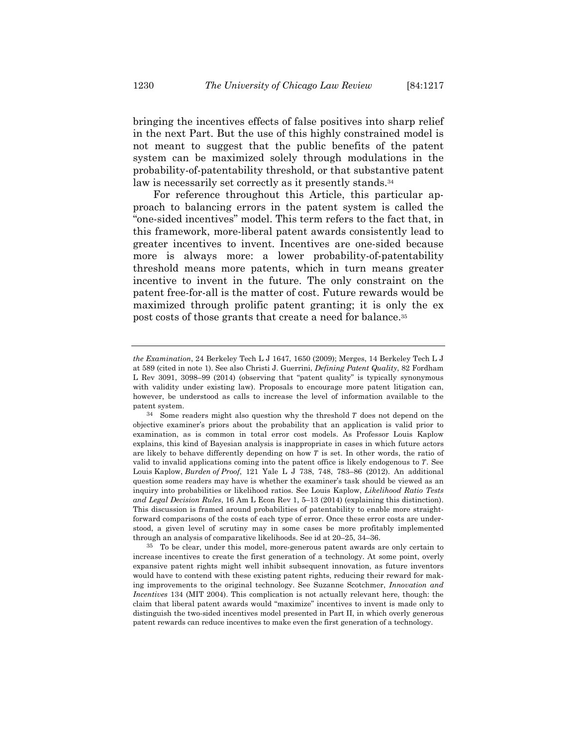bringing the incentives effects of false positives into sharp relief in the next Part. But the use of this highly constrained model is not meant to suggest that the public benefits of the patent system can be maximized solely through modulations in the probability-of-patentability threshold, or that substantive patent law is necessarily set correctly as it presently stands.<sup>34</sup>

For reference throughout this Article, this particular approach to balancing errors in the patent system is called the "one-sided incentives" model. This term refers to the fact that, in this framework, more-liberal patent awards consistently lead to greater incentives to invent. Incentives are one-sided because more is always more: a lower probability-of-patentability threshold means more patents, which in turn means greater incentive to invent in the future. The only constraint on the patent free-for-all is the matter of cost. Future rewards would be maximized through prolific patent granting; it is only the ex post costs of those grants that create a need for balance.35

35 To be clear, under this model, more-generous patent awards are only certain to increase incentives to create the first generation of a technology. At some point, overly expansive patent rights might well inhibit subsequent innovation, as future inventors would have to contend with these existing patent rights, reducing their reward for making improvements to the original technology. See Suzanne Scotchmer, *Innovation and Incentives* 134 (MIT 2004). This complication is not actually relevant here, though: the claim that liberal patent awards would "maximize" incentives to invent is made only to distinguish the two-sided incentives model presented in Part II, in which overly generous patent rewards can reduce incentives to make even the first generation of a technology.

*the Examination*, 24 Berkeley Tech L J 1647, 1650 (2009); Merges, 14 Berkeley Tech L J at 589 (cited in note 1). See also Christi J. Guerrini, *Defining Patent Quality*, 82 Fordham L Rev 3091, 3098–99 (2014) (observing that "patent quality" is typically synonymous with validity under existing law). Proposals to encourage more patent litigation can, however, be understood as calls to increase the level of information available to the patent system.

 $34$  Some readers might also question why the threshold T does not depend on the objective examiner's priors about the probability that an application is valid prior to examination, as is common in total error cost models. As Professor Louis Kaplow explains, this kind of Bayesian analysis is inappropriate in cases in which future actors are likely to behave differently depending on how  $T$  is set. In other words, the ratio of valid to invalid applications coming into the patent office is likely endogenous to  $T$ . See Louis Kaplow, *Burden of Proof*, 121 Yale L J 738, 748, 783–86 (2012). An additional question some readers may have is whether the examiner's task should be viewed as an inquiry into probabilities or likelihood ratios. See Louis Kaplow, *Likelihood Ratio Tests and Legal Decision Rules*, 16 Am L Econ Rev 1, 5–13 (2014) (explaining this distinction). This discussion is framed around probabilities of patentability to enable more straightforward comparisons of the costs of each type of error. Once these error costs are understood, a given level of scrutiny may in some cases be more profitably implemented through an analysis of comparative likelihoods. See id at 20–25, 34–36.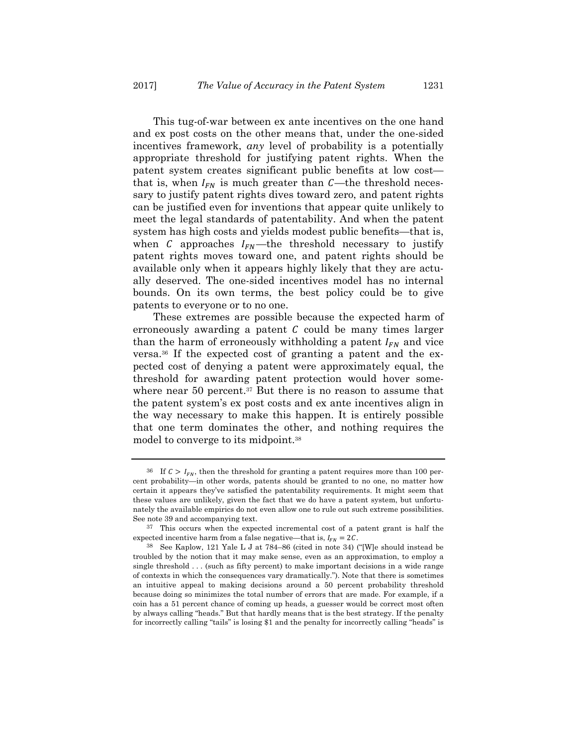This tug-of-war between ex ante incentives on the one hand and ex post costs on the other means that, under the one-sided incentives framework, *any* level of probability is a potentially appropriate threshold for justifying patent rights. When the patent system creates significant public benefits at low cost that is, when  $I_{FN}$  is much greater than  $C$ —the threshold necessary to justify patent rights dives toward zero, and patent rights can be justified even for inventions that appear quite unlikely to meet the legal standards of patentability. And when the patent system has high costs and yields modest public benefits—that is, when C approaches  $I_{FN}$ —the threshold necessary to justify patent rights moves toward one, and patent rights should be available only when it appears highly likely that they are actually deserved. The one-sided incentives model has no internal bounds. On its own terms, the best policy could be to give patents to everyone or to no one.

These extremes are possible because the expected harm of erroneously awarding a patent  $C$  could be many times larger than the harm of erroneously withholding a patent  $I_{FN}$  and vice versa.36 If the expected cost of granting a patent and the expected cost of denying a patent were approximately equal, the threshold for awarding patent protection would hover somewhere near 50 percent.<sup>37</sup> But there is no reason to assume that the patent system's ex post costs and ex ante incentives align in the way necessary to make this happen. It is entirely possible that one term dominates the other, and nothing requires the model to converge to its midpoint.38

<sup>&</sup>lt;sup>36</sup> If  $C > I_{FN}$ , then the threshold for granting a patent requires more than 100 percent probability—in other words, patents should be granted to no one, no matter how certain it appears they've satisfied the patentability requirements. It might seem that these values are unlikely, given the fact that we do have a patent system, but unfortunately the available empirics do not even allow one to rule out such extreme possibilities. See note 39 and accompanying text.

<sup>37</sup> This occurs when the expected incremental cost of a patent grant is half the expected incentive harm from a false negative—that is,  $I_{FN} = 2C$ .

<sup>38</sup> See Kaplow, 121 Yale L J at 784–86 (cited in note 34) ("[W]e should instead be troubled by the notion that it may make sense, even as an approximation, to employ a single threshold . . . (such as fifty percent) to make important decisions in a wide range of contexts in which the consequences vary dramatically."). Note that there is sometimes an intuitive appeal to making decisions around a 50 percent probability threshold because doing so minimizes the total number of errors that are made. For example, if a coin has a 51 percent chance of coming up heads, a guesser would be correct most often by always calling "heads." But that hardly means that is the best strategy. If the penalty for incorrectly calling "tails" is losing \$1 and the penalty for incorrectly calling "heads" is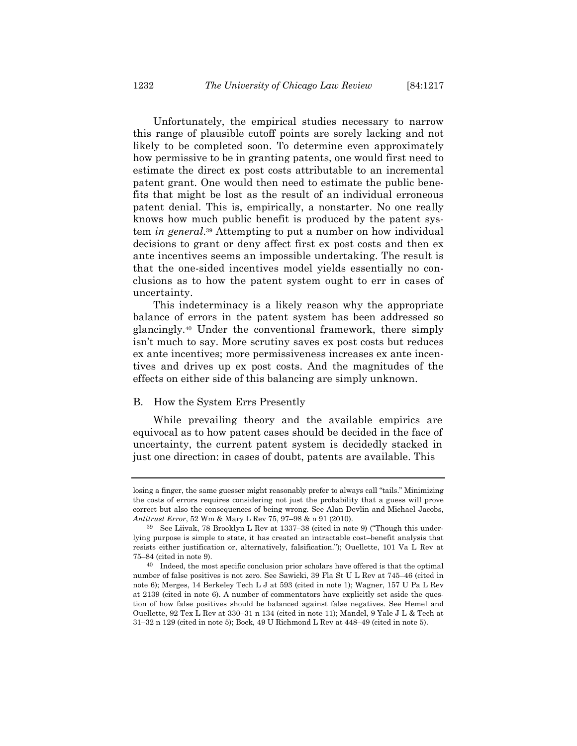Unfortunately, the empirical studies necessary to narrow this range of plausible cutoff points are sorely lacking and not likely to be completed soon. To determine even approximately how permissive to be in granting patents, one would first need to estimate the direct ex post costs attributable to an incremental patent grant. One would then need to estimate the public benefits that might be lost as the result of an individual erroneous patent denial. This is, empirically, a nonstarter. No one really knows how much public benefit is produced by the patent system *in general*.39 Attempting to put a number on how individual decisions to grant or deny affect first ex post costs and then ex ante incentives seems an impossible undertaking. The result is that the one-sided incentives model yields essentially no conclusions as to how the patent system ought to err in cases of uncertainty.

This indeterminacy is a likely reason why the appropriate balance of errors in the patent system has been addressed so glancingly.40 Under the conventional framework, there simply isn't much to say. More scrutiny saves ex post costs but reduces ex ante incentives; more permissiveness increases ex ante incentives and drives up ex post costs. And the magnitudes of the effects on either side of this balancing are simply unknown.

#### B. How the System Errs Presently

While prevailing theory and the available empirics are equivocal as to how patent cases should be decided in the face of uncertainty, the current patent system is decidedly stacked in just one direction: in cases of doubt, patents are available. This

losing a finger, the same guesser might reasonably prefer to always call "tails." Minimizing the costs of errors requires considering not just the probability that a guess will prove correct but also the consequences of being wrong. See Alan Devlin and Michael Jacobs, *Antitrust Error*, 52 Wm & Mary L Rev 75, 97–98 & n 91 (2010).

<sup>39</sup> See Liivak, 78 Brooklyn L Rev at 1337–38 (cited in note 9) ("Though this underlying purpose is simple to state, it has created an intractable cost–benefit analysis that resists either justification or, alternatively, falsification."); Ouellette, 101 Va L Rev at 75–84 (cited in note 9).

<sup>40</sup> Indeed, the most specific conclusion prior scholars have offered is that the optimal number of false positives is not zero. See Sawicki, 39 Fla St U L Rev at 745–46 (cited in note 6); Merges, 14 Berkeley Tech L J at 593 (cited in note 1); Wagner, 157 U Pa L Rev at 2139 (cited in note 6). A number of commentators have explicitly set aside the question of how false positives should be balanced against false negatives. See Hemel and Ouellette, 92 Tex L Rev at 330–31 n 134 (cited in note 11); Mandel, 9 Yale J L & Tech at 31–32 n 129 (cited in note 5); Bock, 49 U Richmond L Rev at 448–49 (cited in note 5).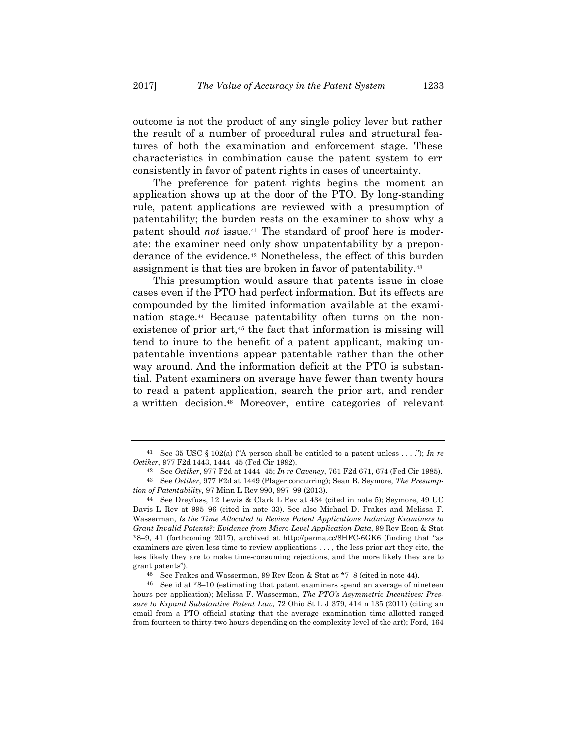outcome is not the product of any single policy lever but rather the result of a number of procedural rules and structural features of both the examination and enforcement stage. These characteristics in combination cause the patent system to err consistently in favor of patent rights in cases of uncertainty.

The preference for patent rights begins the moment an application shows up at the door of the PTO. By long-standing rule, patent applications are reviewed with a presumption of patentability; the burden rests on the examiner to show why a patent should *not* issue.41 The standard of proof here is moderate: the examiner need only show unpatentability by a preponderance of the evidence.42 Nonetheless, the effect of this burden assignment is that ties are broken in favor of patentability.43

This presumption would assure that patents issue in close cases even if the PTO had perfect information. But its effects are compounded by the limited information available at the examination stage.44 Because patentability often turns on the nonexistence of prior art,<sup>45</sup> the fact that information is missing will tend to inure to the benefit of a patent applicant, making unpatentable inventions appear patentable rather than the other way around. And the information deficit at the PTO is substantial. Patent examiners on average have fewer than twenty hours to read a patent application, search the prior art, and render a written decision.46 Moreover, entire categories of relevant

<sup>&</sup>lt;sup>41</sup> See 35 USC § 102(a) ("A person shall be entitled to a patent unless . . . ."); *In re Oetiker*, 977 F2d 1443, 1444–45 (Fed Cir 1992).

<sup>42</sup> See *Oetiker*, 977 F2d at 1444–45; *In re Caveney*, 761 F2d 671, 674 (Fed Cir 1985). 43 See *Oetiker*, 977 F2d at 1449 (Plager concurring); Sean B. Seymore, *The Presump-*

*tion of Patentability*, 97 Minn L Rev 990, 997–99 (2013). 44 See Dreyfuss, 12 Lewis & Clark L Rev at 434 (cited in note 5); Seymore, 49 UC

Davis L Rev at 995–96 (cited in note 33). See also Michael D. Frakes and Melissa F. Wasserman, *Is the Time Allocated to Review Patent Applications Inducing Examiners to Grant Invalid Patents?: Evidence from Micro-Level Application Data*, 99 Rev Econ & Stat \*8–9, 41 (forthcoming 2017), archived at http://perma.cc/8HFC-6GK6 (finding that "as examiners are given less time to review applications . . . , the less prior art they cite, the less likely they are to make time-consuming rejections, and the more likely they are to grant patents").

<sup>45</sup> See Frakes and Wasserman, 99 Rev Econ & Stat at \*7–8 (cited in note 44).

<sup>46</sup> See id at \*8–10 (estimating that patent examiners spend an average of nineteen hours per application); Melissa F. Wasserman, *The PTO's Asymmetric Incentives: Pressure to Expand Substantive Patent Law,* 72 Ohio St L J 379, 414 n 135 (2011) (citing an email from a PTO official stating that the average examination time allotted ranged from fourteen to thirty-two hours depending on the complexity level of the art); Ford, 164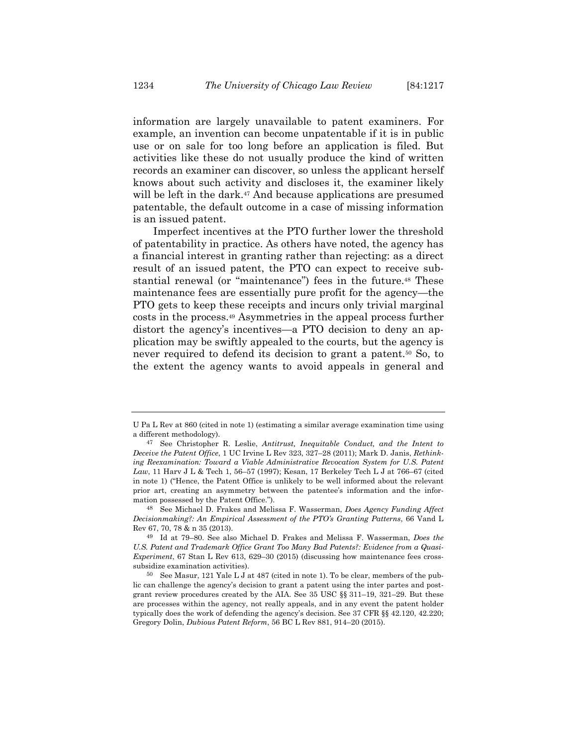information are largely unavailable to patent examiners. For example, an invention can become unpatentable if it is in public use or on sale for too long before an application is filed. But activities like these do not usually produce the kind of written records an examiner can discover, so unless the applicant herself knows about such activity and discloses it, the examiner likely will be left in the dark.<sup>47</sup> And because applications are presumed patentable, the default outcome in a case of missing information is an issued patent.

Imperfect incentives at the PTO further lower the threshold of patentability in practice. As others have noted, the agency has a financial interest in granting rather than rejecting: as a direct result of an issued patent, the PTO can expect to receive substantial renewal (or "maintenance") fees in the future.48 These maintenance fees are essentially pure profit for the agency—the PTO gets to keep these receipts and incurs only trivial marginal costs in the process.49 Asymmetries in the appeal process further distort the agency's incentives—a PTO decision to deny an application may be swiftly appealed to the courts, but the agency is never required to defend its decision to grant a patent.<sup>50</sup> So, to the extent the agency wants to avoid appeals in general and

U Pa L Rev at 860 (cited in note 1) (estimating a similar average examination time using a different methodology).

<sup>47</sup> See Christopher R. Leslie, *Antitrust, Inequitable Conduct, and the Intent to Deceive the Patent Office*, 1 UC Irvine L Rev 323, 327–28 (2011); Mark D. Janis, *Rethinking Reexamination: Toward a Viable Administrative Revocation System for U.S. Patent Law*, 11 Harv J L & Tech 1, 56–57 (1997); Kesan, 17 Berkeley Tech L J at 766–67 (cited in note 1) ("Hence, the Patent Office is unlikely to be well informed about the relevant prior art, creating an asymmetry between the patentee's information and the information possessed by the Patent Office.").

<sup>48</sup> See Michael D. Frakes and Melissa F. Wasserman, *Does Agency Funding Affect Decisionmaking?: An Empirical Assessment of the PTO's Granting Patterns*, 66 Vand L Rev 67, 70, 78 & n 35 (2013).

<sup>49</sup> Id at 79–80. See also Michael D. Frakes and Melissa F. Wasserman, *Does the U.S. Patent and Trademark Office Grant Too Many Bad Patents?: Evidence from a Quasi-Experiment*, 67 Stan L Rev 613, 629–30 (2015) (discussing how maintenance fees crosssubsidize examination activities).

<sup>50</sup> See Masur, 121 Yale L J at 487 (cited in note 1). To be clear, members of the public can challenge the agency's decision to grant a patent using the inter partes and postgrant review procedures created by the AIA. See 35 USC §§ 311–19, 321–29. But these are processes within the agency, not really appeals, and in any event the patent holder typically does the work of defending the agency's decision. See 37 CFR §§ 42.120, 42.220; Gregory Dolin, *Dubious Patent Reform*, 56 BC L Rev 881, 914–20 (2015).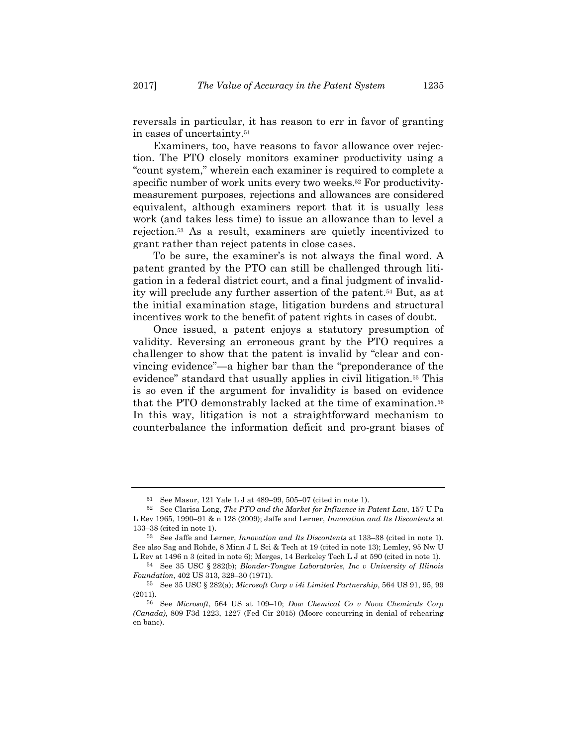reversals in particular, it has reason to err in favor of granting in cases of uncertainty.51

Examiners, too, have reasons to favor allowance over rejection. The PTO closely monitors examiner productivity using a "count system," wherein each examiner is required to complete a specific number of work units every two weeks.<sup>52</sup> For productivitymeasurement purposes, rejections and allowances are considered equivalent, although examiners report that it is usually less work (and takes less time) to issue an allowance than to level a rejection.53 As a result, examiners are quietly incentivized to grant rather than reject patents in close cases.

To be sure, the examiner's is not always the final word. A patent granted by the PTO can still be challenged through litigation in a federal district court, and a final judgment of invalidity will preclude any further assertion of the patent.54 But, as at the initial examination stage, litigation burdens and structural incentives work to the benefit of patent rights in cases of doubt.

Once issued, a patent enjoys a statutory presumption of validity. Reversing an erroneous grant by the PTO requires a challenger to show that the patent is invalid by "clear and convincing evidence"—a higher bar than the "preponderance of the evidence" standard that usually applies in civil litigation.<sup>55</sup> This is so even if the argument for invalidity is based on evidence that the PTO demonstrably lacked at the time of examination.56 In this way, litigation is not a straightforward mechanism to counterbalance the information deficit and pro-grant biases of

<sup>51</sup> See Masur, 121 Yale L J at 489–99, 505–07 (cited in note 1).

<sup>52</sup> See Clarisa Long, *The PTO and the Market for Influence in Patent Law*, 157 U Pa L Rev 1965, 1990–91 & n 128 (2009); Jaffe and Lerner, *Innovation and Its Discontents* at 133–38 (cited in note 1).

<sup>53</sup> See Jaffe and Lerner, *Innovation and Its Discontents* at 133–38 (cited in note 1). See also Sag and Rohde, 8 Minn J L Sci & Tech at 19 (cited in note 13); Lemley, 95 Nw U L Rev at 1496 n 3 (cited in note 6); Merges, 14 Berkeley Tech L J at 590 (cited in note 1).

<sup>54</sup> See 35 USC § 282(b); *Blonder-Tongue Laboratories, Inc v University of Illinois Foundation*, 402 US 313, 329–30 (1971).

<sup>55</sup> See 35 USC § 282(a); *Microsoft Corp v i4i Limited Partnership*, 564 US 91, 95, 99 (2011).

<sup>56</sup> See *Microsoft*, 564 US at 109–10; *Dow Chemical Co v Nova Chemicals Corp (Canada)*, 809 F3d 1223, 1227 (Fed Cir 2015) (Moore concurring in denial of rehearing en banc).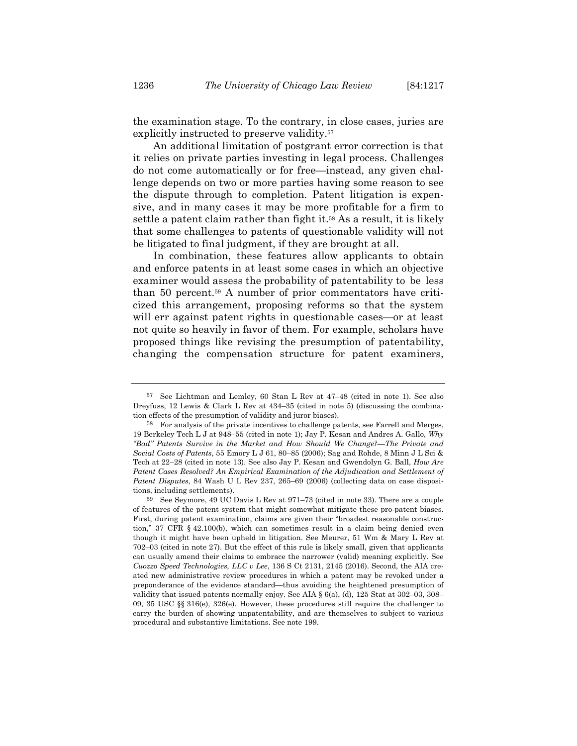the examination stage. To the contrary, in close cases, juries are explicitly instructed to preserve validity.<sup>57</sup>

An additional limitation of postgrant error correction is that it relies on private parties investing in legal process. Challenges do not come automatically or for free—instead, any given challenge depends on two or more parties having some reason to see the dispute through to completion. Patent litigation is expensive, and in many cases it may be more profitable for a firm to settle a patent claim rather than fight it.58 As a result, it is likely that some challenges to patents of questionable validity will not be litigated to final judgment, if they are brought at all.

In combination, these features allow applicants to obtain and enforce patents in at least some cases in which an objective examiner would assess the probability of patentability to be less than 50 percent.59 A number of prior commentators have criticized this arrangement, proposing reforms so that the system will err against patent rights in questionable cases—or at least not quite so heavily in favor of them. For example, scholars have proposed things like revising the presumption of patentability, changing the compensation structure for patent examiners,

<sup>57</sup> See Lichtman and Lemley, 60 Stan L Rev at 47–48 (cited in note 1). See also Dreyfuss, 12 Lewis & Clark L Rev at 434–35 (cited in note 5) (discussing the combination effects of the presumption of validity and juror biases).

<sup>58</sup> For analysis of the private incentives to challenge patents, see Farrell and Merges, 19 Berkeley Tech L J at 948–55 (cited in note 1); Jay P. Kesan and Andres A. Gallo, *Why "Bad" Patents Survive in the Market and How Should We Change?—The Private and Social Costs of Patents*, 55 Emory L J 61, 80–85 (2006); Sag and Rohde, 8 Minn J L Sci & Tech at 22–28 (cited in note 13). See also Jay P. Kesan and Gwendolyn G. Ball, *How Are*  Patent Cases Resolved? An Empirical Examination of the Adjudication and Settlement of *Patent Disputes*, 84 Wash U L Rev 237, 265–69 (2006) (collecting data on case dispositions, including settlements).

<sup>59</sup> See Seymore, 49 UC Davis L Rev at 971–73 (cited in note 33). There are a couple of features of the patent system that might somewhat mitigate these pro-patent biases. First, during patent examination, claims are given their "broadest reasonable construction," 37 CFR § 42.100(b), which can sometimes result in a claim being denied even though it might have been upheld in litigation. See Meurer, 51 Wm & Mary L Rev at 702–03 (cited in note 27). But the effect of this rule is likely small, given that applicants can usually amend their claims to embrace the narrower (valid) meaning explicitly. See *Cuozzo Speed Technologies, LLC v Lee*, 136 S Ct 2131, 2145 (2016). Second, the AIA created new administrative review procedures in which a patent may be revoked under a preponderance of the evidence standard—thus avoiding the heightened presumption of validity that issued patents normally enjoy. See AIA  $\S$  6(a), (d), 125 Stat at 302–03, 308– 09, 35 USC §§ 316(e), 326(e). However, these procedures still require the challenger to carry the burden of showing unpatentability, and are themselves to subject to various procedural and substantive limitations. See note 199.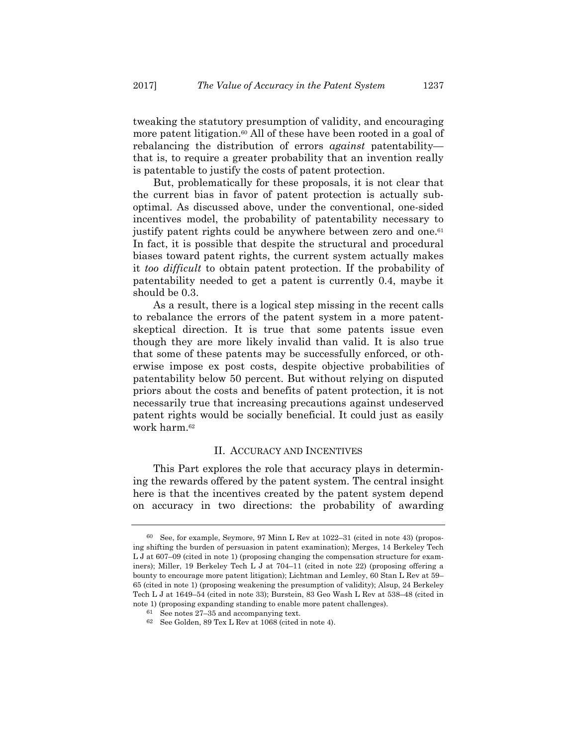tweaking the statutory presumption of validity, and encouraging more patent litigation.<sup>60</sup> All of these have been rooted in a goal of rebalancing the distribution of errors *against* patentability that is, to require a greater probability that an invention really is patentable to justify the costs of patent protection.

But, problematically for these proposals, it is not clear that the current bias in favor of patent protection is actually suboptimal. As discussed above, under the conventional, one-sided incentives model, the probability of patentability necessary to justify patent rights could be anywhere between zero and one.<sup>61</sup> In fact, it is possible that despite the structural and procedural biases toward patent rights, the current system actually makes it *too difficult* to obtain patent protection. If the probability of patentability needed to get a patent is currently 0.4, maybe it should be 0.3.

As a result, there is a logical step missing in the recent calls to rebalance the errors of the patent system in a more patentskeptical direction. It is true that some patents issue even though they are more likely invalid than valid. It is also true that some of these patents may be successfully enforced, or otherwise impose ex post costs, despite objective probabilities of patentability below 50 percent. But without relying on disputed priors about the costs and benefits of patent protection, it is not necessarily true that increasing precautions against undeserved patent rights would be socially beneficial. It could just as easily work harm.62

# II. ACCURACY AND INCENTIVES

This Part explores the role that accuracy plays in determining the rewards offered by the patent system. The central insight here is that the incentives created by the patent system depend on accuracy in two directions: the probability of awarding

<sup>60</sup> See, for example, Seymore, 97 Minn L Rev at 1022–31 (cited in note 43) (proposing shifting the burden of persuasion in patent examination); Merges, 14 Berkeley Tech L J at 607–09 (cited in note 1) (proposing changing the compensation structure for examiners); Miller, 19 Berkeley Tech L J at 704–11 (cited in note 22) (proposing offering a bounty to encourage more patent litigation); Lichtman and Lemley, 60 Stan L Rev at 59– 65 (cited in note 1) (proposing weakening the presumption of validity); Alsup, 24 Berkeley Tech L J at 1649–54 (cited in note 33); Burstein, 83 Geo Wash L Rev at 538–48 (cited in note 1) (proposing expanding standing to enable more patent challenges).

<sup>61</sup> See notes 27–35 and accompanying text.

<sup>62</sup> See Golden, 89 Tex L Rev at 1068 (cited in note 4).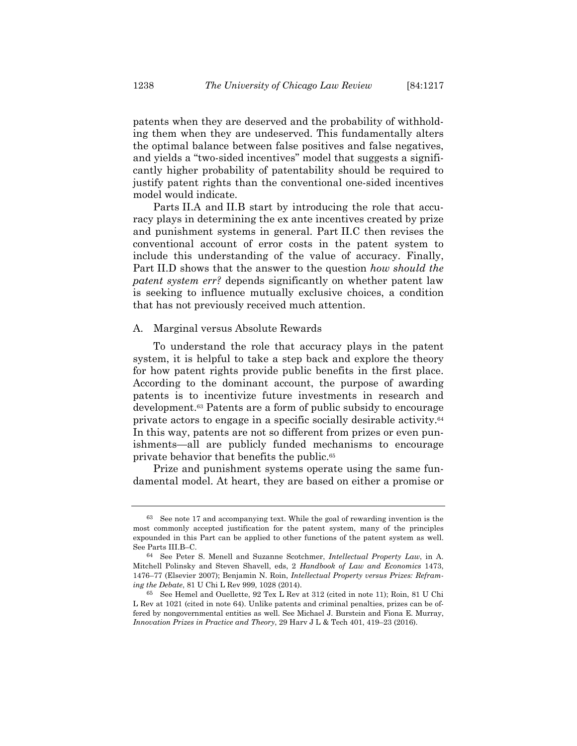patents when they are deserved and the probability of withholding them when they are undeserved. This fundamentally alters the optimal balance between false positives and false negatives, and yields a "two-sided incentives" model that suggests a significantly higher probability of patentability should be required to justify patent rights than the conventional one-sided incentives model would indicate.

Parts II.A and II.B start by introducing the role that accuracy plays in determining the ex ante incentives created by prize and punishment systems in general. Part II.C then revises the conventional account of error costs in the patent system to include this understanding of the value of accuracy. Finally, Part II.D shows that the answer to the question *how should the patent system err?* depends significantly on whether patent law is seeking to influence mutually exclusive choices, a condition that has not previously received much attention.

#### A. Marginal versus Absolute Rewards

To understand the role that accuracy plays in the patent system, it is helpful to take a step back and explore the theory for how patent rights provide public benefits in the first place. According to the dominant account, the purpose of awarding patents is to incentivize future investments in research and development.63 Patents are a form of public subsidy to encourage private actors to engage in a specific socially desirable activity.64 In this way, patents are not so different from prizes or even punishments—all are publicly funded mechanisms to encourage private behavior that benefits the public.65

Prize and punishment systems operate using the same fundamental model. At heart, they are based on either a promise or

<sup>63</sup> See note 17 and accompanying text. While the goal of rewarding invention is the most commonly accepted justification for the patent system, many of the principles expounded in this Part can be applied to other functions of the patent system as well. See Parts III.B–C.

<sup>64</sup> See Peter S. Menell and Suzanne Scotchmer, *Intellectual Property Law*, in A. Mitchell Polinsky and Steven Shavell, eds, 2 *Handbook of Law and Economics* 1473, 1476–77 (Elsevier 2007); Benjamin N. Roin, *Intellectual Property versus Prizes: Reframing the Debate*, 81 U Chi L Rev 999, 1028 (2014).

<sup>65</sup> See Hemel and Ouellette, 92 Tex L Rev at 312 (cited in note 11); Roin, 81 U Chi L Rev at 1021 (cited in note 64). Unlike patents and criminal penalties, prizes can be offered by nongovernmental entities as well. See Michael J. Burstein and Fiona E. Murray, *Innovation Prizes in Practice and Theory*, 29 Harv J L & Tech 401, 419–23 (2016).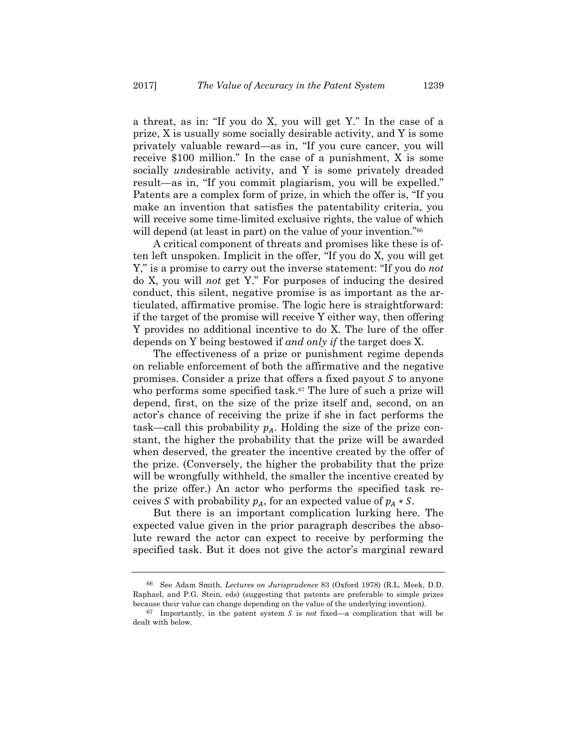a threat, as in: "If you do X, you will get Y." In the case of a prize, X is usually some socially desirable activity, and Y is some privately valuable reward—as in, "If you cure cancer, you will receive \$100 million." In the case of a punishment, X is some socially *un*desirable activity, and Y is some privately dreaded result—as in, "If you commit plagiarism, you will be expelled." Patents are a complex form of prize, in which the offer is, "If you make an invention that satisfies the patentability criteria, you will receive some time-limited exclusive rights, the value of which will depend (at least in part) on the value of your invention."<sup>66</sup>

A critical component of threats and promises like these is often left unspoken. Implicit in the offer, "If you do X, you will get Y," is a promise to carry out the inverse statement: "If you do *not* do X, you will *not* get Y." For purposes of inducing the desired conduct, this silent, negative promise is as important as the articulated, affirmative promise. The logic here is straightforward: if the target of the promise will receive Y either way, then offering Y provides no additional incentive to do X. The lure of the offer depends on Y being bestowed if *and only if* the target does X.

The effectiveness of a prize or punishment regime depends on reliable enforcement of both the affirmative and the negative promises. Consider a prize that offers a fixed payout  $S$  to anyone who performs some specified task.<sup>67</sup> The lure of such a prize will depend, first, on the size of the prize itself and, second, on an actor's chance of receiving the prize if she in fact performs the task—call this probability  $p_A$ . Holding the size of the prize constant, the higher the probability that the prize will be awarded when deserved, the greater the incentive created by the offer of the prize. (Conversely, the higher the probability that the prize will be wrongfully withheld, the smaller the incentive created by the prize offer.) An actor who performs the specified task receives S with probability  $p_A$ , for an expected value of  $p_A * S$ .

But there is an important complication lurking here. The expected value given in the prior paragraph describes the absolute reward the actor can expect to receive by performing the specified task. But it does not give the actor's marginal reward

<sup>66</sup> See Adam Smith, *Lectures on Jurisprudence* 83 (Oxford 1978) (R.L. Meek, D.D. Raphael, and P.G. Stein, eds) (suggesting that patents are preferable to simple prizes because their value can change depending on the value of the underlying invention).

 $67$  Importantly, in the patent system  $S$  is *not* fixed—a complication that will be dealt with below.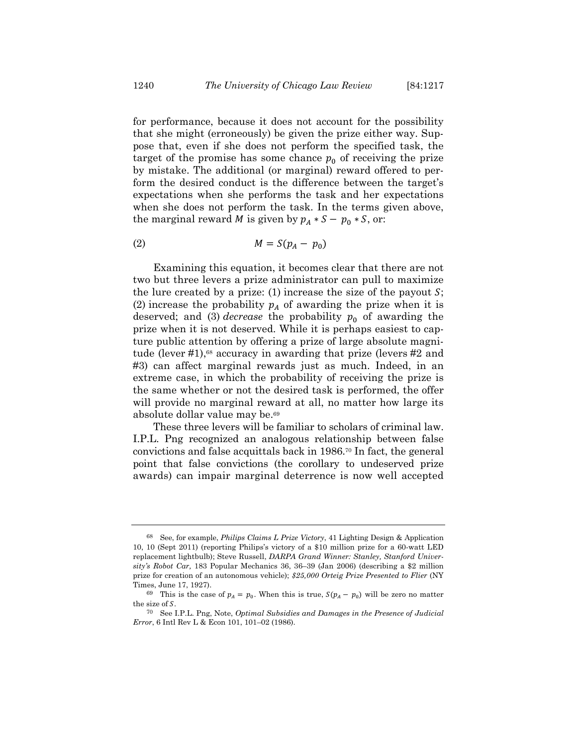for performance, because it does not account for the possibility that she might (erroneously) be given the prize either way. Suppose that, even if she does not perform the specified task, the target of the promise has some chance  $p_0$  of receiving the prize by mistake. The additional (or marginal) reward offered to perform the desired conduct is the difference between the target's expectations when she performs the task and her expectations when she does not perform the task. In the terms given above, the marginal reward *M* is given by  $p_A * S - p_0 * S$ , or:

$$
(2) \t\t\t M = S(p_A - p_0)
$$

Examining this equation, it becomes clear that there are not two but three levers a prize administrator can pull to maximize the lure created by a prize: (1) increase the size of the payout  $S$ ; (2) increase the probability  $p_A$  of awarding the prize when it is deserved; and (3) *decrease* the probability  $p_0$  of awarding the prize when it is not deserved. While it is perhaps easiest to capture public attention by offering a prize of large absolute magnitude (lever #1),<sup>68</sup> accuracy in awarding that prize (levers #2 and #3) can affect marginal rewards just as much. Indeed, in an extreme case, in which the probability of receiving the prize is the same whether or not the desired task is performed, the offer will provide no marginal reward at all, no matter how large its absolute dollar value may be.69

These three levers will be familiar to scholars of criminal law. I.P.L. Png recognized an analogous relationship between false convictions and false acquittals back in 1986.70 In fact, the general point that false convictions (the corollary to undeserved prize awards) can impair marginal deterrence is now well accepted

<sup>68</sup> See, for example, *Philips Claims L Prize Victory*, 41 Lighting Design & Application 10, 10 (Sept 2011) (reporting Philips's victory of a \$10 million prize for a 60-watt LED replacement lightbulb); Steve Russell, *DARPA Grand Winner: Stanley, Stanford University's Robot Car,* 183 Popular Mechanics 36, 36–39 (Jan 2006) (describing a \$2 million prize for creation of an autonomous vehicle); *\$25,000 Orteig Prize Presented to Flier* (NY Times, June 17, 1927).

<sup>&</sup>lt;sup>69</sup> This is the case of  $p_A = p_0$ . When this is true,  $S(p_A - p_0)$  will be zero no matter the size of  $S$ .

<sup>70</sup> See I.P.L. Png, Note, *Optimal Subsidies and Damages in the Presence of Judicial Error*, 6 Intl Rev L & Econ 101, 101–02 (1986).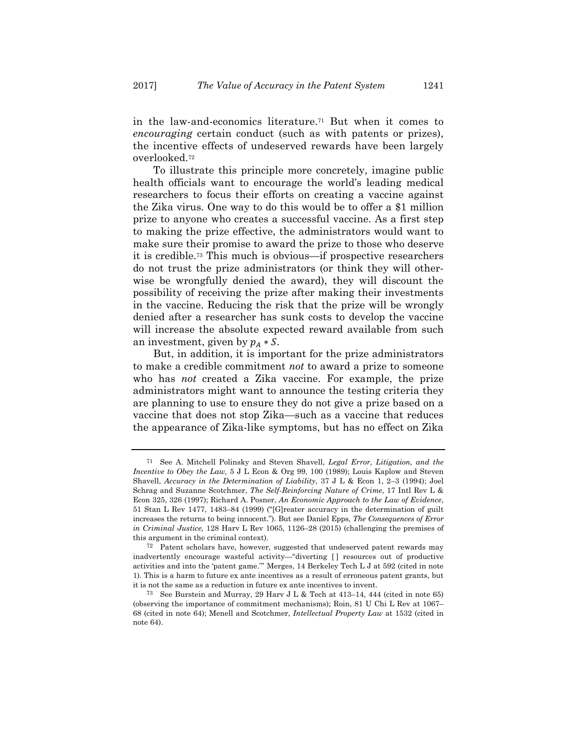in the law-and-economics literature.71 But when it comes to *encouraging* certain conduct (such as with patents or prizes), the incentive effects of undeserved rewards have been largely overlooked.72

To illustrate this principle more concretely, imagine public health officials want to encourage the world's leading medical researchers to focus their efforts on creating a vaccine against the Zika virus. One way to do this would be to offer a \$1 million prize to anyone who creates a successful vaccine. As a first step to making the prize effective, the administrators would want to make sure their promise to award the prize to those who deserve it is credible.73 This much is obvious—if prospective researchers do not trust the prize administrators (or think they will otherwise be wrongfully denied the award), they will discount the possibility of receiving the prize after making their investments in the vaccine. Reducing the risk that the prize will be wrongly denied after a researcher has sunk costs to develop the vaccine will increase the absolute expected reward available from such an investment, given by  $p_A * S$ .

But, in addition, it is important for the prize administrators to make a credible commitment *not* to award a prize to someone who has *not* created a Zika vaccine. For example, the prize administrators might want to announce the testing criteria they are planning to use to ensure they do not give a prize based on a vaccine that does not stop Zika—such as a vaccine that reduces the appearance of Zika-like symptoms, but has no effect on Zika

<sup>71</sup> See A. Mitchell Polinsky and Steven Shavell, *Legal Error, Litigation, and the Incentive to Obey the Law,* 5 J L Econ & Org 99, 100 (1989); Louis Kaplow and Steven Shavell, *Accuracy in the Determination of Liability*, 37 J L & Econ 1, 2–3 (1994); Joel Schrag and Suzanne Scotchmer, *The Self-Reinforcing Nature of Crime*, 17 Intl Rev L & Econ 325, 326 (1997); Richard A. Posner, *An Economic Approach to the Law of Evidence*, 51 Stan L Rev 1477, 1483–84 (1999) ("[G]reater accuracy in the determination of guilt increases the returns to being innocent."). But see Daniel Epps, *The Consequences of Error in Criminal Justice,* 128 Harv L Rev 1065, 1126–28 (2015) (challenging the premises of this argument in the criminal context).

<sup>72</sup> Patent scholars have, however, suggested that undeserved patent rewards may inadvertently encourage wasteful activity—"diverting [ ] resources out of productive activities and into the 'patent game.'" Merges, 14 Berkeley Tech L J at 592 (cited in note 1). This is a harm to future ex ante incentives as a result of erroneous patent grants, but it is not the same as a reduction in future ex ante incentives to invent.

<sup>&</sup>lt;sup>73</sup> See Burstein and Murray, 29 Harv J L & Tech at  $413-14$ ,  $444$  (cited in note 65) (observing the importance of commitment mechanisms); Roin, 81 U Chi L Rev at 1067– 68 (cited in note 64); Menell and Scotchmer, *Intellectual Property Law* at 1532 (cited in note 64).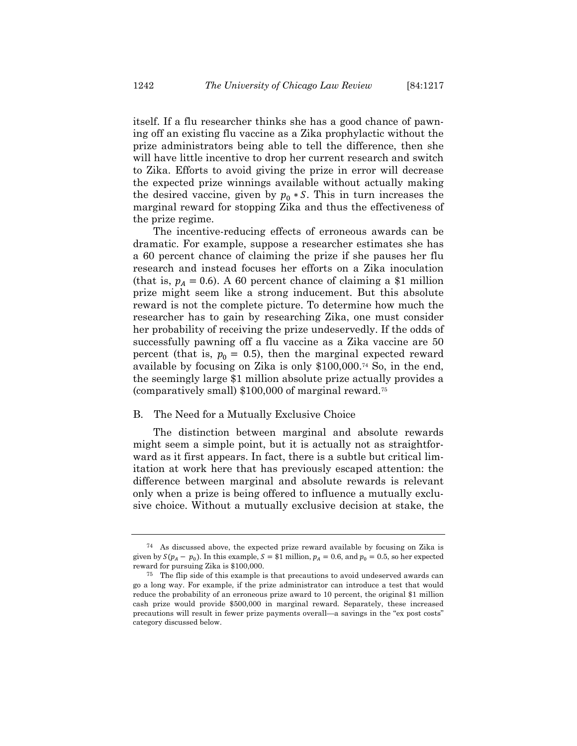itself. If a flu researcher thinks she has a good chance of pawning off an existing flu vaccine as a Zika prophylactic without the prize administrators being able to tell the difference, then she will have little incentive to drop her current research and switch to Zika. Efforts to avoid giving the prize in error will decrease the expected prize winnings available without actually making the desired vaccine, given by  $p_0 * S$ . This in turn increases the marginal reward for stopping Zika and thus the effectiveness of the prize regime.

The incentive-reducing effects of erroneous awards can be dramatic. For example, suppose a researcher estimates she has a 60 percent chance of claiming the prize if she pauses her flu research and instead focuses her efforts on a Zika inoculation (that is,  $p_A = 0.6$ ). A 60 percent chance of claiming a \$1 million prize might seem like a strong inducement. But this absolute reward is not the complete picture. To determine how much the researcher has to gain by researching Zika, one must consider her probability of receiving the prize undeservedly. If the odds of successfully pawning off a flu vaccine as a Zika vaccine are 50 percent (that is,  $p_0 = 0.5$ ), then the marginal expected reward available by focusing on Zika is only \$100,000.74 So, in the end, the seemingly large \$1 million absolute prize actually provides a (comparatively small) \$100,000 of marginal reward.75

#### B. The Need for a Mutually Exclusive Choice

The distinction between marginal and absolute rewards might seem a simple point, but it is actually not as straightforward as it first appears. In fact, there is a subtle but critical limitation at work here that has previously escaped attention: the difference between marginal and absolute rewards is relevant only when a prize is being offered to influence a mutually exclusive choice. Without a mutually exclusive decision at stake, the

<sup>74</sup> As discussed above, the expected prize reward available by focusing on Zika is given by  $S(p_A - p_0)$ . In this example,  $S = $1$  million,  $p_A = 0.6$ , and  $p_0 = 0.5$ , so her expected reward for pursuing Zika is \$100,000.

<sup>75</sup> The flip side of this example is that precautions to avoid undeserved awards can go a long way. For example, if the prize administrator can introduce a test that would reduce the probability of an erroneous prize award to 10 percent, the original \$1 million cash prize would provide \$500,000 in marginal reward. Separately, these increased precautions will result in fewer prize payments overall—a savings in the "ex post costs" category discussed below.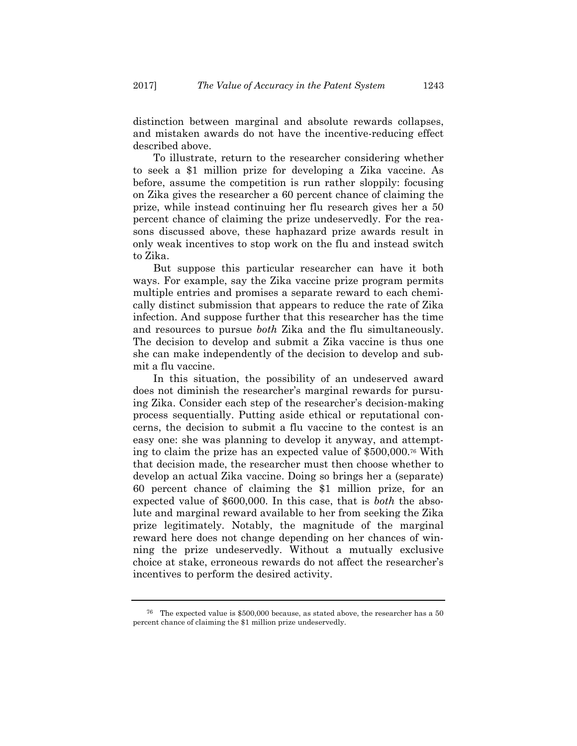distinction between marginal and absolute rewards collapses, and mistaken awards do not have the incentive-reducing effect described above.

To illustrate, return to the researcher considering whether to seek a \$1 million prize for developing a Zika vaccine. As before, assume the competition is run rather sloppily: focusing on Zika gives the researcher a 60 percent chance of claiming the prize, while instead continuing her flu research gives her a 50 percent chance of claiming the prize undeservedly. For the reasons discussed above, these haphazard prize awards result in only weak incentives to stop work on the flu and instead switch to Zika.

But suppose this particular researcher can have it both ways. For example, say the Zika vaccine prize program permits multiple entries and promises a separate reward to each chemically distinct submission that appears to reduce the rate of Zika infection. And suppose further that this researcher has the time and resources to pursue *both* Zika and the flu simultaneously. The decision to develop and submit a Zika vaccine is thus one she can make independently of the decision to develop and submit a flu vaccine.

In this situation, the possibility of an undeserved award does not diminish the researcher's marginal rewards for pursuing Zika. Consider each step of the researcher's decision-making process sequentially. Putting aside ethical or reputational concerns, the decision to submit a flu vaccine to the contest is an easy one: she was planning to develop it anyway, and attempting to claim the prize has an expected value of \$500,000.76 With that decision made, the researcher must then choose whether to develop an actual Zika vaccine. Doing so brings her a (separate) 60 percent chance of claiming the \$1 million prize, for an expected value of \$600,000. In this case, that is *both* the absolute and marginal reward available to her from seeking the Zika prize legitimately. Notably, the magnitude of the marginal reward here does not change depending on her chances of winning the prize undeservedly. Without a mutually exclusive choice at stake, erroneous rewards do not affect the researcher's incentives to perform the desired activity.

<sup>76</sup> The expected value is \$500,000 because, as stated above, the researcher has a 50 percent chance of claiming the \$1 million prize undeservedly.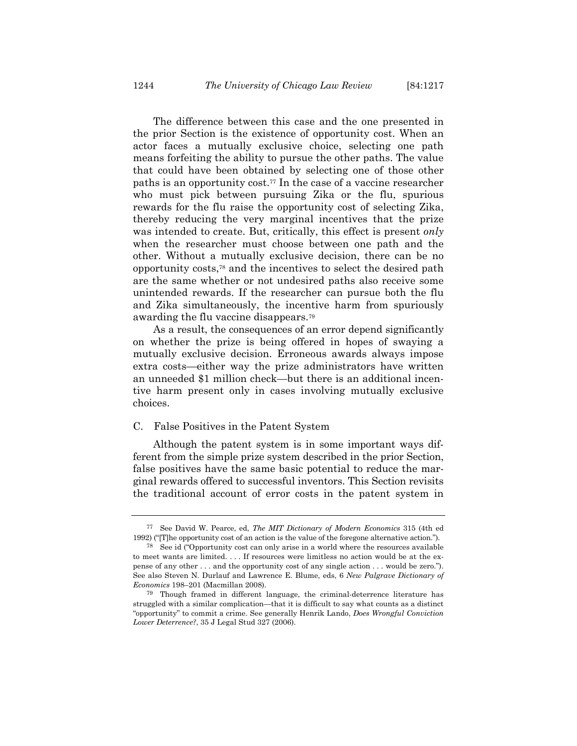The difference between this case and the one presented in the prior Section is the existence of opportunity cost. When an actor faces a mutually exclusive choice, selecting one path means forfeiting the ability to pursue the other paths. The value that could have been obtained by selecting one of those other paths is an opportunity cost.77 In the case of a vaccine researcher who must pick between pursuing Zika or the flu, spurious rewards for the flu raise the opportunity cost of selecting Zika, thereby reducing the very marginal incentives that the prize was intended to create. But, critically, this effect is present *only* when the researcher must choose between one path and the other. Without a mutually exclusive decision, there can be no opportunity costs,78 and the incentives to select the desired path are the same whether or not undesired paths also receive some unintended rewards. If the researcher can pursue both the flu and Zika simultaneously, the incentive harm from spuriously awarding the flu vaccine disappears.79

As a result, the consequences of an error depend significantly on whether the prize is being offered in hopes of swaying a mutually exclusive decision. Erroneous awards always impose extra costs—either way the prize administrators have written an unneeded \$1 million check—but there is an additional incentive harm present only in cases involving mutually exclusive choices.

#### C. False Positives in the Patent System

Although the patent system is in some important ways different from the simple prize system described in the prior Section, false positives have the same basic potential to reduce the marginal rewards offered to successful inventors. This Section revisits the traditional account of error costs in the patent system in

<sup>77</sup> See David W. Pearce, ed, *The MIT Dictionary of Modern Economics* 315 (4th ed 1992) ("[T]he opportunity cost of an action is the value of the foregone alternative action.").

<sup>78</sup> See id ("Opportunity cost can only arise in a world where the resources available to meet wants are limited. . . . If resources were limitless no action would be at the expense of any other . . . and the opportunity cost of any single action . . . would be zero."). See also Steven N. Durlauf and Lawrence E. Blume, eds, 6 *New Palgrave Dictionary of Economics* 198–201 (Macmillan 2008).

<sup>79</sup> Though framed in different language, the criminal-deterrence literature has struggled with a similar complication—that it is difficult to say what counts as a distinct "opportunity" to commit a crime. See generally Henrik Lando, *Does Wrongful Conviction Lower Deterrence?*, 35 J Legal Stud 327 (2006).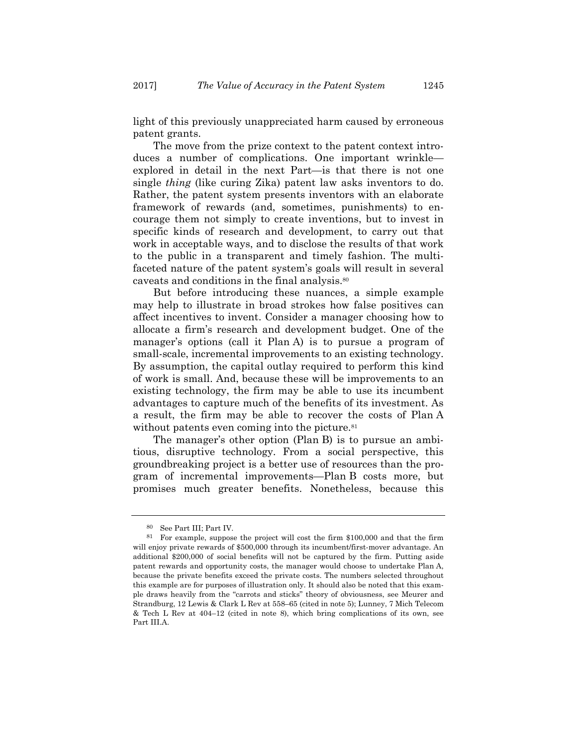light of this previously unappreciated harm caused by erroneous patent grants.

The move from the prize context to the patent context introduces a number of complications. One important wrinkle explored in detail in the next Part—is that there is not one single *thing* (like curing Zika) patent law asks inventors to do. Rather, the patent system presents inventors with an elaborate framework of rewards (and, sometimes, punishments) to encourage them not simply to create inventions, but to invest in specific kinds of research and development, to carry out that work in acceptable ways, and to disclose the results of that work to the public in a transparent and timely fashion. The multifaceted nature of the patent system's goals will result in several caveats and conditions in the final analysis.80

But before introducing these nuances, a simple example may help to illustrate in broad strokes how false positives can affect incentives to invent. Consider a manager choosing how to allocate a firm's research and development budget. One of the manager's options (call it Plan A) is to pursue a program of small-scale, incremental improvements to an existing technology. By assumption, the capital outlay required to perform this kind of work is small. And, because these will be improvements to an existing technology, the firm may be able to use its incumbent advantages to capture much of the benefits of its investment. As a result, the firm may be able to recover the costs of Plan A without patents even coming into the picture.<sup>81</sup>

The manager's other option (Plan B) is to pursue an ambitious, disruptive technology. From a social perspective, this groundbreaking project is a better use of resources than the program of incremental improvements—Plan B costs more, but promises much greater benefits. Nonetheless, because this

<sup>80</sup> See Part III; Part IV.

<sup>81</sup> For example, suppose the project will cost the firm \$100,000 and that the firm will enjoy private rewards of \$500,000 through its incumbent/first-mover advantage. An additional \$200,000 of social benefits will not be captured by the firm. Putting aside patent rewards and opportunity costs, the manager would choose to undertake Plan A, because the private benefits exceed the private costs. The numbers selected throughout this example are for purposes of illustration only. It should also be noted that this example draws heavily from the "carrots and sticks" theory of obviousness, see Meurer and Strandburg, 12 Lewis & Clark L Rev at 558–65 (cited in note 5); Lunney, 7 Mich Telecom & Tech L Rev at 404–12 (cited in note 8), which bring complications of its own, see Part III.A.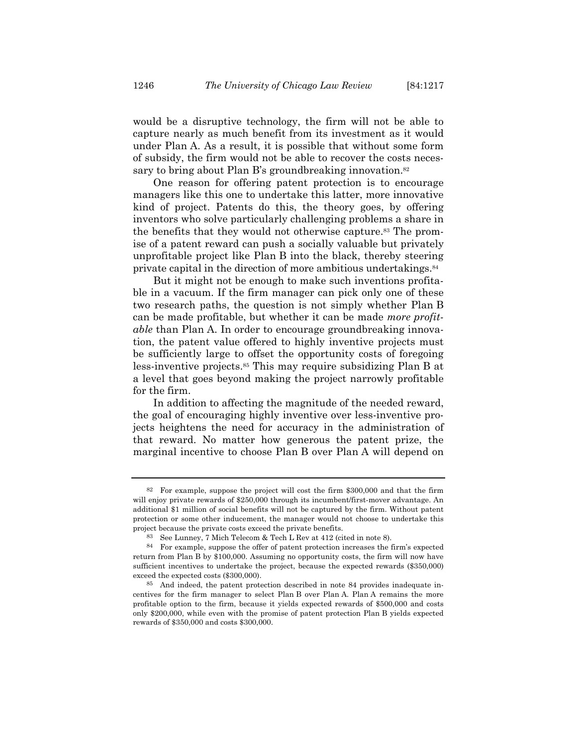would be a disruptive technology, the firm will not be able to capture nearly as much benefit from its investment as it would under Plan A. As a result, it is possible that without some form of subsidy, the firm would not be able to recover the costs necessary to bring about Plan B's groundbreaking innovation.<sup>82</sup>

One reason for offering patent protection is to encourage managers like this one to undertake this latter, more innovative kind of project. Patents do this, the theory goes, by offering inventors who solve particularly challenging problems a share in the benefits that they would not otherwise capture.83 The promise of a patent reward can push a socially valuable but privately unprofitable project like Plan B into the black, thereby steering private capital in the direction of more ambitious undertakings.84

But it might not be enough to make such inventions profitable in a vacuum. If the firm manager can pick only one of these two research paths, the question is not simply whether Plan B can be made profitable, but whether it can be made *more profitable* than Plan A. In order to encourage groundbreaking innovation, the patent value offered to highly inventive projects must be sufficiently large to offset the opportunity costs of foregoing less-inventive projects.85 This may require subsidizing Plan B at a level that goes beyond making the project narrowly profitable for the firm.

In addition to affecting the magnitude of the needed reward, the goal of encouraging highly inventive over less-inventive projects heightens the need for accuracy in the administration of that reward. No matter how generous the patent prize, the marginal incentive to choose Plan B over Plan A will depend on

<sup>82</sup> For example, suppose the project will cost the firm \$300,000 and that the firm will enjoy private rewards of \$250,000 through its incumbent/first-mover advantage. An additional \$1 million of social benefits will not be captured by the firm. Without patent protection or some other inducement, the manager would not choose to undertake this project because the private costs exceed the private benefits.

<sup>83</sup> See Lunney, 7 Mich Telecom & Tech L Rev at 412 (cited in note 8).

<sup>84</sup> For example, suppose the offer of patent protection increases the firm's expected return from Plan B by \$100,000. Assuming no opportunity costs, the firm will now have sufficient incentives to undertake the project, because the expected rewards (\$350,000) exceed the expected costs (\$300,000).

<sup>85</sup> And indeed, the patent protection described in note 84 provides inadequate incentives for the firm manager to select Plan B over Plan A. Plan A remains the more profitable option to the firm, because it yields expected rewards of \$500,000 and costs only \$200,000, while even with the promise of patent protection Plan B yields expected rewards of \$350,000 and costs \$300,000.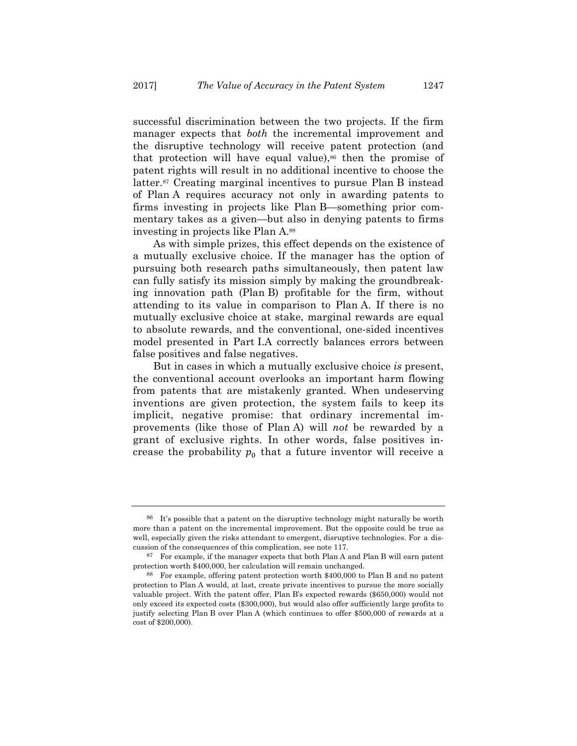successful discrimination between the two projects. If the firm manager expects that *both* the incremental improvement and the disruptive technology will receive patent protection (and that protection will have equal value),<sup>86</sup> then the promise of patent rights will result in no additional incentive to choose the latter.87 Creating marginal incentives to pursue Plan B instead of Plan A requires accuracy not only in awarding patents to firms investing in projects like Plan B—something prior commentary takes as a given—but also in denying patents to firms investing in projects like Plan A.88

As with simple prizes, this effect depends on the existence of a mutually exclusive choice. If the manager has the option of pursuing both research paths simultaneously, then patent law can fully satisfy its mission simply by making the groundbreaking innovation path (Plan B) profitable for the firm, without attending to its value in comparison to Plan A. If there is no mutually exclusive choice at stake, marginal rewards are equal to absolute rewards, and the conventional, one-sided incentives model presented in Part I.A correctly balances errors between false positives and false negatives.

But in cases in which a mutually exclusive choice *is* present, the conventional account overlooks an important harm flowing from patents that are mistakenly granted. When undeserving inventions are given protection, the system fails to keep its implicit, negative promise: that ordinary incremental improvements (like those of Plan A) will *not* be rewarded by a grant of exclusive rights. In other words, false positives increase the probability  $p_0$  that a future inventor will receive a

<sup>86</sup> It's possible that a patent on the disruptive technology might naturally be worth more than a patent on the incremental improvement. But the opposite could be true as well, especially given the risks attendant to emergent, disruptive technologies. For a discussion of the consequences of this complication, see note 117.

<sup>87</sup> For example, if the manager expects that both Plan A and Plan B will earn patent protection worth \$400,000, her calculation will remain unchanged.

<sup>88</sup> For example, offering patent protection worth \$400,000 to Plan B and no patent protection to Plan A would, at last, create private incentives to pursue the more socially valuable project. With the patent offer, Plan B's expected rewards (\$650,000) would not only exceed its expected costs (\$300,000), but would also offer sufficiently large profits to justify selecting Plan B over Plan A (which continues to offer \$500,000 of rewards at a cost of \$200,000).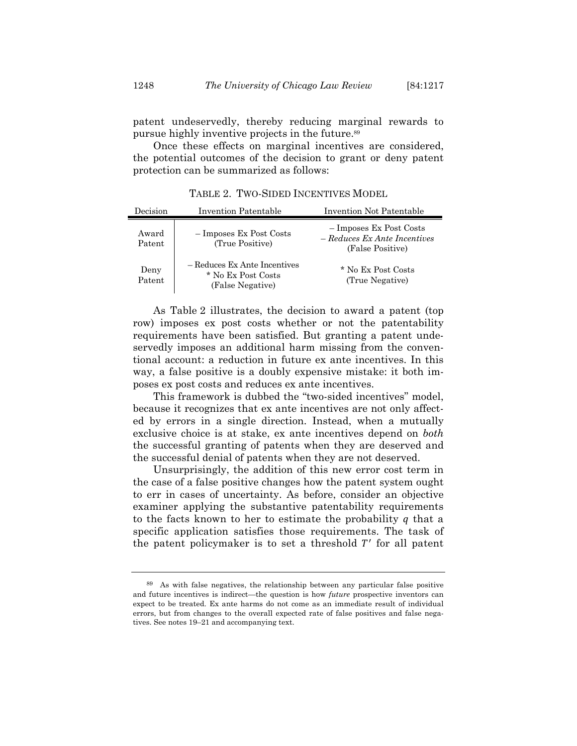patent undeservedly, thereby reducing marginal rewards to pursue highly inventive projects in the future.89

Once these effects on marginal incentives are considered, the potential outcomes of the decision to grant or deny patent protection can be summarized as follows:

| Decision        | <b>Invention Patentable</b>                                            | Invention Not Patentable                                                      |
|-----------------|------------------------------------------------------------------------|-------------------------------------------------------------------------------|
| Award<br>Patent | - Imposes Ex Post Costs<br>(True Positive)                             | - Imposes Ex Post Costs<br>$-$ Reduces Ex Ante Incentives<br>(False Positive) |
| Deny<br>Patent  | - Reduces Ex Ante Incentives<br>* No Ex Post Costs<br>(False Negative) | * No Ex Post Costs<br>(True Negative)                                         |

TABLE 2. TWO-SIDED INCENTIVES MODEL

As Table 2 illustrates, the decision to award a patent (top row) imposes ex post costs whether or not the patentability requirements have been satisfied. But granting a patent undeservedly imposes an additional harm missing from the conventional account: a reduction in future ex ante incentives. In this way, a false positive is a doubly expensive mistake: it both imposes ex post costs and reduces ex ante incentives.

This framework is dubbed the "two-sided incentives" model, because it recognizes that ex ante incentives are not only affected by errors in a single direction. Instead, when a mutually exclusive choice is at stake, ex ante incentives depend on *both* the successful granting of patents when they are deserved and the successful denial of patents when they are not deserved.

Unsurprisingly, the addition of this new error cost term in the case of a false positive changes how the patent system ought to err in cases of uncertainty. As before, consider an objective examiner applying the substantive patentability requirements to the facts known to her to estimate the probability  $q$  that a specific application satisfies those requirements. The task of the patent policymaker is to set a threshold  $T'$  for all patent

<sup>89</sup> As with false negatives, the relationship between any particular false positive and future incentives is indirect—the question is how *future* prospective inventors can expect to be treated. Ex ante harms do not come as an immediate result of individual errors, but from changes to the overall expected rate of false positives and false negatives. See notes 19–21 and accompanying text.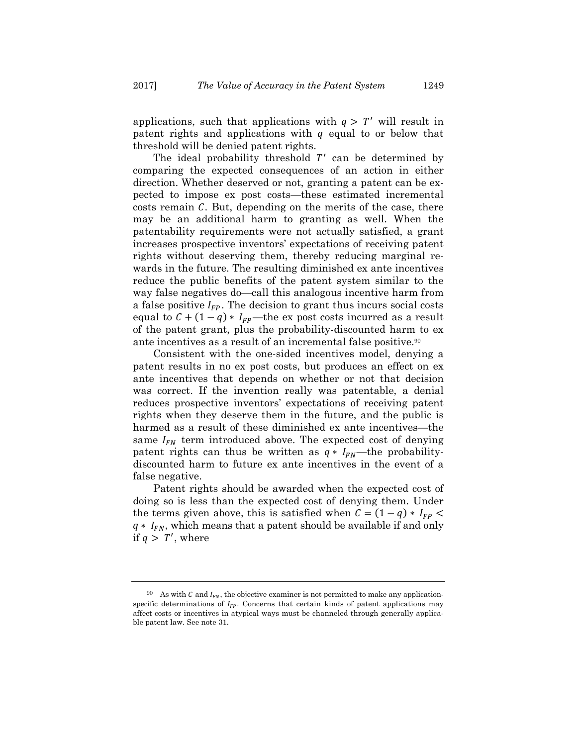applications, such that applications with  $q > T'$  will result in patent rights and applications with  $q$  equal to or below that threshold will be denied patent rights.

The ideal probability threshold  $T'$  can be determined by comparing the expected consequences of an action in either direction. Whether deserved or not, granting a patent can be expected to impose ex post costs—these estimated incremental costs remain C. But, depending on the merits of the case, there may be an additional harm to granting as well. When the patentability requirements were not actually satisfied, a grant increases prospective inventors' expectations of receiving patent rights without deserving them, thereby reducing marginal rewards in the future. The resulting diminished ex ante incentives reduce the public benefits of the patent system similar to the way false negatives do—call this analogous incentive harm from a false positive  $I_{FP}$ . The decision to grant thus incurs social costs equal to  $C + (1 - q) * I_{FP}$ —the ex post costs incurred as a result of the patent grant, plus the probability-discounted harm to ex ante incentives as a result of an incremental false positive.90

Consistent with the one-sided incentives model, denying a patent results in no ex post costs, but produces an effect on ex ante incentives that depends on whether or not that decision was correct. If the invention really was patentable, a denial reduces prospective inventors' expectations of receiving patent rights when they deserve them in the future, and the public is harmed as a result of these diminished ex ante incentives—the same  $I_{FN}$  term introduced above. The expected cost of denying patent rights can thus be written as  $q * I_{FN}$ —the probabilitydiscounted harm to future ex ante incentives in the event of a false negative.

Patent rights should be awarded when the expected cost of doing so is less than the expected cost of denying them. Under the terms given above, this is satisfied when  $C = (1 - q) * I_{FP}$  $q * I_{FN}$ , which means that a patent should be available if and only if  $q > T'$ , where

<sup>&</sup>lt;sup>90</sup> As with C and  $I_{FN}$ , the objective examiner is not permitted to make any applicationspecific determinations of  $I_{FP}$ . Concerns that certain kinds of patent applications may affect costs or incentives in atypical ways must be channeled through generally applicable patent law. See note 31.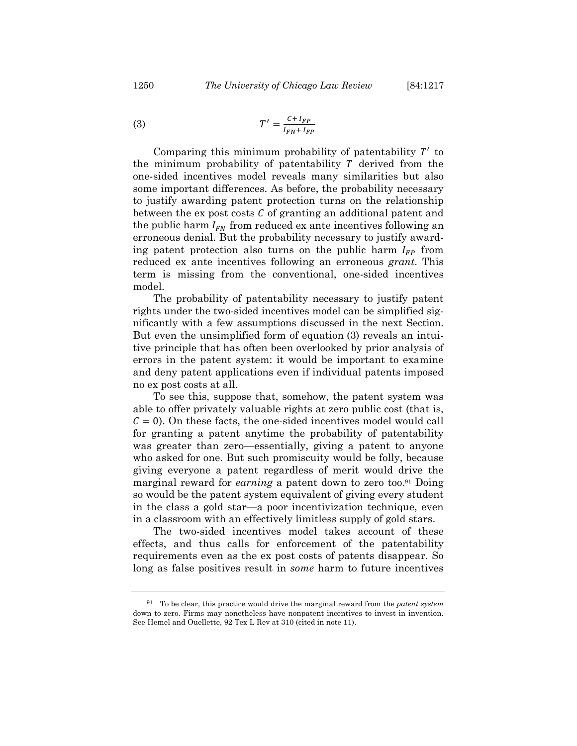$$
T' = \frac{C + I_{FP}}{I_{FN} + I_{FP}}
$$

Comparing this minimum probability of patentability  $T'$  to the minimum probability of patentability  $T$  derived from the one-sided incentives model reveals many similarities but also some important differences. As before, the probability necessary to justify awarding patent protection turns on the relationship between the ex post costs  $C$  of granting an additional patent and the public harm  $I_{FN}$  from reduced ex ante incentives following an erroneous denial. But the probability necessary to justify awarding patent protection also turns on the public harm  $I_{FP}$  from reduced ex ante incentives following an erroneous *grant*. This term is missing from the conventional, one-sided incentives model.

The probability of patentability necessary to justify patent rights under the two-sided incentives model can be simplified significantly with a few assumptions discussed in the next Section. But even the unsimplified form of equation (3) reveals an intuitive principle that has often been overlooked by prior analysis of errors in the patent system: it would be important to examine and deny patent applications even if individual patents imposed no ex post costs at all.

To see this, suppose that, somehow, the patent system was able to offer privately valuable rights at zero public cost (that is,  $\mathcal{C} = 0$ ). On these facts, the one-sided incentives model would call for granting a patent anytime the probability of patentability was greater than zero—essentially, giving a patent to anyone who asked for one. But such promiscuity would be folly, because giving everyone a patent regardless of merit would drive the marginal reward for *earning* a patent down to zero too.91 Doing so would be the patent system equivalent of giving every student in the class a gold star—a poor incentivization technique, even in a classroom with an effectively limitless supply of gold stars.

The two-sided incentives model takes account of these effects, and thus calls for enforcement of the patentability requirements even as the ex post costs of patents disappear. So long as false positives result in *some* harm to future incentives

<sup>91</sup> To be clear, this practice would drive the marginal reward from the *patent system* down to zero. Firms may nonetheless have nonpatent incentives to invest in invention. See Hemel and Ouellette, 92 Tex L Rev at 310 (cited in note 11).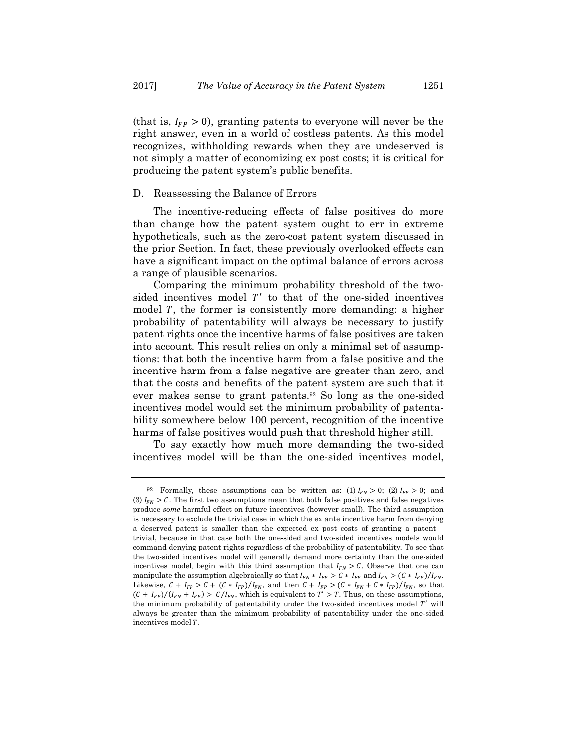(that is,  $I_{FP} > 0$ ), granting patents to everyone will never be the right answer, even in a world of costless patents. As this model recognizes, withholding rewards when they are undeserved is not simply a matter of economizing ex post costs; it is critical for producing the patent system's public benefits.

## D. Reassessing the Balance of Errors

The incentive-reducing effects of false positives do more than change how the patent system ought to err in extreme hypotheticals, such as the zero-cost patent system discussed in the prior Section. In fact, these previously overlooked effects can have a significant impact on the optimal balance of errors across a range of plausible scenarios.

Comparing the minimum probability threshold of the twosided incentives model  $T'$  to that of the one-sided incentives model *, the former is consistently more demanding: a higher* probability of patentability will always be necessary to justify patent rights once the incentive harms of false positives are taken into account. This result relies on only a minimal set of assumptions: that both the incentive harm from a false positive and the incentive harm from a false negative are greater than zero, and that the costs and benefits of the patent system are such that it ever makes sense to grant patents.92 So long as the one-sided incentives model would set the minimum probability of patentability somewhere below 100 percent, recognition of the incentive harms of false positives would push that threshold higher still.

To say exactly how much more demanding the two-sided incentives model will be than the one-sided incentives model,

<sup>92</sup> Formally, these assumptions can be written as: (1)  $I_{FN} > 0$ ; (2)  $I_{FP} > 0$ ; and (3)  $I_{FN} > C$ . The first two assumptions mean that both false positives and false negatives produce *some* harmful effect on future incentives (however small). The third assumption is necessary to exclude the trivial case in which the ex ante incentive harm from denying a deserved patent is smaller than the expected ex post costs of granting a patent trivial, because in that case both the one-sided and two-sided incentives models would command denying patent rights regardless of the probability of patentability*.* To see that the two-sided incentives model will generally demand more certainty than the one-sided incentives model, begin with this third assumption that  $I_{FN} > C$ . Observe that one can manipulate the assumption algebraically so that  $I_{FN} * I_{FP} > C * I_{FP}$  and  $I_{FN} > (C * I_{FP})/I_{FN}$ . Likewise,  $C + I_{FP} > C + (C * I_{FP})/I_{FN}$ , and then  $C + I_{FP} > (C * I_{FN} + C * I_{FP})/I_{FN}$ , so that  $(C + I_{FP})/(I_{FN} + I_{FP}) > C/I_{FN}$ , which is equivalent to  $T' > T$ . Thus, on these assumptions, the minimum probability of patentability under the two-sided incentives model  $T'$  will always be greater than the minimum probability of patentability under the one-sided incentives model T.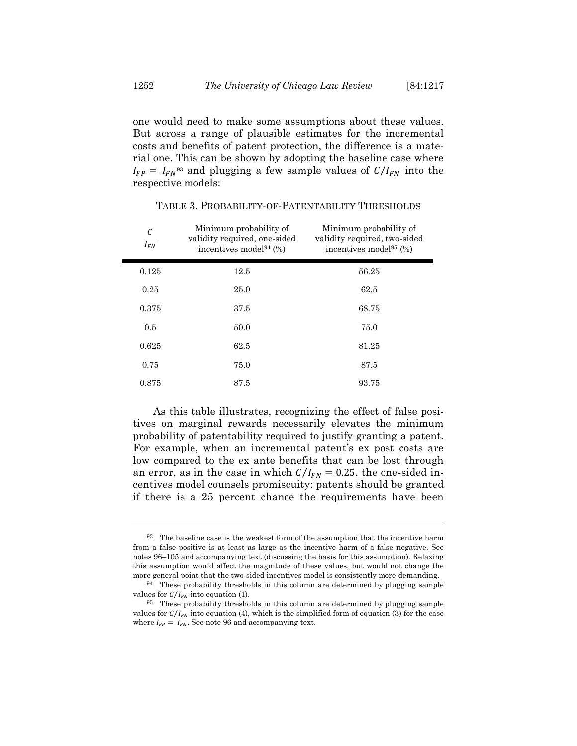one would need to make some assumptions about these values. But across a range of plausible estimates for the incremental costs and benefits of patent protection, the difference is a material one. This can be shown by adopting the baseline case where  $I_{FP} = I_{FN}^{93}$  and plugging a few sample values of  $C/I_{FN}$  into the respective models:

| $\frac{C}{I_{FN}}$ | Minimum probability of<br>validity required, one-sided<br>incentives model <sup>94</sup> $(\%)$ | Minimum probability of<br>validity required, two-sided<br>incentives model <sup>95</sup> $(%)$ |
|--------------------|-------------------------------------------------------------------------------------------------|------------------------------------------------------------------------------------------------|
| 0.125              | 12.5                                                                                            | 56.25                                                                                          |
| 0.25               | 25.0                                                                                            | 62.5                                                                                           |
| 0.375              | 37.5                                                                                            | 68.75                                                                                          |
| 0.5                | 50.0                                                                                            | 75.0                                                                                           |
| 0.625              | 62.5                                                                                            | 81.25                                                                                          |
| 0.75               | 75.0                                                                                            | 87.5                                                                                           |
| 0.875              | 87.5                                                                                            | 93.75                                                                                          |

TABLE 3. PROBABILITY-OF-PATENTABILITY THRESHOLDS

As this table illustrates, recognizing the effect of false positives on marginal rewards necessarily elevates the minimum probability of patentability required to justify granting a patent. For example, when an incremental patent's ex post costs are low compared to the ex ante benefits that can be lost through an error, as in the case in which  $C/I_{FN} = 0.25$ , the one-sided incentives model counsels promiscuity: patents should be granted if there is a 25 percent chance the requirements have been

Н

 $93$  The baseline case is the weakest form of the assumption that the incentive harm from a false positive is at least as large as the incentive harm of a false negative. See notes 96–105 and accompanying text (discussing the basis for this assumption). Relaxing this assumption would affect the magnitude of these values, but would not change the more general point that the two-sided incentives model is consistently more demanding.

<sup>94</sup> These probability thresholds in this column are determined by plugging sample values for  $C/I_{FN}$  into equation (1).

<sup>95</sup> These probability thresholds in this column are determined by plugging sample values for  $C/I_{FN}$  into equation (4), which is the simplified form of equation (3) for the case where  $I_{FP} = I_{FN}$ . See note 96 and accompanying text.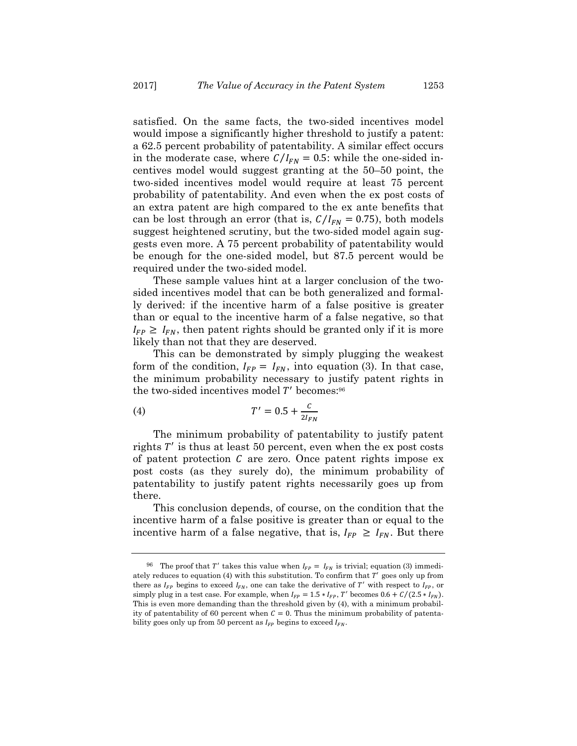satisfied. On the same facts, the two-sided incentives model would impose a significantly higher threshold to justify a patent: a 62.5 percent probability of patentability. A similar effect occurs in the moderate case, where  $C/I_{FN} = 0.5$ : while the one-sided incentives model would suggest granting at the 50–50 point, the two-sided incentives model would require at least 75 percent probability of patentability. And even when the ex post costs of an extra patent are high compared to the ex ante benefits that can be lost through an error (that is,  $C/I_{FN} = 0.75$ ), both models suggest heightened scrutiny, but the two-sided model again suggests even more. A 75 percent probability of patentability would be enough for the one-sided model, but 87.5 percent would be required under the two-sided model.

These sample values hint at a larger conclusion of the twosided incentives model that can be both generalized and formally derived: if the incentive harm of a false positive is greater than or equal to the incentive harm of a false negative, so that  $I_{FP} \geq I_{FN}$ , then patent rights should be granted only if it is more likely than not that they are deserved.

This can be demonstrated by simply plugging the weakest form of the condition,  $I_{FP} = I_{FN}$ , into equation (3). In that case, the minimum probability necessary to justify patent rights in the two-sided incentives model  $T'$  becomes: $96$ 

(4) 
$$
T' = 0.5 + \frac{c}{2I_{FN}}
$$

The minimum probability of patentability to justify patent rights  $T'$  is thus at least 50 percent, even when the ex post costs of patent protection  $\mathcal C$  are zero. Once patent rights impose ex post costs (as they surely do), the minimum probability of patentability to justify patent rights necessarily goes up from there.

This conclusion depends, of course, on the condition that the incentive harm of a false positive is greater than or equal to the incentive harm of a false negative, that is,  $I_{FP} \geq I_{FN}$ . But there

<sup>&</sup>lt;sup>96</sup> The proof that T' takes this value when  $I_{FP} = I_{FN}$  is trivial; equation (3) immediately reduces to equation  $(4)$  with this substitution. To confirm that  $T'$  goes only up from there as  $I_{FP}$  begins to exceed  $I_{FN}$ , one can take the derivative of T' with respect to  $I_{FP}$ , or simply plug in a test case. For example, when  $I_{FP} = 1.5 * I_{FP}$ , T' becomes  $0.6 + C/(2.5 * I_{FN})$ . This is even more demanding than the threshold given by (4), with a minimum probability of patentability of 60 percent when  $C = 0$ . Thus the minimum probability of patentability goes only up from 50 percent as  $I_{FP}$  begins to exceed  $I_{FN}$ .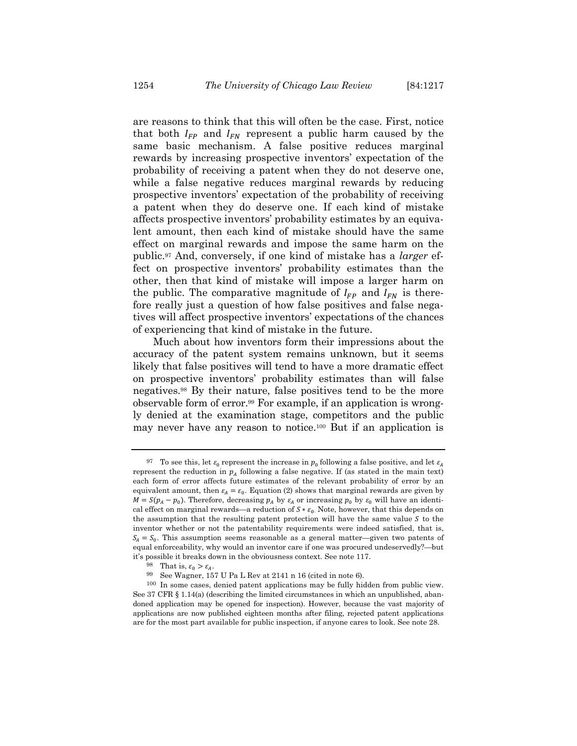are reasons to think that this will often be the case. First, notice that both  $I_{FP}$  and  $I_{FN}$  represent a public harm caused by the same basic mechanism. A false positive reduces marginal rewards by increasing prospective inventors' expectation of the probability of receiving a patent when they do not deserve one,

while a false negative reduces marginal rewards by reducing prospective inventors' expectation of the probability of receiving a patent when they do deserve one. If each kind of mistake affects prospective inventors' probability estimates by an equivalent amount, then each kind of mistake should have the same effect on marginal rewards and impose the same harm on the public.97 And, conversely, if one kind of mistake has a *larger* effect on prospective inventors' probability estimates than the other, then that kind of mistake will impose a larger harm on the public. The comparative magnitude of  $I_{FP}$  and  $I_{FN}$  is therefore really just a question of how false positives and false negatives will affect prospective inventors' expectations of the chances of experiencing that kind of mistake in the future.

Much about how inventors form their impressions about the accuracy of the patent system remains unknown, but it seems likely that false positives will tend to have a more dramatic effect on prospective inventors' probability estimates than will false negatives.98 By their nature, false positives tend to be the more observable form of error.99 For example, if an application is wrongly denied at the examination stage, competitors and the public may never have any reason to notice.100 But if an application is

<sup>&</sup>lt;sup>97</sup> To see this, let  $\varepsilon_0$  represent the increase in  $p_0$  following a false positive, and let  $\varepsilon_A$ represent the reduction in  $p_A$  following a false negative. If (as stated in the main text) each form of error affects future estimates of the relevant probability of error by an equivalent amount, then  $\varepsilon_A = \varepsilon_0$ . Equation (2) shows that marginal rewards are given by  $M = S(p_A - p_0)$ . Therefore, decreasing  $p_A$  by  $\varepsilon_A$  or increasing  $p_0$  by  $\varepsilon_0$  will have an identical effect on marginal rewards—a reduction of  $S * \varepsilon_0$ . Note, however, that this depends on the assumption that the resulting patent protection will have the same value  $S$  to the inventor whether or not the patentability requirements were indeed satisfied, that is,  $S_A = S_0$ . This assumption seems reasonable as a general matter—given two patents of equal enforceability, why would an inventor care if one was procured undeservedly?—but it's possible it breaks down in the obviousness context. See note 117.

<sup>&</sup>lt;sup>98</sup> That is,  $\varepsilon_0 > \varepsilon_A$ .

<sup>99</sup> See Wagner, 157 U Pa L Rev at 2141 n 16 (cited in note 6).

<sup>100</sup> In some cases, denied patent applications may be fully hidden from public view. See 37 CFR § 1.14(a) (describing the limited circumstances in which an unpublished, abandoned application may be opened for inspection). However, because the vast majority of applications are now published eighteen months after filing, rejected patent applications are for the most part available for public inspection, if anyone cares to look. See note 28.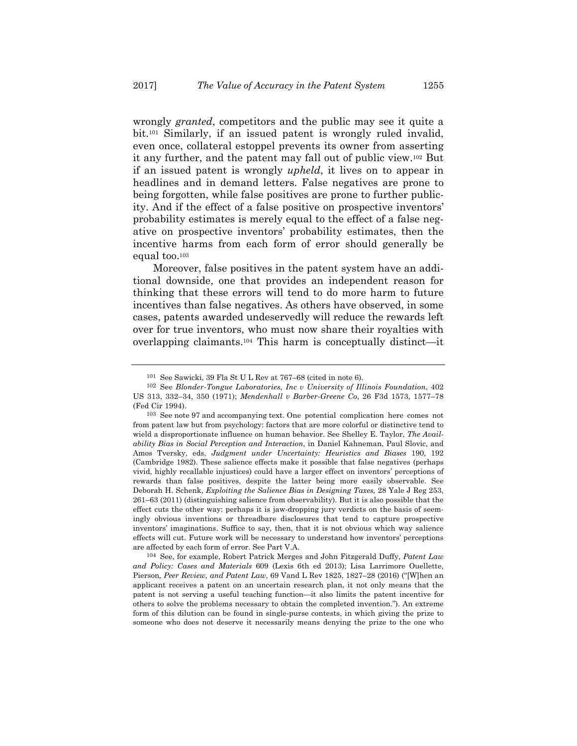wrongly *granted*, competitors and the public may see it quite a bit.101 Similarly, if an issued patent is wrongly ruled invalid, even once, collateral estoppel prevents its owner from asserting it any further, and the patent may fall out of public view.102 But if an issued patent is wrongly *upheld*, it lives on to appear in headlines and in demand letters. False negatives are prone to being forgotten, while false positives are prone to further publicity. And if the effect of a false positive on prospective inventors' probability estimates is merely equal to the effect of a false negative on prospective inventors' probability estimates, then the incentive harms from each form of error should generally be equal too.103

Moreover, false positives in the patent system have an additional downside, one that provides an independent reason for thinking that these errors will tend to do more harm to future incentives than false negatives. As others have observed, in some cases, patents awarded undeservedly will reduce the rewards left over for true inventors, who must now share their royalties with overlapping claimants.104 This harm is conceptually distinct—it

104 See, for example, Robert Patrick Merges and John Fitzgerald Duffy, *Patent Law and Policy: Cases and Materials* 609 (Lexis 6th ed 2013); Lisa Larrimore Ouellette, Pierson*, Peer Review, and Patent Law*, 69 Vand L Rev 1825, 1827–28 (2016) ("[W]hen an applicant receives a patent on an uncertain research plan, it not only means that the patent is not serving a useful teaching function—it also limits the patent incentive for others to solve the problems necessary to obtain the completed invention."). An extreme form of this dilution can be found in single-purse contests, in which giving the prize to someone who does not deserve it necessarily means denying the prize to the one who

<sup>101</sup> See Sawicki, 39 Fla St U L Rev at 767–68 (cited in note 6).

<sup>102</sup> See *Blonder-Tongue Laboratories, Inc v University of Illinois Foundation*, 402 US 313, 332–34, 350 (1971); *Mendenhall v Barber-Greene Co*, 26 F3d 1573, 1577–78 (Fed Cir 1994).

<sup>103</sup> See note 97 and accompanying text. One potential complication here comes not from patent law but from psychology: factors that are more colorful or distinctive tend to wield a disproportionate influence on human behavior. See Shelley E. Taylor, *The Availability Bias in Social Perception and Interaction*, in Daniel Kahneman, Paul Slovic, and Amos Tversky, eds, *Judgment under Uncertainty: Heuristics and Biases* 190, 192 (Cambridge 1982). These salience effects make it possible that false negatives (perhaps vivid, highly recallable injustices) could have a larger effect on inventors' perceptions of rewards than false positives, despite the latter being more easily observable. See Deborah H. Schenk, *Exploiting the Salience Bias in Designing Taxes,* 28 Yale J Reg 253, 261–63 (2011) (distinguishing salience from observability). But it is also possible that the effect cuts the other way: perhaps it is jaw-dropping jury verdicts on the basis of seemingly obvious inventions or threadbare disclosures that tend to capture prospective inventors' imaginations. Suffice to say, then, that it is not obvious which way salience effects will cut. Future work will be necessary to understand how inventors' perceptions are affected by each form of error. See Part V.A.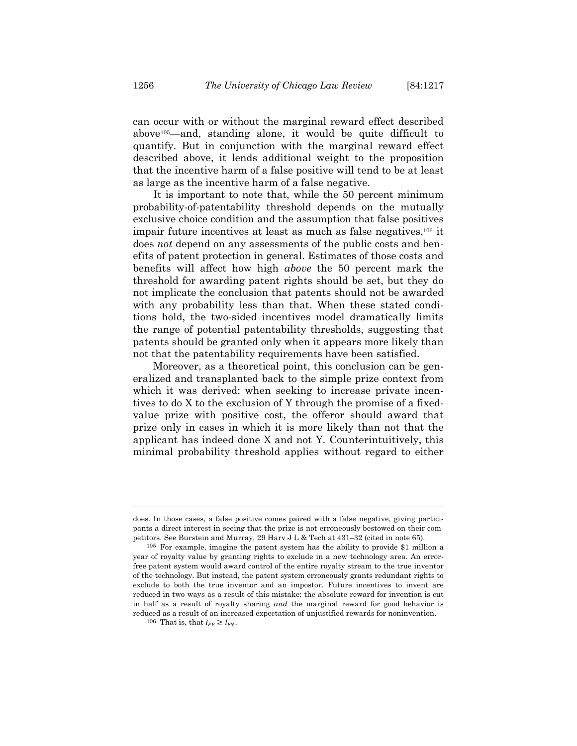can occur with or without the marginal reward effect described above105—and, standing alone, it would be quite difficult to quantify. But in conjunction with the marginal reward effect described above, it lends additional weight to the proposition that the incentive harm of a false positive will tend to be at least as large as the incentive harm of a false negative.

It is important to note that, while the 50 percent minimum probability-of-patentability threshold depends on the mutually exclusive choice condition and the assumption that false positives impair future incentives at least as much as false negatives,106 it does *not* depend on any assessments of the public costs and benefits of patent protection in general. Estimates of those costs and benefits will affect how high *above* the 50 percent mark the threshold for awarding patent rights should be set, but they do not implicate the conclusion that patents should not be awarded with any probability less than that. When these stated conditions hold, the two-sided incentives model dramatically limits the range of potential patentability thresholds, suggesting that patents should be granted only when it appears more likely than not that the patentability requirements have been satisfied.

Moreover, as a theoretical point, this conclusion can be generalized and transplanted back to the simple prize context from which it was derived: when seeking to increase private incentives to do X to the exclusion of Y through the promise of a fixedvalue prize with positive cost, the offeror should award that prize only in cases in which it is more likely than not that the applicant has indeed done X and not Y*.* Counterintuitively, this minimal probability threshold applies without regard to either

does. In those cases, a false positive comes paired with a false negative, giving participants a direct interest in seeing that the prize is not erroneously bestowed on their competitors. See Burstein and Murray, 29 Harv J L & Tech at 431–32 (cited in note 65).

<sup>105</sup> For example, imagine the patent system has the ability to provide \$1 million a year of royalty value by granting rights to exclude in a new technology area. An errorfree patent system would award control of the entire royalty stream to the true inventor of the technology. But instead, the patent system erroneously grants redundant rights to exclude to both the true inventor and an impostor. Future incentives to invent are reduced in two ways as a result of this mistake: the absolute reward for invention is cut in half as a result of royalty sharing *and* the marginal reward for good behavior is reduced as a result of an increased expectation of unjustified rewards for noninvention.

<sup>&</sup>lt;sup>106</sup> That is, that  $I_{FP} \geq I_{FN}$ .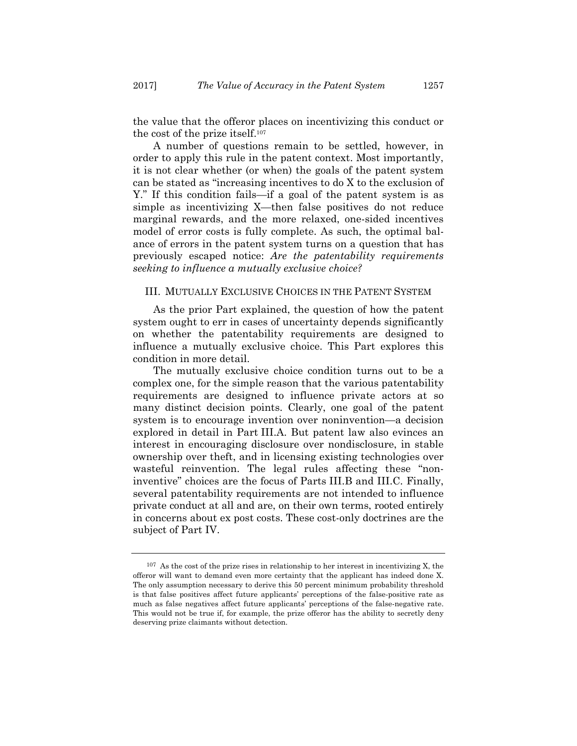the value that the offeror places on incentivizing this conduct or the cost of the prize itself.107

A number of questions remain to be settled, however, in order to apply this rule in the patent context. Most importantly, it is not clear whether (or when) the goals of the patent system can be stated as "increasing incentives to do X to the exclusion of Y." If this condition fails—if a goal of the patent system is as simple as incentivizing X—then false positives do not reduce marginal rewards, and the more relaxed, one-sided incentives model of error costs is fully complete. As such, the optimal balance of errors in the patent system turns on a question that has previously escaped notice: *Are the patentability requirements seeking to influence a mutually exclusive choice?* 

# III. MUTUALLY EXCLUSIVE CHOICES IN THE PATENT SYSTEM

As the prior Part explained, the question of how the patent system ought to err in cases of uncertainty depends significantly on whether the patentability requirements are designed to influence a mutually exclusive choice. This Part explores this condition in more detail.

The mutually exclusive choice condition turns out to be a complex one, for the simple reason that the various patentability requirements are designed to influence private actors at so many distinct decision points. Clearly, one goal of the patent system is to encourage invention over noninvention—a decision explored in detail in Part III.A. But patent law also evinces an interest in encouraging disclosure over nondisclosure, in stable ownership over theft, and in licensing existing technologies over wasteful reinvention. The legal rules affecting these "noninventive" choices are the focus of Parts III.B and III.C. Finally, several patentability requirements are not intended to influence private conduct at all and are, on their own terms, rooted entirely in concerns about ex post costs. These cost-only doctrines are the subject of Part IV.

<sup>107</sup> As the cost of the prize rises in relationship to her interest in incentivizing X, the offeror will want to demand even more certainty that the applicant has indeed done X. The only assumption necessary to derive this 50 percent minimum probability threshold is that false positives affect future applicants' perceptions of the false-positive rate as much as false negatives affect future applicants' perceptions of the false-negative rate. This would not be true if, for example, the prize offeror has the ability to secretly deny deserving prize claimants without detection.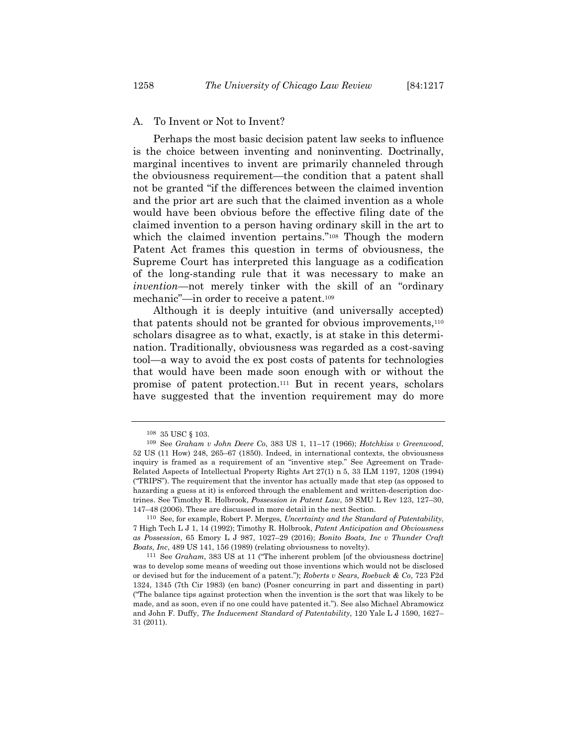## A. To Invent or Not to Invent?

Perhaps the most basic decision patent law seeks to influence is the choice between inventing and noninventing. Doctrinally, marginal incentives to invent are primarily channeled through the obviousness requirement—the condition that a patent shall not be granted "if the differences between the claimed invention and the prior art are such that the claimed invention as a whole would have been obvious before the effective filing date of the claimed invention to a person having ordinary skill in the art to which the claimed invention pertains."<sup>108</sup> Though the modern Patent Act frames this question in terms of obviousness, the Supreme Court has interpreted this language as a codification of the long-standing rule that it was necessary to make an *invention*—not merely tinker with the skill of an "ordinary mechanic"—in order to receive a patent.109

Although it is deeply intuitive (and universally accepted) that patents should not be granted for obvious improvements,110 scholars disagree as to what, exactly, is at stake in this determination. Traditionally, obviousness was regarded as a cost-saving tool—a way to avoid the ex post costs of patents for technologies that would have been made soon enough with or without the promise of patent protection.111 But in recent years, scholars have suggested that the invention requirement may do more

<sup>108 35</sup> USC § 103.

<sup>109</sup> See *Graham v John Deere Co*, 383 US 1, 11–17 (1966); *Hotchkiss v Greenwood*, 52 US (11 How) 248, 265–67 (1850). Indeed, in international contexts, the obviousness inquiry is framed as a requirement of an "inventive step." See Agreement on Trade-Related Aspects of Intellectual Property Rights Art 27(1) n 5, 33 ILM 1197, 1208 (1994) ("TRIPS"). The requirement that the inventor has actually made that step (as opposed to hazarding a guess at it) is enforced through the enablement and written-description doctrines. See Timothy R. Holbrook, *Possession in Patent Law*, 59 SMU L Rev 123, 127–30, 147–48 (2006). These are discussed in more detail in the next Section.

<sup>110</sup> See, for example, Robert P. Merges, *Uncertainty and the Standard of Patentability*, 7 High Tech L J 1, 14 (1992); Timothy R. Holbrook, *Patent Anticipation and Obviousness as Possession*, 65 Emory L J 987, 1027–29 (2016); *Bonito Boats, Inc v Thunder Craft Boats, Inc*, 489 US 141, 156 (1989) (relating obviousness to novelty).

<sup>111</sup> See *Graham*, 383 US at 11 ("The inherent problem [of the obviousness doctrine] was to develop some means of weeding out those inventions which would not be disclosed or devised but for the inducement of a patent."); *Roberts v Sears, Roebuck & Co*, 723 F2d 1324, 1345 (7th Cir 1983) (en banc) (Posner concurring in part and dissenting in part) ("The balance tips against protection when the invention is the sort that was likely to be made, and as soon, even if no one could have patented it."). See also Michael Abramowicz and John F. Duffy, *The Inducement Standard of Patentability*, 120 Yale L J 1590, 1627– 31 (2011).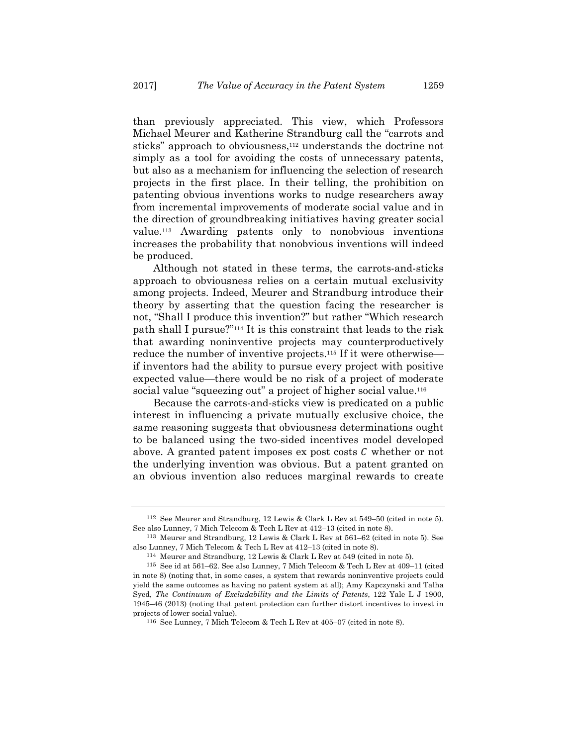than previously appreciated. This view, which Professors Michael Meurer and Katherine Strandburg call the "carrots and sticks" approach to obviousness,<sup>112</sup> understands the doctrine not simply as a tool for avoiding the costs of unnecessary patents, but also as a mechanism for influencing the selection of research projects in the first place. In their telling, the prohibition on patenting obvious inventions works to nudge researchers away from incremental improvements of moderate social value and in the direction of groundbreaking initiatives having greater social value.113 Awarding patents only to nonobvious inventions increases the probability that nonobvious inventions will indeed be produced.

Although not stated in these terms, the carrots-and-sticks approach to obviousness relies on a certain mutual exclusivity among projects. Indeed, Meurer and Strandburg introduce their theory by asserting that the question facing the researcher is not, "Shall I produce this invention?" but rather "Which research path shall I pursue?"114 It is this constraint that leads to the risk that awarding noninventive projects may counterproductively reduce the number of inventive projects.115 If it were otherwise if inventors had the ability to pursue every project with positive expected value—there would be no risk of a project of moderate social value "squeezing out" a project of higher social value.<sup>116</sup>

Because the carrots-and-sticks view is predicated on a public interest in influencing a private mutually exclusive choice, the same reasoning suggests that obviousness determinations ought to be balanced using the two-sided incentives model developed above. A granted patent imposes  $\alpha$  post costs  $\alpha$  whether or not the underlying invention was obvious. But a patent granted on an obvious invention also reduces marginal rewards to create

<sup>112</sup> See Meurer and Strandburg, 12 Lewis & Clark L Rev at 549–50 (cited in note 5). See also Lunney, 7 Mich Telecom & Tech L Rev at 412–13 (cited in note 8).

<sup>113</sup> Meurer and Strandburg, 12 Lewis & Clark L Rev at 561–62 (cited in note 5). See also Lunney, 7 Mich Telecom & Tech L Rev at 412–13 (cited in note 8).

<sup>114</sup> Meurer and Strandburg, 12 Lewis & Clark L Rev at 549 (cited in note 5). 115 See id at 561–62. See also Lunney, 7 Mich Telecom & Tech L Rev at 409–11 (cited in note 8) (noting that, in some cases, a system that rewards noninventive projects could yield the same outcomes as having no patent system at all); Amy Kapczynski and Talha Syed, *The Continuum of Excludability and the Limits of Patents*, 122 Yale L J 1900, 1945–46 (2013) (noting that patent protection can further distort incentives to invest in projects of lower social value).

<sup>116</sup> See Lunney, 7 Mich Telecom & Tech L Rev at 405–07 (cited in note 8).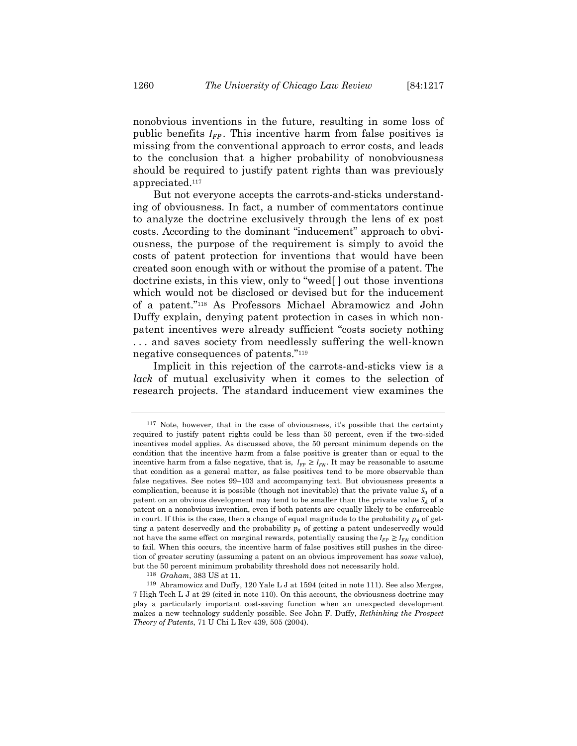nonobvious inventions in the future, resulting in some loss of public benefits  $I_{FP}$ . This incentive harm from false positives is missing from the conventional approach to error costs, and leads to the conclusion that a higher probability of nonobviousness should be required to justify patent rights than was previously appreciated.117

But not everyone accepts the carrots-and-sticks understanding of obviousness. In fact, a number of commentators continue to analyze the doctrine exclusively through the lens of ex post costs. According to the dominant "inducement" approach to obviousness, the purpose of the requirement is simply to avoid the costs of patent protection for inventions that would have been created soon enough with or without the promise of a patent. The doctrine exists, in this view, only to "weed[ ] out those inventions which would not be disclosed or devised but for the inducement of a patent."118 As Professors Michael Abramowicz and John Duffy explain, denying patent protection in cases in which nonpatent incentives were already sufficient "costs society nothing . . . and saves society from needlessly suffering the well-known negative consequences of patents."119

Implicit in this rejection of the carrots-and-sticks view is a *lack* of mutual exclusivity when it comes to the selection of research projects. The standard inducement view examines the

<sup>117</sup> Note, however, that in the case of obviousness, it's possible that the certainty required to justify patent rights could be less than 50 percent, even if the two-sided incentives model applies. As discussed above, the 50 percent minimum depends on the condition that the incentive harm from a false positive is greater than or equal to the incentive harm from a false negative, that is,  $I_{FP} \geq I_{FN}$ . It may be reasonable to assume that condition as a general matter, as false positives tend to be more observable than false negatives. See notes 99–103 and accompanying text. But obviousness presents a complication, because it is possible (though not inevitable) that the private value  $S_0$  of a patent on an obvious development may tend to be smaller than the private value  $S_A$  of a patent on a nonobvious invention, even if both patents are equally likely to be enforceable in court. If this is the case, then a change of equal magnitude to the probability  $p_A$  of getting a patent deservedly and the probability  $p_0$  of getting a patent undeservedly would not have the same effect on marginal rewards, potentially causing the  $I_{FP}\geq I_{FN}$  condition to fail. When this occurs, the incentive harm of false positives still pushes in the direction of greater scrutiny (assuming a patent on an obvious improvement has *some* value), but the 50 percent minimum probability threshold does not necessarily hold.

<sup>118</sup> *Graham*, 383 US at 11.

<sup>119</sup> Abramowicz and Duffy, 120 Yale L J at 1594 (cited in note 111). See also Merges, 7 High Tech L J at 29 (cited in note 110). On this account, the obviousness doctrine may play a particularly important cost-saving function when an unexpected development makes a new technology suddenly possible. See John F. Duffy, *Rethinking the Prospect Theory of Patents*, 71 U Chi L Rev 439, 505 (2004).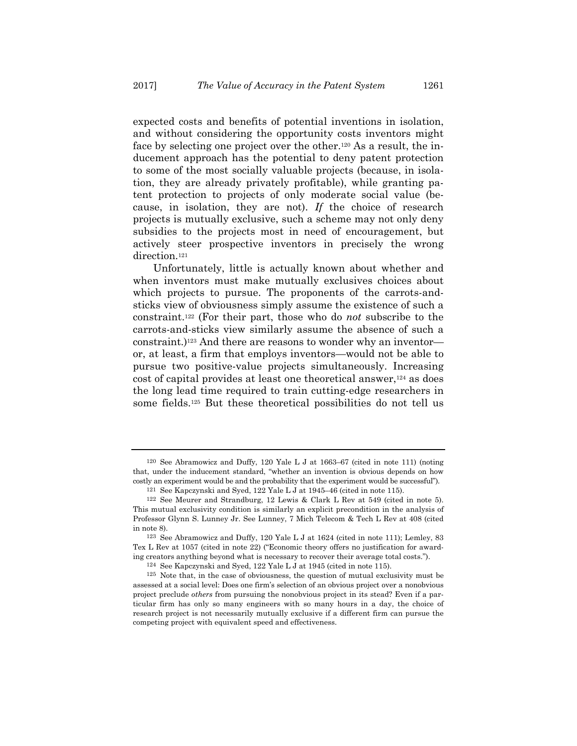expected costs and benefits of potential inventions in isolation, and without considering the opportunity costs inventors might face by selecting one project over the other.120 As a result, the inducement approach has the potential to deny patent protection to some of the most socially valuable projects (because, in isolation, they are already privately profitable), while granting patent protection to projects of only moderate social value (because, in isolation, they are not). *If* the choice of research projects is mutually exclusive, such a scheme may not only deny subsidies to the projects most in need of encouragement, but actively steer prospective inventors in precisely the wrong direction.<sup>121</sup>

Unfortunately, little is actually known about whether and when inventors must make mutually exclusives choices about which projects to pursue. The proponents of the carrots-andsticks view of obviousness simply assume the existence of such a constraint.122 (For their part, those who do *not* subscribe to the carrots-and-sticks view similarly assume the absence of such a constraint.)123 And there are reasons to wonder why an inventor or, at least, a firm that employs inventors—would not be able to pursue two positive-value projects simultaneously. Increasing cost of capital provides at least one theoretical answer,124 as does the long lead time required to train cutting-edge researchers in some fields.125 But these theoretical possibilities do not tell us

<sup>120</sup> See Abramowicz and Duffy, 120 Yale L J at 1663–67 (cited in note 111) (noting that, under the inducement standard, "whether an invention is obvious depends on how costly an experiment would be and the probability that the experiment would be successful").

<sup>121</sup> See Kapczynski and Syed, 122 Yale L J at 1945–46 (cited in note 115).

<sup>122</sup> See Meurer and Strandburg, 12 Lewis & Clark L Rev at 549 (cited in note 5). This mutual exclusivity condition is similarly an explicit precondition in the analysis of Professor Glynn S. Lunney Jr. See Lunney, 7 Mich Telecom & Tech L Rev at 408 (cited in note 8).

<sup>123</sup> See Abramowicz and Duffy, 120 Yale L J at 1624 (cited in note 111); Lemley, 83 Tex L Rev at 1057 (cited in note 22) ("Economic theory offers no justification for awarding creators anything beyond what is necessary to recover their average total costs.").

<sup>124</sup> See Kapczynski and Syed, 122 Yale L J at 1945 (cited in note 115).

<sup>125</sup> Note that, in the case of obviousness, the question of mutual exclusivity must be assessed at a social level: Does one firm's selection of an obvious project over a nonobvious project preclude *others* from pursuing the nonobvious project in its stead? Even if a particular firm has only so many engineers with so many hours in a day, the choice of research project is not necessarily mutually exclusive if a different firm can pursue the competing project with equivalent speed and effectiveness.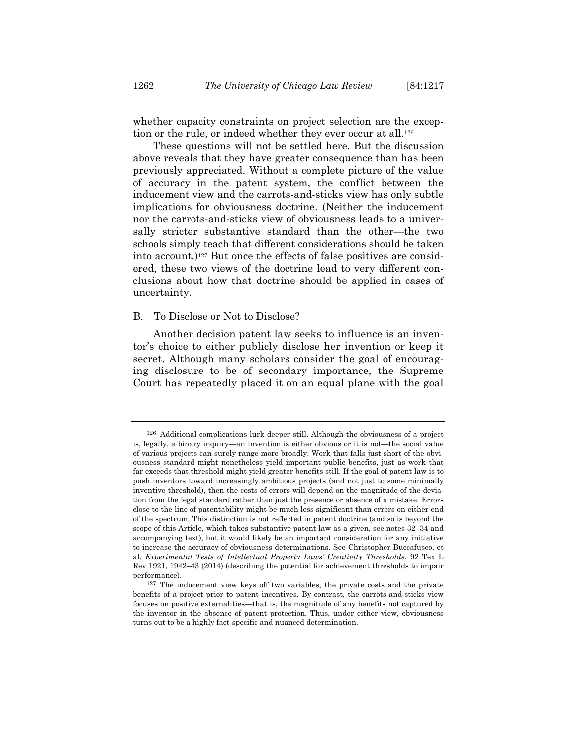whether capacity constraints on project selection are the exception or the rule, or indeed whether they ever occur at all.<sup>126</sup>

These questions will not be settled here. But the discussion above reveals that they have greater consequence than has been previously appreciated. Without a complete picture of the value of accuracy in the patent system, the conflict between the inducement view and the carrots-and-sticks view has only subtle implications for obviousness doctrine. (Neither the inducement nor the carrots-and-sticks view of obviousness leads to a universally stricter substantive standard than the other—the two schools simply teach that different considerations should be taken into account.)<sup>127</sup> But once the effects of false positives are considered, these two views of the doctrine lead to very different conclusions about how that doctrine should be applied in cases of uncertainty.

## B. To Disclose or Not to Disclose?

Another decision patent law seeks to influence is an inventor's choice to either publicly disclose her invention or keep it secret. Although many scholars consider the goal of encouraging disclosure to be of secondary importance, the Supreme Court has repeatedly placed it on an equal plane with the goal

<sup>126</sup> Additional complications lurk deeper still. Although the obviousness of a project is, legally, a binary inquiry—an invention is either obvious or it is not—the social value of various projects can surely range more broadly. Work that falls just short of the obviousness standard might nonetheless yield important public benefits, just as work that far exceeds that threshold might yield greater benefits still. If the goal of patent law is to push inventors toward increasingly ambitious projects (and not just to some minimally inventive threshold), then the costs of errors will depend on the magnitude of the deviation from the legal standard rather than just the presence or absence of a mistake. Errors close to the line of patentability might be much less significant than errors on either end of the spectrum. This distinction is not reflected in patent doctrine (and so is beyond the scope of this Article, which takes substantive patent law as a given, see notes 32–34 and accompanying text), but it would likely be an important consideration for any initiative to increase the accuracy of obviousness determinations. See Christopher Buccafusco, et al, *Experimental Tests of Intellectual Property Laws' Creativity Thresholds*, 92 Tex L Rev 1921, 1942–43 (2014) (describing the potential for achievement thresholds to impair performance).

<sup>127</sup> The inducement view keys off two variables, the private costs and the private benefits of a project prior to patent incentives. By contrast, the carrots-and-sticks view focuses on positive externalities—that is, the magnitude of any benefits not captured by the inventor in the absence of patent protection. Thus, under either view, obviousness turns out to be a highly fact-specific and nuanced determination.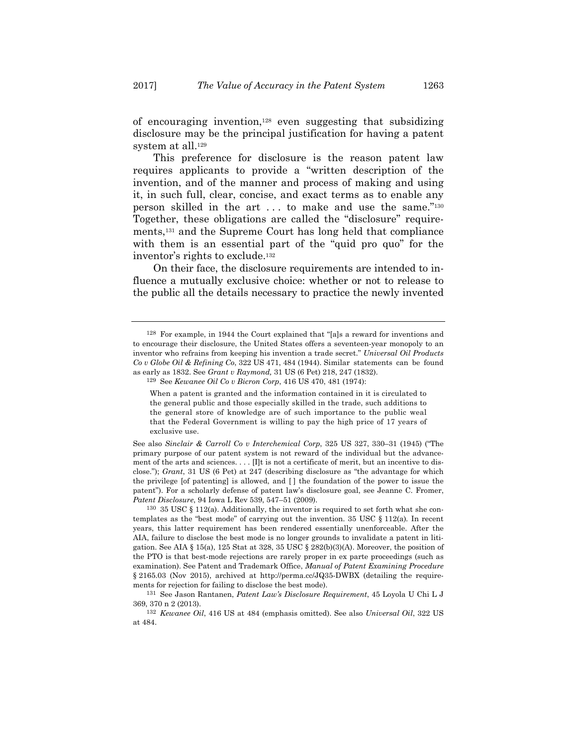of encouraging invention,128 even suggesting that subsidizing disclosure may be the principal justification for having a patent system at all.<sup>129</sup>

This preference for disclosure is the reason patent law requires applicants to provide a "written description of the invention, and of the manner and process of making and using it, in such full, clear, concise, and exact terms as to enable any person skilled in the art . . . to make and use the same."130 Together, these obligations are called the "disclosure" requirements,131 and the Supreme Court has long held that compliance with them is an essential part of the "quid pro quo" for the inventor's rights to exclude.132

On their face, the disclosure requirements are intended to influence a mutually exclusive choice: whether or not to release to the public all the details necessary to practice the newly invented

<sup>128</sup> For example, in 1944 the Court explained that "[a]s a reward for inventions and to encourage their disclosure, the United States offers a seventeen-year monopoly to an inventor who refrains from keeping his invention a trade secret." *Universal Oil Products Co v Globe Oil & Refining Co*, 322 US 471, 484 (1944). Similar statements can be found as early as 1832. See *Grant v Raymond,* 31 US (6 Pet) 218, 247 (1832).

<sup>129</sup> See *Kewanee Oil Co v Bicron Corp*, 416 US 470, 481 (1974):

When a patent is granted and the information contained in it is circulated to the general public and those especially skilled in the trade, such additions to the general store of knowledge are of such importance to the public weal that the Federal Government is willing to pay the high price of 17 years of exclusive use.

See also *Sinclair & Carroll Co v Interchemical Corp*, 325 US 327, 330–31 (1945) ("The primary purpose of our patent system is not reward of the individual but the advancement of the arts and sciences. . . . [I]t is not a certificate of merit, but an incentive to disclose."); *Grant*, 31 US (6 Pet) at 247 (describing disclosure as "the advantage for which the privilege [of patenting] is allowed, and [ ] the foundation of the power to issue the patent"). For a scholarly defense of patent law's disclosure goal, see Jeanne C. Fromer, *Patent Disclosure*, 94 Iowa L Rev 539, 547–51 (2009).

<sup>&</sup>lt;sup>130</sup> 35 USC  $\S$  112(a). Additionally, the inventor is required to set forth what she contemplates as the "best mode" of carrying out the invention. 35 USC § 112(a)*.* In recent years, this latter requirement has been rendered essentially unenforceable. After the AIA, failure to disclose the best mode is no longer grounds to invalidate a patent in litigation. See AIA § 15(a), 125 Stat at 328, 35 USC § 282(b)(3)(A). Moreover, the position of the PTO is that best-mode rejections are rarely proper in ex parte proceedings (such as examination). See Patent and Trademark Office, *Manual of Patent Examining Procedure* § 2165.03 (Nov 2015), archived at http://perma.cc/JQ35-DWBX (detailing the requirements for rejection for failing to disclose the best mode).

<sup>131</sup> See Jason Rantanen, *Patent Law's Disclosure Requirement*, 45 Loyola U Chi L J 369, 370 n 2 (2013).

<sup>132</sup> *Kewanee Oil*, 416 US at 484 (emphasis omitted). See also *Universal Oil*, 322 US at 484.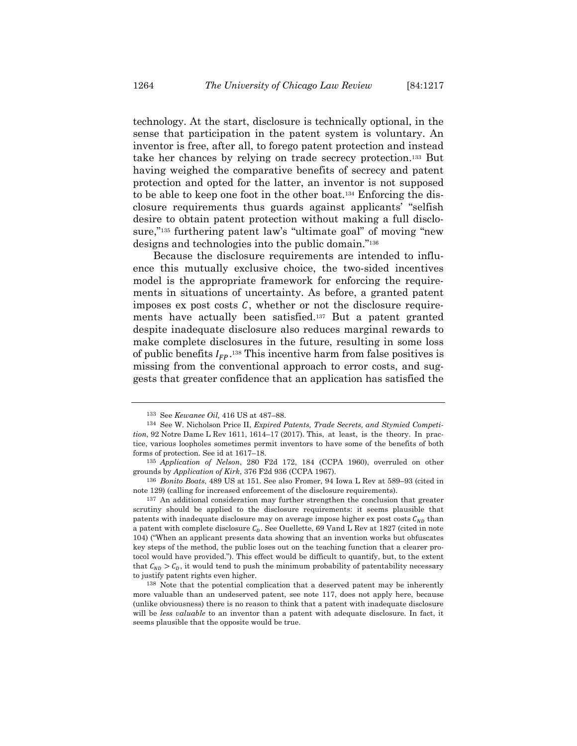technology. At the start, disclosure is technically optional, in the sense that participation in the patent system is voluntary. An inventor is free, after all, to forego patent protection and instead take her chances by relying on trade secrecy protection.133 But having weighed the comparative benefits of secrecy and patent protection and opted for the latter, an inventor is not supposed to be able to keep one foot in the other boat.134 Enforcing the disclosure requirements thus guards against applicants' "selfish desire to obtain patent protection without making a full disclosure,"135 furthering patent law's "ultimate goal" of moving "new designs and technologies into the public domain."136

Because the disclosure requirements are intended to influence this mutually exclusive choice, the two-sided incentives model is the appropriate framework for enforcing the requirements in situations of uncertainty. As before, a granted patent imposes ex post costs  $C$ , whether or not the disclosure requirements have actually been satisfied.137 But a patent granted despite inadequate disclosure also reduces marginal rewards to make complete disclosures in the future, resulting in some loss of public benefits  $I_{FP}$ .<sup>138</sup> This incentive harm from false positives is missing from the conventional approach to error costs, and suggests that greater confidence that an application has satisfied the

<sup>133</sup> See *Kewanee Oil,* 416 US at 487–88.

<sup>134</sup> See W. Nicholson Price II, *Expired Patents, Trade Secrets, and Stymied Competition*, 92 Notre Dame L Rev 1611, 1614–17 (2017). This, at least, is the theory. In practice, various loopholes sometimes permit inventors to have some of the benefits of both forms of protection. See id at 1617–18.

<sup>135</sup> *Application of Nelson*, 280 F2d 172, 184 (CCPA 1960), overruled on other grounds by *Application of Kirk*, 376 F2d 936 (CCPA 1967).

<sup>136</sup> *Bonito Boats*, 489 US at 151. See also Fromer, 94 Iowa L Rev at 589–93 (cited in note 129) (calling for increased enforcement of the disclosure requirements).

<sup>137</sup> An additional consideration may further strengthen the conclusion that greater scrutiny should be applied to the disclosure requirements: it seems plausible that patents with inadequate disclosure may on average impose higher ex post costs  $C_{ND}$  than a patent with complete disclosure  $C_p$ . See Ouellette, 69 Vand L Rev at 1827 (cited in note 104) ("When an applicant presents data showing that an invention works but obfuscates key steps of the method, the public loses out on the teaching function that a clearer protocol would have provided."). This effect would be difficult to quantify, but, to the extent that  $C_{ND} > C_D$ , it would tend to push the minimum probability of patentability necessary to justify patent rights even higher.

<sup>138</sup> Note that the potential complication that a deserved patent may be inherently more valuable than an undeserved patent, see note 117, does not apply here, because (unlike obviousness) there is no reason to think that a patent with inadequate disclosure will be *less valuable* to an inventor than a patent with adequate disclosure. In fact, it seems plausible that the opposite would be true.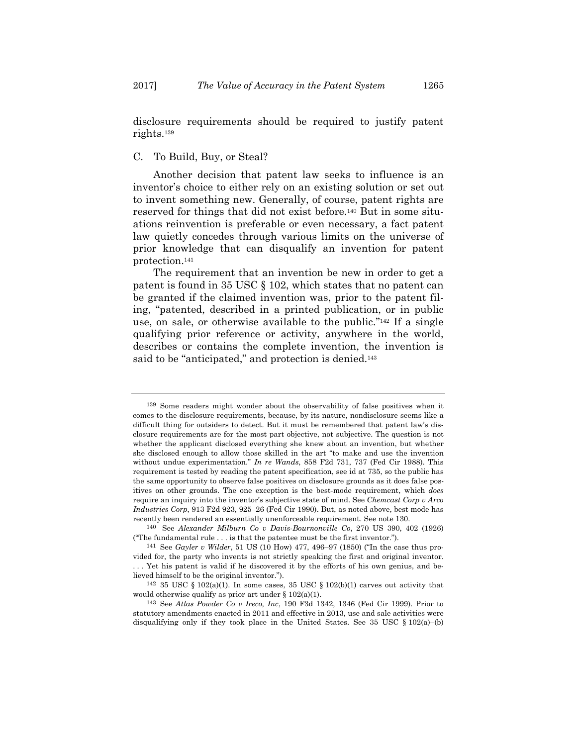disclosure requirements should be required to justify patent rights.139

#### C. To Build, Buy, or Steal?

Another decision that patent law seeks to influence is an inventor's choice to either rely on an existing solution or set out to invent something new. Generally, of course, patent rights are reserved for things that did not exist before.140 But in some situations reinvention is preferable or even necessary, a fact patent law quietly concedes through various limits on the universe of prior knowledge that can disqualify an invention for patent protection.141

The requirement that an invention be new in order to get a patent is found in 35 USC § 102, which states that no patent can be granted if the claimed invention was, prior to the patent filing, "patented, described in a printed publication, or in public use, on sale, or otherwise available to the public."142 If a single qualifying prior reference or activity, anywhere in the world, describes or contains the complete invention, the invention is said to be "anticipated," and protection is denied.<sup>143</sup>

<sup>139</sup> Some readers might wonder about the observability of false positives when it comes to the disclosure requirements, because, by its nature, nondisclosure seems like a difficult thing for outsiders to detect. But it must be remembered that patent law's disclosure requirements are for the most part objective, not subjective. The question is not whether the applicant disclosed everything she knew about an invention, but whether she disclosed enough to allow those skilled in the art "to make and use the invention without undue experimentation." *In re Wands*, 858 F2d 731, 737 (Fed Cir 1988). This requirement is tested by reading the patent specification, see id at 735, so the public has the same opportunity to observe false positives on disclosure grounds as it does false positives on other grounds. The one exception is the best-mode requirement, which *does* require an inquiry into the inventor's subjective state of mind. See *Chemcast Corp v Arco Industries Corp*, 913 F2d 923, 925–26 (Fed Cir 1990). But, as noted above, best mode has recently been rendered an essentially unenforceable requirement. See note 130.

<sup>140</sup> See *Alexander Milburn Co v Davis-Bournonville Co*, 270 US 390, 402 (1926) ("The fundamental rule . . . is that the patentee must be the first inventor.").

<sup>141</sup> See *Gayler v Wilder*, 51 US (10 How) 477, 496–97 (1850) ("In the case thus provided for, the party who invents is not strictly speaking the first and original inventor. . . . Yet his patent is valid if he discovered it by the efforts of his own genius, and believed himself to be the original inventor.").

 $142\,$  35 USC § 102(a)(1). In some cases, 35 USC § 102(b)(1) carves out activity that would otherwise qualify as prior art under  $\S 102(a)(1)$ .

<sup>143</sup> See *Atlas Powder Co v Ireco, Inc*, 190 F3d 1342, 1346 (Fed Cir 1999). Prior to statutory amendments enacted in 2011 and effective in 2013, use and sale activities were disqualifying only if they took place in the United States. See 35 USC  $\S 102(a)$ –(b)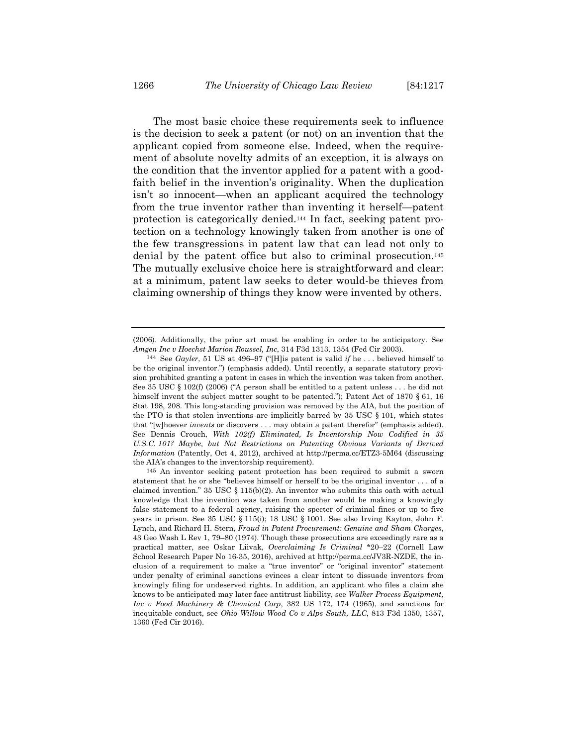The most basic choice these requirements seek to influence is the decision to seek a patent (or not) on an invention that the applicant copied from someone else. Indeed, when the requirement of absolute novelty admits of an exception, it is always on the condition that the inventor applied for a patent with a goodfaith belief in the invention's originality. When the duplication isn't so innocent—when an applicant acquired the technology from the true inventor rather than inventing it herself—patent protection is categorically denied.144 In fact, seeking patent protection on a technology knowingly taken from another is one of the few transgressions in patent law that can lead not only to denial by the patent office but also to criminal prosecution.145 The mutually exclusive choice here is straightforward and clear: at a minimum, patent law seeks to deter would-be thieves from claiming ownership of things they know were invented by others.

<sup>(2006).</sup> Additionally, the prior art must be enabling in order to be anticipatory. See *Amgen Inc v Hoechst Marion Roussel, Inc*, 314 F3d 1313, 1354 (Fed Cir 2003).

<sup>144</sup> See *Gayler*, 51 US at 496–97 ("[H]is patent is valid *if* he . . . believed himself to be the original inventor.") (emphasis added). Until recently, a separate statutory provision prohibited granting a patent in cases in which the invention was taken from another. See 35 USC § 102(f) (2006) ("A person shall be entitled to a patent unless  $\dots$  he did not himself invent the subject matter sought to be patented."); Patent Act of 1870 § 61, 16 Stat 198, 208. This long-standing provision was removed by the AIA, but the position of the PTO is that stolen inventions are implicitly barred by 35 USC § 101, which states that "[w]hoever *invents* or discovers . . . may obtain a patent therefor" (emphasis added). See Dennis Crouch, *With 102(f) Eliminated, Is Inventorship Now Codified in 35 U.S.C. 101? Maybe, but Not Restrictions on Patenting Obvious Variants of Derived Information* (Patently, Oct 4, 2012), archived at http://perma.cc/ETZ3-5M64 (discussing the AIA's changes to the inventorship requirement).

<sup>145</sup> An inventor seeking patent protection has been required to submit a sworn statement that he or she "believes himself or herself to be the original inventor . . . of a claimed invention." 35 USC  $\S 115(b)(2)$ . An inventor who submits this oath with actual knowledge that the invention was taken from another would be making a knowingly false statement to a federal agency, raising the specter of criminal fines or up to five years in prison. See 35 USC § 115(i); 18 USC § 1001. See also Irving Kayton, John F. Lynch, and Richard H. Stern, *Fraud in Patent Procurement: Genuine and Sham Charges*, 43 Geo Wash L Rev 1, 79–80 (1974). Though these prosecutions are exceedingly rare as a practical matter, see Oskar Liivak, *Overclaiming Is Criminal* \*20–22 (Cornell Law School Research Paper No 16-35, 2016), archived at http://perma.cc/JV3R-NZDE, the inclusion of a requirement to make a "true inventor" or "original inventor" statement under penalty of criminal sanctions evinces a clear intent to dissuade inventors from knowingly filing for undeserved rights. In addition, an applicant who files a claim she knows to be anticipated may later face antitrust liability, see *Walker Process Equipment, Inc v Food Machinery & Chemical Corp*, 382 US 172, 174 (1965), and sanctions for inequitable conduct, see *Ohio Willow Wood Co v Alps South, LLC*, 813 F3d 1350, 1357, 1360 (Fed Cir 2016).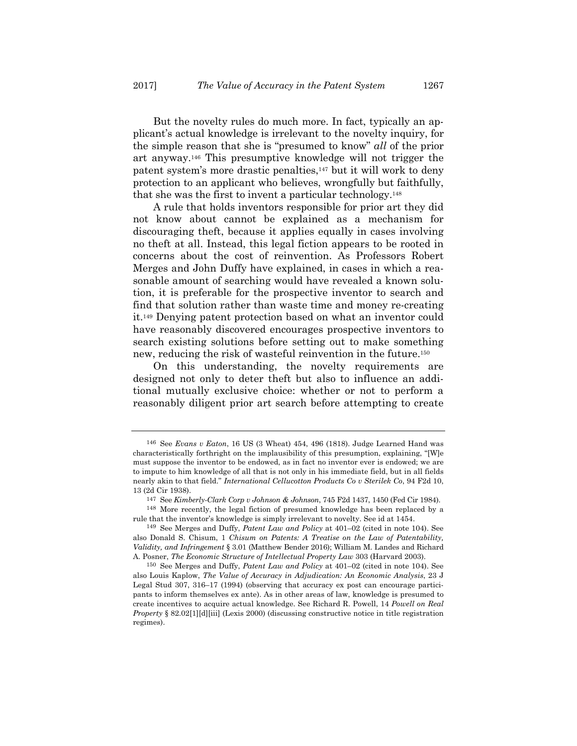But the novelty rules do much more. In fact, typically an applicant's actual knowledge is irrelevant to the novelty inquiry, for the simple reason that she is "presumed to know" *all* of the prior art anyway.146 This presumptive knowledge will not trigger the patent system's more drastic penalties,<sup>147</sup> but it will work to deny protection to an applicant who believes, wrongfully but faithfully, that she was the first to invent a particular technology.148

A rule that holds inventors responsible for prior art they did not know about cannot be explained as a mechanism for discouraging theft, because it applies equally in cases involving no theft at all. Instead, this legal fiction appears to be rooted in concerns about the cost of reinvention. As Professors Robert Merges and John Duffy have explained, in cases in which a reasonable amount of searching would have revealed a known solution, it is preferable for the prospective inventor to search and find that solution rather than waste time and money re-creating it.149 Denying patent protection based on what an inventor could have reasonably discovered encourages prospective inventors to search existing solutions before setting out to make something new, reducing the risk of wasteful reinvention in the future.150

On this understanding, the novelty requirements are designed not only to deter theft but also to influence an additional mutually exclusive choice: whether or not to perform a reasonably diligent prior art search before attempting to create

<sup>146</sup> See *Evans v Eaton*, 16 US (3 Wheat) 454, 496 (1818). Judge Learned Hand was characteristically forthright on the implausibility of this presumption, explaining, "[W]e must suppose the inventor to be endowed, as in fact no inventor ever is endowed; we are to impute to him knowledge of all that is not only in his immediate field, but in all fields nearly akin to that field." *International Cellucotton Products Co v Sterilek Co*, 94 F2d 10, 13 (2d Cir 1938).

<sup>147</sup> See *Kimberly-Clark Corp v Johnson & Johnson*, 745 F2d 1437, 1450 (Fed Cir 1984).

<sup>148</sup> More recently, the legal fiction of presumed knowledge has been replaced by a rule that the inventor's knowledge is simply irrelevant to novelty. See id at 1454.

<sup>149</sup> See Merges and Duffy, *Patent Law and Policy* at 401–02 (cited in note 104). See also Donald S. Chisum, 1 *Chisum on Patents: A Treatise on the Law of Patentability, Validity, and Infringement* § 3.01 (Matthew Bender 2016); William M. Landes and Richard A. Posner, *The Economic Structure of Intellectual Property Law* 303 (Harvard 2003).

<sup>150</sup> See Merges and Duffy, *Patent Law and Policy* at 401–02 (cited in note 104). See also Louis Kaplow, *The Value of Accuracy in Adjudication: An Economic Analysis*, 23 J Legal Stud 307, 316–17 (1994) (observing that accuracy ex post can encourage participants to inform themselves ex ante). As in other areas of law, knowledge is presumed to create incentives to acquire actual knowledge. See Richard R. Powell, 14 *Powell on Real Property* § 82.02[1][d][iii] (Lexis 2000) (discussing constructive notice in title registration regimes).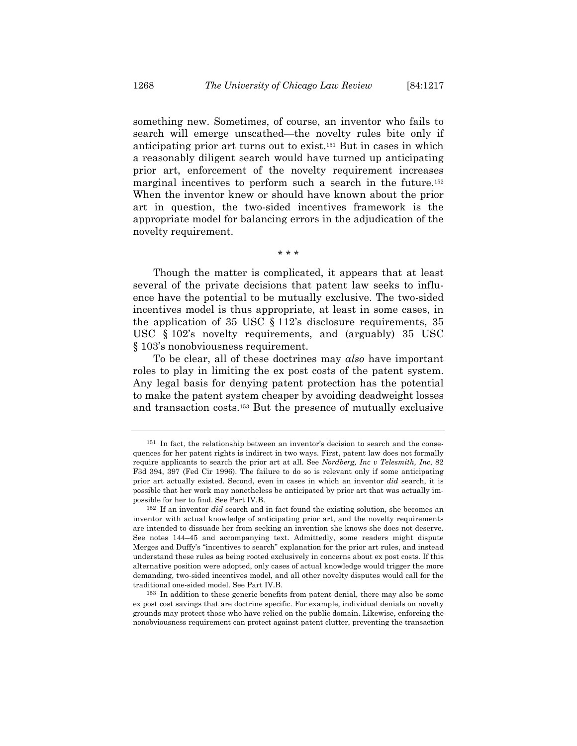something new. Sometimes, of course, an inventor who fails to search will emerge unscathed—the novelty rules bite only if anticipating prior art turns out to exist.151 But in cases in which a reasonably diligent search would have turned up anticipating prior art, enforcement of the novelty requirement increases marginal incentives to perform such a search in the future.<sup>152</sup> When the inventor knew or should have known about the prior art in question, the two-sided incentives framework is the appropriate model for balancing errors in the adjudication of the novelty requirement.

\* \* \*

Though the matter is complicated, it appears that at least several of the private decisions that patent law seeks to influence have the potential to be mutually exclusive. The two-sided incentives model is thus appropriate, at least in some cases, in the application of 35 USC § 112's disclosure requirements, 35 USC § 102's novelty requirements, and (arguably) 35 USC § 103's nonobviousness requirement.

To be clear, all of these doctrines may *also* have important roles to play in limiting the ex post costs of the patent system. Any legal basis for denying patent protection has the potential to make the patent system cheaper by avoiding deadweight losses and transaction costs.153 But the presence of mutually exclusive

<sup>151</sup> In fact, the relationship between an inventor's decision to search and the consequences for her patent rights is indirect in two ways. First, patent law does not formally require applicants to search the prior art at all. See *Nordberg, Inc v Telesmith, Inc*, 82 F3d 394, 397 (Fed Cir 1996). The failure to do so is relevant only if some anticipating prior art actually existed. Second, even in cases in which an inventor *did* search, it is possible that her work may nonetheless be anticipated by prior art that was actually impossible for her to find. See Part IV.B.

<sup>152</sup> If an inventor *did* search and in fact found the existing solution, she becomes an inventor with actual knowledge of anticipating prior art, and the novelty requirements are intended to dissuade her from seeking an invention she knows she does not deserve. See notes 144–45 and accompanying text. Admittedly, some readers might dispute Merges and Duffy's "incentives to search" explanation for the prior art rules, and instead understand these rules as being rooted exclusively in concerns about ex post costs. If this alternative position were adopted, only cases of actual knowledge would trigger the more demanding, two-sided incentives model, and all other novelty disputes would call for the traditional one-sided model. See Part IV.B.

<sup>153</sup> In addition to these generic benefits from patent denial, there may also be some ex post cost savings that are doctrine specific. For example, individual denials on novelty grounds may protect those who have relied on the public domain. Likewise, enforcing the nonobviousness requirement can protect against patent clutter, preventing the transaction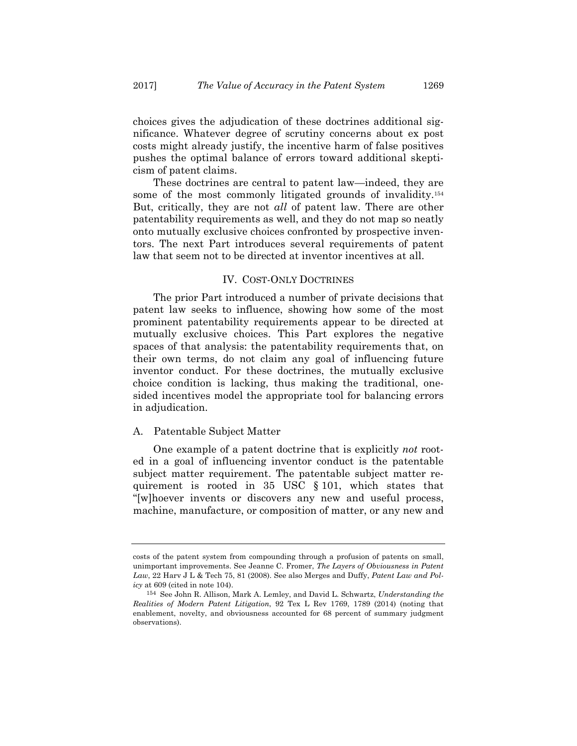choices gives the adjudication of these doctrines additional significance. Whatever degree of scrutiny concerns about ex post costs might already justify, the incentive harm of false positives pushes the optimal balance of errors toward additional skepticism of patent claims.

These doctrines are central to patent law—indeed, they are some of the most commonly litigated grounds of invalidity.154 But, critically, they are not *all* of patent law. There are other patentability requirements as well, and they do not map so neatly onto mutually exclusive choices confronted by prospective inventors. The next Part introduces several requirements of patent law that seem not to be directed at inventor incentives at all.

# IV. COST-ONLY DOCTRINES

The prior Part introduced a number of private decisions that patent law seeks to influence, showing how some of the most prominent patentability requirements appear to be directed at mutually exclusive choices. This Part explores the negative spaces of that analysis: the patentability requirements that, on their own terms, do not claim any goal of influencing future inventor conduct. For these doctrines, the mutually exclusive choice condition is lacking, thus making the traditional, onesided incentives model the appropriate tool for balancing errors in adjudication.

#### A. Patentable Subject Matter

One example of a patent doctrine that is explicitly *not* rooted in a goal of influencing inventor conduct is the patentable subject matter requirement. The patentable subject matter requirement is rooted in 35 USC § 101, which states that "[w]hoever invents or discovers any new and useful process, machine, manufacture, or composition of matter, or any new and

costs of the patent system from compounding through a profusion of patents on small, unimportant improvements. See Jeanne C. Fromer, *The Layers of Obviousness in Patent Law*, 22 Harv J L & Tech 75, 81 (2008). See also Merges and Duffy, *Patent Law and Policy* at 609 (cited in note 104).

<sup>154</sup> See John R. Allison, Mark A. Lemley, and David L. Schwartz, *Understanding the Realities of Modern Patent Litigation*, 92 Tex L Rev 1769, 1789 (2014) (noting that enablement, novelty, and obviousness accounted for 68 percent of summary judgment observations).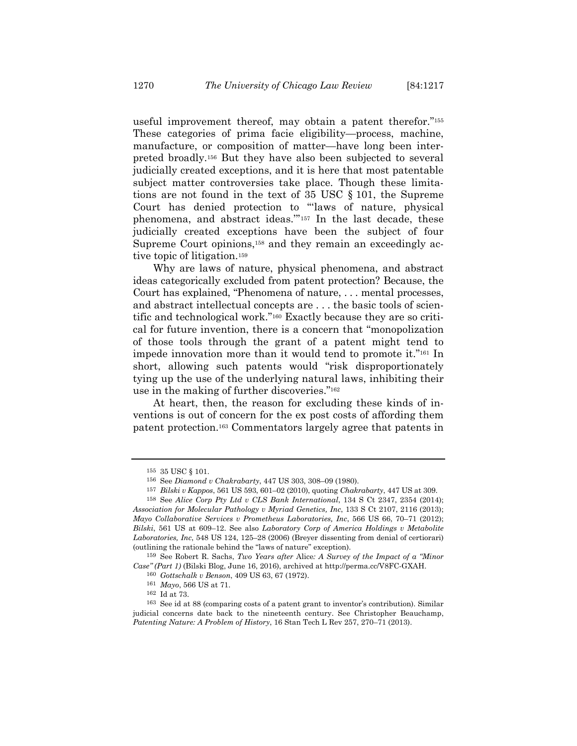useful improvement thereof, may obtain a patent therefor."155 These categories of prima facie eligibility—process, machine, manufacture, or composition of matter—have long been interpreted broadly.156 But they have also been subjected to several judicially created exceptions, and it is here that most patentable subject matter controversies take place. Though these limitations are not found in the text of 35 USC § 101, the Supreme Court has denied protection to "'laws of nature, physical phenomena, and abstract ideas.'"157 In the last decade, these judicially created exceptions have been the subject of four Supreme Court opinions,<sup>158</sup> and they remain an exceedingly active topic of litigation.159

Why are laws of nature, physical phenomena, and abstract ideas categorically excluded from patent protection? Because, the Court has explained, "Phenomena of nature, . . . mental processes, and abstract intellectual concepts are . . . the basic tools of scientific and technological work."160 Exactly because they are so critical for future invention, there is a concern that "monopolization of those tools through the grant of a patent might tend to impede innovation more than it would tend to promote it."161 In short, allowing such patents would "risk disproportionately tying up the use of the underlying natural laws, inhibiting their use in the making of further discoveries."162

At heart, then, the reason for excluding these kinds of inventions is out of concern for the ex post costs of affording them patent protection.163 Commentators largely agree that patents in

<sup>155 35</sup> USC § 101.

<sup>156</sup> See *Diamond v Chakrabarty*, 447 US 303, 308–09 (1980).

<sup>157</sup> *Bilski v Kappos*, 561 US 593, 601–02 (2010), quoting *Chakrabarty*, 447 US at 309.

<sup>158</sup> See *Alice Corp Pty Ltd v CLS Bank International*, 134 S Ct 2347, 2354 (2014); *Association for Molecular Pathology v Myriad Genetics, Inc*, 133 S Ct 2107, 2116 (2013); *Mayo Collaborative Services v Prometheus Laboratories, Inc*, 566 US 66, 70–71 (2012); *Bilski*, 561 US at 609–12. See also *Laboratory Corp of America Holdings v Metabolite Laboratories, Inc*, 548 US 124, 125–28 (2006) (Breyer dissenting from denial of certiorari) (outlining the rationale behind the "laws of nature" exception).

<sup>159</sup> See Robert R. Sachs, *Two Years after* Alice*: A Survey of the Impact of a "Minor Case" (Part 1)* (Bilski Blog, June 16, 2016), archived at http://perma.cc/V8FC-GXAH.

<sup>160</sup> *Gottschalk v Benson*, 409 US 63, 67 (1972).

 $^{161}$   $\,M\!a\!y$ o, 566 US at 71.  $^{162}$  Id at 73.

<sup>163</sup> See id at 88 (comparing costs of a patent grant to inventor's contribution). Similar judicial concerns date back to the nineteenth century. See Christopher Beauchamp, *Patenting Nature: A Problem of History*, 16 Stan Tech L Rev 257, 270–71 (2013).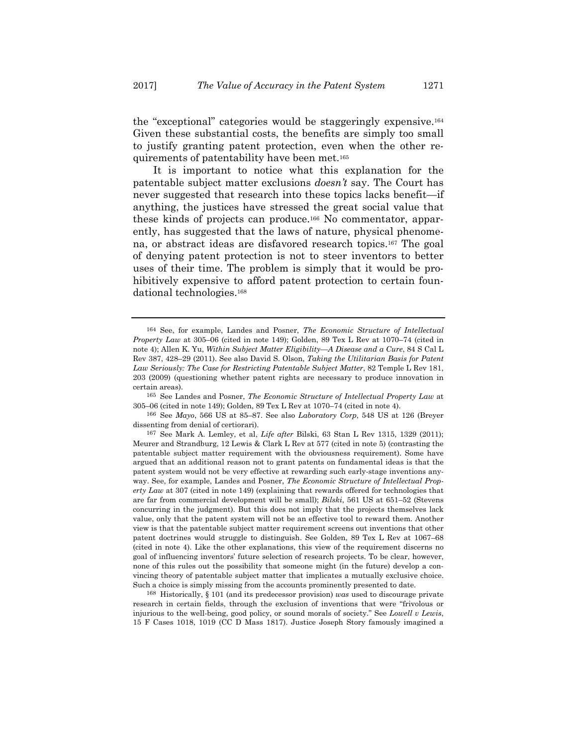the "exceptional" categories would be staggeringly expensive.164 Given these substantial costs, the benefits are simply too small to justify granting patent protection, even when the other requirements of patentability have been met.165

It is important to notice what this explanation for the patentable subject matter exclusions *doesn't* say. The Court has never suggested that research into these topics lacks benefit—if anything, the justices have stressed the great social value that these kinds of projects can produce.166 No commentator, apparently, has suggested that the laws of nature, physical phenomena, or abstract ideas are disfavored research topics.167 The goal of denying patent protection is not to steer inventors to better uses of their time. The problem is simply that it would be prohibitively expensive to afford patent protection to certain foundational technologies.168

165 See Landes and Posner, *The Economic Structure of Intellectual Property Law* at 305–06 (cited in note 149); Golden, 89 Tex L Rev at 1070–74 (cited in note 4).

166 See *Mayo*, 566 US at 85–87. See also *Laboratory Corp*, 548 US at 126 (Breyer dissenting from denial of certiorari).

168 Historically, § 101 (and its predecessor provision) *was* used to discourage private research in certain fields, through the exclusion of inventions that were "frivolous or injurious to the well-being, good policy, or sound morals of society." See *Lowell v Lewis*, 15 F Cases 1018, 1019 (CC D Mass 1817). Justice Joseph Story famously imagined a

<sup>164</sup> See, for example, Landes and Posner, *The Economic Structure of Intellectual Property Law* at 305–06 (cited in note 149); Golden, 89 Tex L Rev at 1070–74 (cited in note 4); Allen K. Yu, *Within Subject Matter Eligibility—A Disease and a Cure*, 84 S Cal L Rev 387, 428–29 (2011). See also David S. Olson, *Taking the Utilitarian Basis for Patent Law Seriously: The Case for Restricting Patentable Subject Matter*, 82 Temple L Rev 181, 203 (2009) (questioning whether patent rights are necessary to produce innovation in certain areas).

<sup>167</sup> See Mark A. Lemley, et al, *Life after* Bilski, 63 Stan L Rev 1315, 1329 (2011); Meurer and Strandburg, 12 Lewis & Clark L Rev at 577 (cited in note 5) (contrasting the patentable subject matter requirement with the obviousness requirement). Some have argued that an additional reason not to grant patents on fundamental ideas is that the patent system would not be very effective at rewarding such early-stage inventions anyway. See, for example, Landes and Posner, *The Economic Structure of Intellectual Property Law* at 307 (cited in note 149) (explaining that rewards offered for technologies that are far from commercial development will be small); *Bilski*, 561 US at 651–52 (Stevens concurring in the judgment). But this does not imply that the projects themselves lack value, only that the patent system will not be an effective tool to reward them. Another view is that the patentable subject matter requirement screens out inventions that other patent doctrines would struggle to distinguish. See Golden, 89 Tex L Rev at 1067–68 (cited in note 4). Like the other explanations, this view of the requirement discerns no goal of influencing inventors' future selection of research projects. To be clear, however, none of this rules out the possibility that someone might (in the future) develop a convincing theory of patentable subject matter that implicates a mutually exclusive choice. Such a choice is simply missing from the accounts prominently presented to date.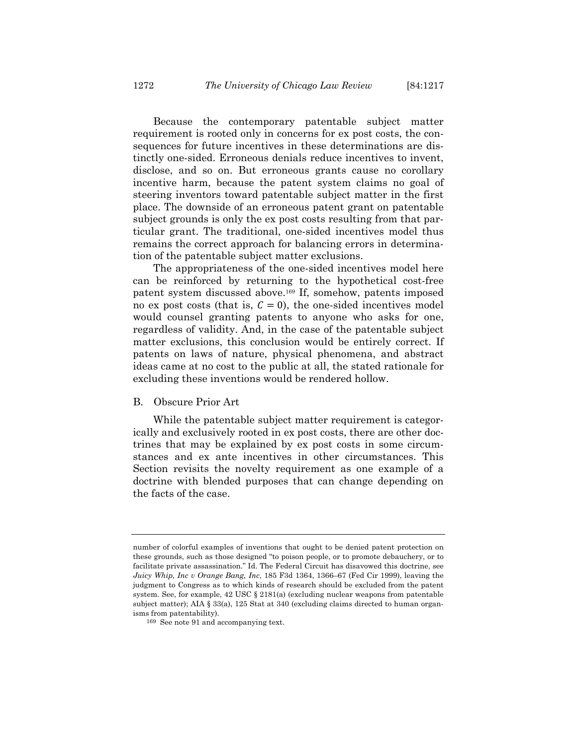Because the contemporary patentable subject matter requirement is rooted only in concerns for ex post costs, the consequences for future incentives in these determinations are distinctly one-sided. Erroneous denials reduce incentives to invent, disclose, and so on. But erroneous grants cause no corollary incentive harm, because the patent system claims no goal of steering inventors toward patentable subject matter in the first place. The downside of an erroneous patent grant on patentable subject grounds is only the ex post costs resulting from that particular grant. The traditional, one-sided incentives model thus remains the correct approach for balancing errors in determination of the patentable subject matter exclusions.

The appropriateness of the one-sided incentives model here can be reinforced by returning to the hypothetical cost-free patent system discussed above.169 If, somehow, patents imposed no ex post costs (that is,  $C = 0$ ), the one-sided incentives model would counsel granting patents to anyone who asks for one, regardless of validity. And, in the case of the patentable subject matter exclusions, this conclusion would be entirely correct. If patents on laws of nature, physical phenomena, and abstract ideas came at no cost to the public at all, the stated rationale for excluding these inventions would be rendered hollow.

#### B. Obscure Prior Art

While the patentable subject matter requirement is categorically and exclusively rooted in ex post costs, there are other doctrines that may be explained by ex post costs in some circumstances and ex ante incentives in other circumstances. This Section revisits the novelty requirement as one example of a doctrine with blended purposes that can change depending on the facts of the case.

number of colorful examples of inventions that ought to be denied patent protection on these grounds, such as those designed "to poison people, or to promote debauchery, or to facilitate private assassination." Id. The Federal Circuit has disavowed this doctrine, see *Juicy Whip, Inc v Orange Bang, Inc*, 185 F3d 1364, 1366–67 (Fed Cir 1999), leaving the judgment to Congress as to which kinds of research should be excluded from the patent system. See, for example,  $42 \text{ USC} \text{ § } 2181(a)$  (excluding nuclear weapons from patentable subject matter); AIA § 33(a), 125 Stat at 340 (excluding claims directed to human organisms from patentability).

<sup>169</sup> See note 91 and accompanying text.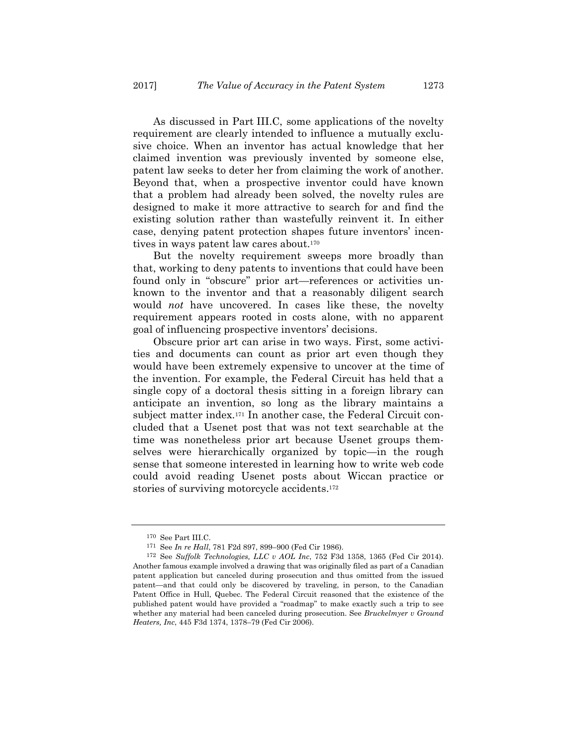As discussed in Part III.C, some applications of the novelty requirement are clearly intended to influence a mutually exclusive choice. When an inventor has actual knowledge that her claimed invention was previously invented by someone else, patent law seeks to deter her from claiming the work of another. Beyond that, when a prospective inventor could have known that a problem had already been solved, the novelty rules are designed to make it more attractive to search for and find the existing solution rather than wastefully reinvent it. In either case, denying patent protection shapes future inventors' incentives in ways patent law cares about.170

But the novelty requirement sweeps more broadly than that, working to deny patents to inventions that could have been found only in "obscure" prior art—references or activities unknown to the inventor and that a reasonably diligent search would *not* have uncovered. In cases like these, the novelty requirement appears rooted in costs alone, with no apparent goal of influencing prospective inventors' decisions.

Obscure prior art can arise in two ways. First, some activities and documents can count as prior art even though they would have been extremely expensive to uncover at the time of the invention. For example, the Federal Circuit has held that a single copy of a doctoral thesis sitting in a foreign library can anticipate an invention, so long as the library maintains a subject matter index.171 In another case, the Federal Circuit concluded that a Usenet post that was not text searchable at the time was nonetheless prior art because Usenet groups themselves were hierarchically organized by topic—in the rough sense that someone interested in learning how to write web code could avoid reading Usenet posts about Wiccan practice or stories of surviving motorcycle accidents.172

<sup>170</sup> See Part III.C.

<sup>171</sup> See *In re Hall*, 781 F2d 897, 899–900 (Fed Cir 1986).

<sup>172</sup> See *Suffolk Technologies, LLC v AOL Inc*, 752 F3d 1358, 1365 (Fed Cir 2014). Another famous example involved a drawing that was originally filed as part of a Canadian patent application but canceled during prosecution and thus omitted from the issued patent—and that could only be discovered by traveling, in person, to the Canadian Patent Office in Hull, Quebec. The Federal Circuit reasoned that the existence of the published patent would have provided a "roadmap" to make exactly such a trip to see whether any material had been canceled during prosecution. See *Bruckelmyer v Ground Heaters, Inc*, 445 F3d 1374, 1378–79 (Fed Cir 2006).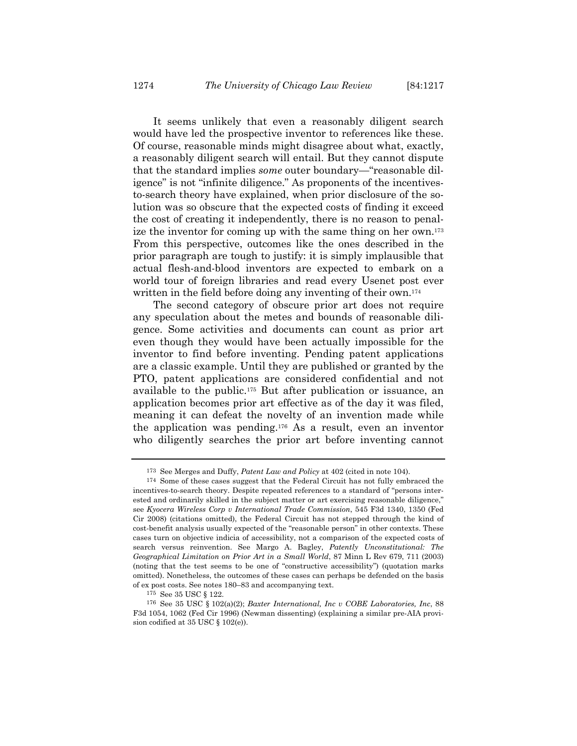It seems unlikely that even a reasonably diligent search would have led the prospective inventor to references like these. Of course, reasonable minds might disagree about what, exactly, a reasonably diligent search will entail. But they cannot dispute that the standard implies *some* outer boundary—"reasonable diligence" is not "infinite diligence." As proponents of the incentivesto-search theory have explained, when prior disclosure of the solution was so obscure that the expected costs of finding it exceed the cost of creating it independently, there is no reason to penalize the inventor for coming up with the same thing on her own.173 From this perspective, outcomes like the ones described in the

prior paragraph are tough to justify: it is simply implausible that actual flesh-and-blood inventors are expected to embark on a world tour of foreign libraries and read every Usenet post ever written in the field before doing any inventing of their own.<sup>174</sup>

The second category of obscure prior art does not require any speculation about the metes and bounds of reasonable diligence. Some activities and documents can count as prior art even though they would have been actually impossible for the inventor to find before inventing. Pending patent applications are a classic example. Until they are published or granted by the PTO, patent applications are considered confidential and not available to the public.175 But after publication or issuance, an application becomes prior art effective as of the day it was filed, meaning it can defeat the novelty of an invention made while the application was pending.176 As a result, even an inventor who diligently searches the prior art before inventing cannot

<sup>173</sup> See Merges and Duffy, *Patent Law and Policy* at 402 (cited in note 104). 174 Some of these cases suggest that the Federal Circuit has not fully embraced the incentives-to-search theory. Despite repeated references to a standard of "persons interested and ordinarily skilled in the subject matter or art exercising reasonable diligence," see *Kyocera Wireless Corp v International Trade Commission*, 545 F3d 1340, 1350 (Fed Cir 2008) (citations omitted), the Federal Circuit has not stepped through the kind of cost-benefit analysis usually expected of the "reasonable person" in other contexts. These cases turn on objective indicia of accessibility, not a comparison of the expected costs of search versus reinvention. See Margo A. Bagley, *Patently Unconstitutional: The Geographical Limitation on Prior Art in a Small World*, 87 Minn L Rev 679, 711 (2003) (noting that the test seems to be one of "constructive accessibility") (quotation marks omitted). Nonetheless, the outcomes of these cases can perhaps be defended on the basis of ex post costs. See notes 180–83 and accompanying text.

<sup>175</sup> See 35 USC § 122.

<sup>176</sup> See 35 USC § 102(a)(2); *Baxter International, Inc v COBE Laboratories, Inc*, 88 F3d 1054, 1062 (Fed Cir 1996) (Newman dissenting) (explaining a similar pre-AIA provision codified at 35 USC § 102(e)).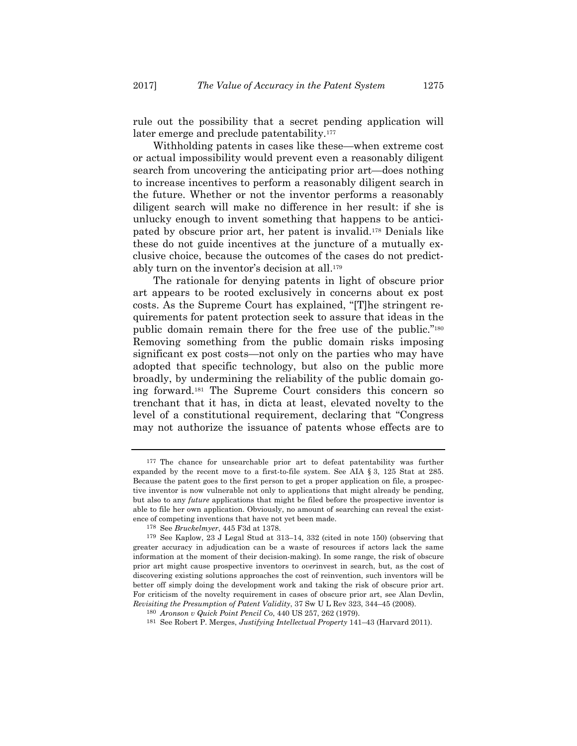rule out the possibility that a secret pending application will later emerge and preclude patentability.<sup>177</sup>

Withholding patents in cases like these—when extreme cost or actual impossibility would prevent even a reasonably diligent search from uncovering the anticipating prior art—does nothing to increase incentives to perform a reasonably diligent search in the future. Whether or not the inventor performs a reasonably diligent search will make no difference in her result: if she is unlucky enough to invent something that happens to be anticipated by obscure prior art, her patent is invalid.178 Denials like these do not guide incentives at the juncture of a mutually exclusive choice, because the outcomes of the cases do not predictably turn on the inventor's decision at all.179

The rationale for denying patents in light of obscure prior art appears to be rooted exclusively in concerns about ex post costs. As the Supreme Court has explained, "[T]he stringent requirements for patent protection seek to assure that ideas in the public domain remain there for the free use of the public."180 Removing something from the public domain risks imposing significant ex post costs—not only on the parties who may have adopted that specific technology, but also on the public more broadly, by undermining the reliability of the public domain going forward.181 The Supreme Court considers this concern so trenchant that it has, in dicta at least, elevated novelty to the level of a constitutional requirement, declaring that "Congress may not authorize the issuance of patents whose effects are to

<sup>177</sup> The chance for unsearchable prior art to defeat patentability was further expanded by the recent move to a first-to-file system. See AIA § 3, 125 Stat at 285. Because the patent goes to the first person to get a proper application on file, a prospective inventor is now vulnerable not only to applications that might already be pending, but also to any *future* applications that might be filed before the prospective inventor is able to file her own application. Obviously, no amount of searching can reveal the existence of competing inventions that have not yet been made.

<sup>&</sup>lt;sup>178</sup> See *Bruckelmyer*, 445 F3d at 1378.<br><sup>179</sup> See Kaplow, 23 J Legal Stud at 313–14, 332 (cited in note 150) (observing that greater accuracy in adjudication can be a waste of resources if actors lack the same information at the moment of their decision-making). In some range, the risk of obscure prior art might cause prospective inventors to *over*invest in search, but, as the cost of discovering existing solutions approaches the cost of reinvention, such inventors will be better off simply doing the development work and taking the risk of obscure prior art. For criticism of the novelty requirement in cases of obscure prior art, see Alan Devlin, *Revisiting the Presumption of Patent Validity*, 37 Sw U L Rev 323, 344–45 (2008).

<sup>180</sup> *Aronson v Quick Point Pencil Co*, 440 US 257, 262 (1979).

<sup>181</sup> See Robert P. Merges, *Justifying Intellectual Property* 141–43 (Harvard 2011).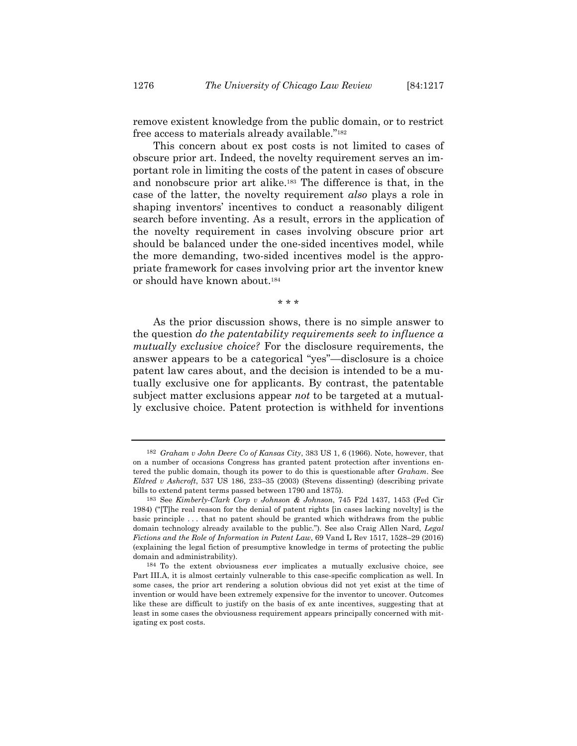remove existent knowledge from the public domain, or to restrict free access to materials already available."182

This concern about ex post costs is not limited to cases of obscure prior art. Indeed, the novelty requirement serves an important role in limiting the costs of the patent in cases of obscure and nonobscure prior art alike.183 The difference is that, in the case of the latter, the novelty requirement *also* plays a role in shaping inventors' incentives to conduct a reasonably diligent search before inventing. As a result, errors in the application of the novelty requirement in cases involving obscure prior art should be balanced under the one-sided incentives model, while the more demanding, two-sided incentives model is the appropriate framework for cases involving prior art the inventor knew or should have known about.184

\* \* \*

As the prior discussion shows, there is no simple answer to the question *do the patentability requirements seek to influence a mutually exclusive choice?* For the disclosure requirements, the answer appears to be a categorical "yes"—disclosure is a choice patent law cares about, and the decision is intended to be a mutually exclusive one for applicants. By contrast, the patentable subject matter exclusions appear *not* to be targeted at a mutually exclusive choice. Patent protection is withheld for inventions

<sup>182</sup> *Graham v John Deere Co of Kansas City*, 383 US 1, 6 (1966). Note, however, that on a number of occasions Congress has granted patent protection after inventions entered the public domain, though its power to do this is questionable after *Graham*. See *Eldred v Ashcroft*, 537 US 186, 233–35 (2003) (Stevens dissenting) (describing private bills to extend patent terms passed between 1790 and 1875).

<sup>183</sup> See *Kimberly-Clark Corp v Johnson & Johnson*, 745 F2d 1437, 1453 (Fed Cir 1984) ("[T]he real reason for the denial of patent rights [in cases lacking novelty] is the basic principle . . . that no patent should be granted which withdraws from the public domain technology already available to the public."). See also Craig Allen Nard, *Legal Fictions and the Role of Information in Patent Law*, 69 Vand L Rev 1517, 1528–29 (2016) (explaining the legal fiction of presumptive knowledge in terms of protecting the public domain and administrability).

<sup>184</sup> To the extent obviousness *ever* implicates a mutually exclusive choice, see Part III.A, it is almost certainly vulnerable to this case-specific complication as well. In some cases, the prior art rendering a solution obvious did not yet exist at the time of invention or would have been extremely expensive for the inventor to uncover. Outcomes like these are difficult to justify on the basis of ex ante incentives, suggesting that at least in some cases the obviousness requirement appears principally concerned with mitigating ex post costs.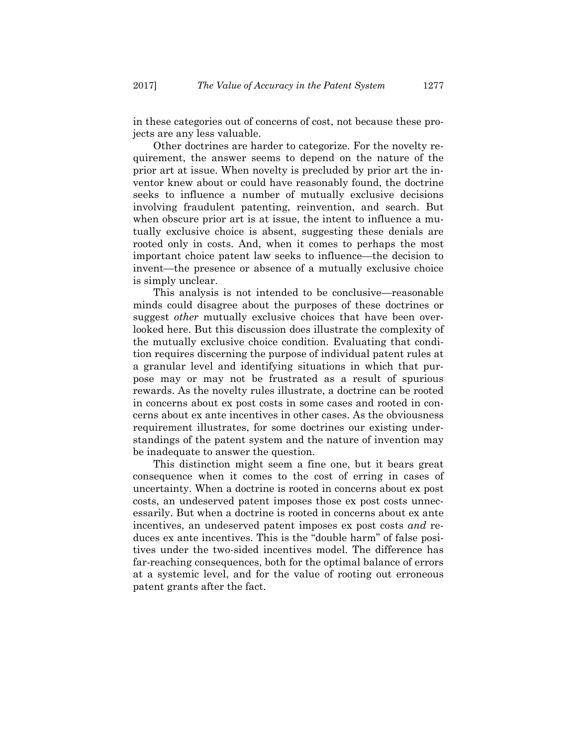in these categories out of concerns of cost, not because these projects are any less valuable.

Other doctrines are harder to categorize. For the novelty requirement, the answer seems to depend on the nature of the prior art at issue. When novelty is precluded by prior art the inventor knew about or could have reasonably found, the doctrine seeks to influence a number of mutually exclusive decisions involving fraudulent patenting, reinvention, and search. But when obscure prior art is at issue, the intent to influence a mutually exclusive choice is absent, suggesting these denials are rooted only in costs. And, when it comes to perhaps the most important choice patent law seeks to influence—the decision to invent—the presence or absence of a mutually exclusive choice is simply unclear.

This analysis is not intended to be conclusive—reasonable minds could disagree about the purposes of these doctrines or suggest *other* mutually exclusive choices that have been overlooked here. But this discussion does illustrate the complexity of the mutually exclusive choice condition. Evaluating that condition requires discerning the purpose of individual patent rules at a granular level and identifying situations in which that purpose may or may not be frustrated as a result of spurious rewards. As the novelty rules illustrate, a doctrine can be rooted in concerns about ex post costs in some cases and rooted in concerns about ex ante incentives in other cases. As the obviousness requirement illustrates, for some doctrines our existing understandings of the patent system and the nature of invention may be inadequate to answer the question.

This distinction might seem a fine one, but it bears great consequence when it comes to the cost of erring in cases of uncertainty. When a doctrine is rooted in concerns about ex post costs, an undeserved patent imposes those ex post costs unnecessarily. But when a doctrine is rooted in concerns about ex ante incentives, an undeserved patent imposes ex post costs *and* reduces ex ante incentives. This is the "double harm" of false positives under the two-sided incentives model. The difference has far-reaching consequences, both for the optimal balance of errors at a systemic level, and for the value of rooting out erroneous patent grants after the fact.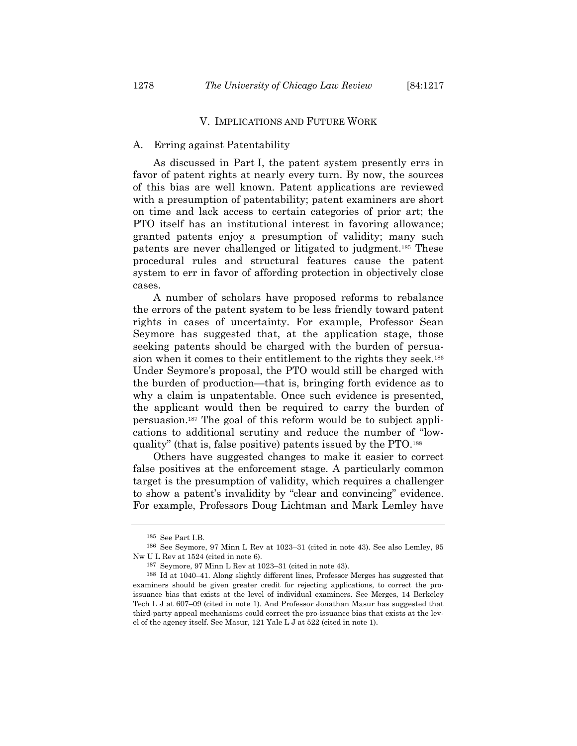#### V. IMPLICATIONS AND FUTURE WORK

#### A. Erring against Patentability

As discussed in Part I, the patent system presently errs in favor of patent rights at nearly every turn. By now, the sources of this bias are well known. Patent applications are reviewed with a presumption of patentability; patent examiners are short on time and lack access to certain categories of prior art; the PTO itself has an institutional interest in favoring allowance; granted patents enjoy a presumption of validity; many such patents are never challenged or litigated to judgment.185 These procedural rules and structural features cause the patent system to err in favor of affording protection in objectively close cases.

A number of scholars have proposed reforms to rebalance the errors of the patent system to be less friendly toward patent rights in cases of uncertainty. For example, Professor Sean Seymore has suggested that, at the application stage, those seeking patents should be charged with the burden of persuasion when it comes to their entitlement to the rights they seek.<sup>186</sup> Under Seymore's proposal, the PTO would still be charged with the burden of production—that is, bringing forth evidence as to why a claim is unpatentable. Once such evidence is presented, the applicant would then be required to carry the burden of persuasion.187 The goal of this reform would be to subject applications to additional scrutiny and reduce the number of "lowquality" (that is, false positive) patents issued by the PTO.188

Others have suggested changes to make it easier to correct false positives at the enforcement stage. A particularly common target is the presumption of validity, which requires a challenger to show a patent's invalidity by "clear and convincing" evidence. For example, Professors Doug Lichtman and Mark Lemley have

<sup>185</sup> See Part I.B.

<sup>186</sup> See Seymore, 97 Minn L Rev at 1023–31 (cited in note 43). See also Lemley, 95 Nw U L Rev at 1524 (cited in note 6).

<sup>187</sup> Seymore, 97 Minn L Rev at 1023–31 (cited in note 43).

<sup>188</sup> Id at 1040–41. Along slightly different lines, Professor Merges has suggested that examiners should be given greater credit for rejecting applications, to correct the proissuance bias that exists at the level of individual examiners. See Merges, 14 Berkeley Tech L J at 607–09 (cited in note 1). And Professor Jonathan Masur has suggested that third-party appeal mechanisms could correct the pro-issuance bias that exists at the level of the agency itself. See Masur, 121 Yale L J at 522 (cited in note 1).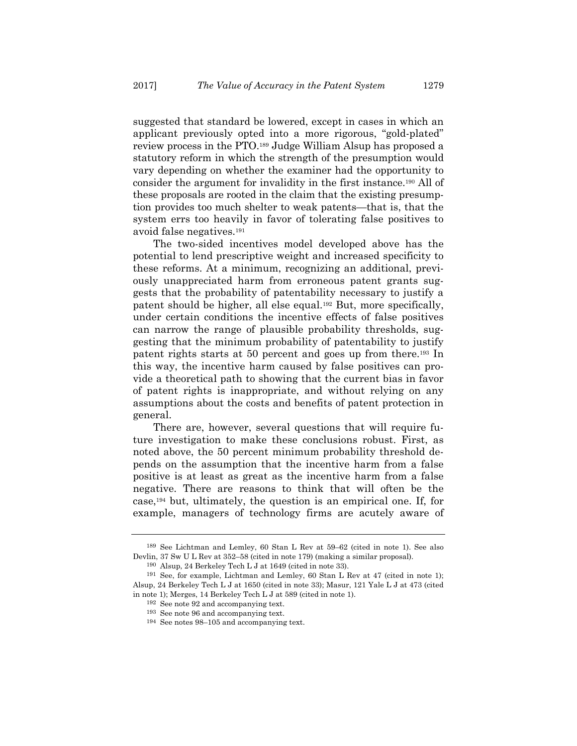suggested that standard be lowered, except in cases in which an applicant previously opted into a more rigorous, "gold-plated" review process in the PTO.189 Judge William Alsup has proposed a statutory reform in which the strength of the presumption would vary depending on whether the examiner had the opportunity to consider the argument for invalidity in the first instance.190 All of these proposals are rooted in the claim that the existing presumption provides too much shelter to weak patents—that is, that the system errs too heavily in favor of tolerating false positives to avoid false negatives.191

The two-sided incentives model developed above has the potential to lend prescriptive weight and increased specificity to these reforms. At a minimum, recognizing an additional, previously unappreciated harm from erroneous patent grants suggests that the probability of patentability necessary to justify a patent should be higher, all else equal.192 But, more specifically, under certain conditions the incentive effects of false positives can narrow the range of plausible probability thresholds, suggesting that the minimum probability of patentability to justify patent rights starts at 50 percent and goes up from there.193 In this way, the incentive harm caused by false positives can provide a theoretical path to showing that the current bias in favor of patent rights is inappropriate, and without relying on any assumptions about the costs and benefits of patent protection in general.

There are, however, several questions that will require future investigation to make these conclusions robust. First, as noted above, the 50 percent minimum probability threshold depends on the assumption that the incentive harm from a false positive is at least as great as the incentive harm from a false negative. There are reasons to think that will often be the case,194 but, ultimately, the question is an empirical one. If, for example, managers of technology firms are acutely aware of

<sup>189</sup> See Lichtman and Lemley, 60 Stan L Rev at 59–62 (cited in note 1). See also Devlin, 37 Sw U L Rev at 352–58 (cited in note 179) (making a similar proposal).

<sup>190</sup> Alsup, 24 Berkeley Tech L J at 1649 (cited in note 33).

<sup>191</sup> See, for example, Lichtman and Lemley, 60 Stan L Rev at 47 (cited in note 1); Alsup, 24 Berkeley Tech L J at 1650 (cited in note 33); Masur, 121 Yale L J at 473 (cited in note 1); Merges, 14 Berkeley Tech L J at 589 (cited in note 1).

<sup>192</sup> See note 92 and accompanying text.

<sup>193</sup> See note 96 and accompanying text.

<sup>194</sup> See notes 98–105 and accompanying text.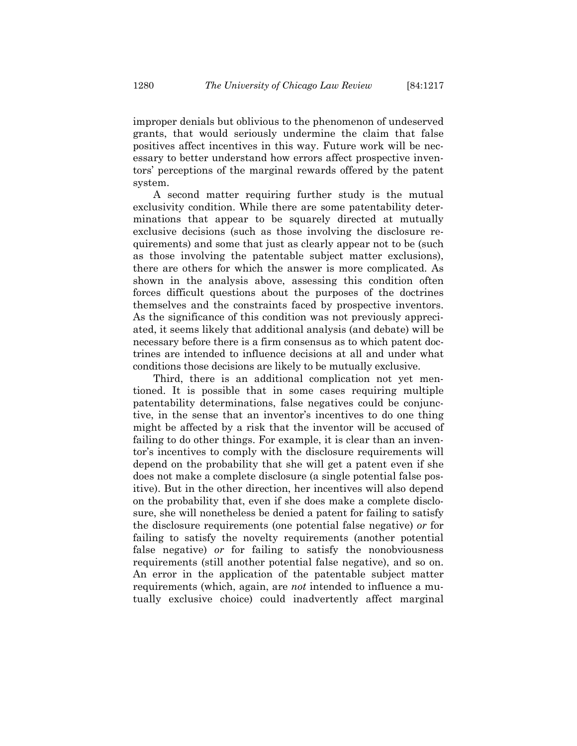improper denials but oblivious to the phenomenon of undeserved grants, that would seriously undermine the claim that false positives affect incentives in this way. Future work will be necessary to better understand how errors affect prospective inventors' perceptions of the marginal rewards offered by the patent system.

A second matter requiring further study is the mutual exclusivity condition. While there are some patentability determinations that appear to be squarely directed at mutually exclusive decisions (such as those involving the disclosure requirements) and some that just as clearly appear not to be (such as those involving the patentable subject matter exclusions), there are others for which the answer is more complicated. As shown in the analysis above, assessing this condition often forces difficult questions about the purposes of the doctrines themselves and the constraints faced by prospective inventors. As the significance of this condition was not previously appreciated, it seems likely that additional analysis (and debate) will be necessary before there is a firm consensus as to which patent doctrines are intended to influence decisions at all and under what conditions those decisions are likely to be mutually exclusive.

Third, there is an additional complication not yet mentioned. It is possible that in some cases requiring multiple patentability determinations, false negatives could be conjunctive, in the sense that an inventor's incentives to do one thing might be affected by a risk that the inventor will be accused of failing to do other things. For example, it is clear than an inventor's incentives to comply with the disclosure requirements will depend on the probability that she will get a patent even if she does not make a complete disclosure (a single potential false positive). But in the other direction, her incentives will also depend on the probability that, even if she does make a complete disclosure, she will nonetheless be denied a patent for failing to satisfy the disclosure requirements (one potential false negative) *or* for failing to satisfy the novelty requirements (another potential false negative) *or* for failing to satisfy the nonobviousness requirements (still another potential false negative), and so on. An error in the application of the patentable subject matter requirements (which, again, are *not* intended to influence a mutually exclusive choice) could inadvertently affect marginal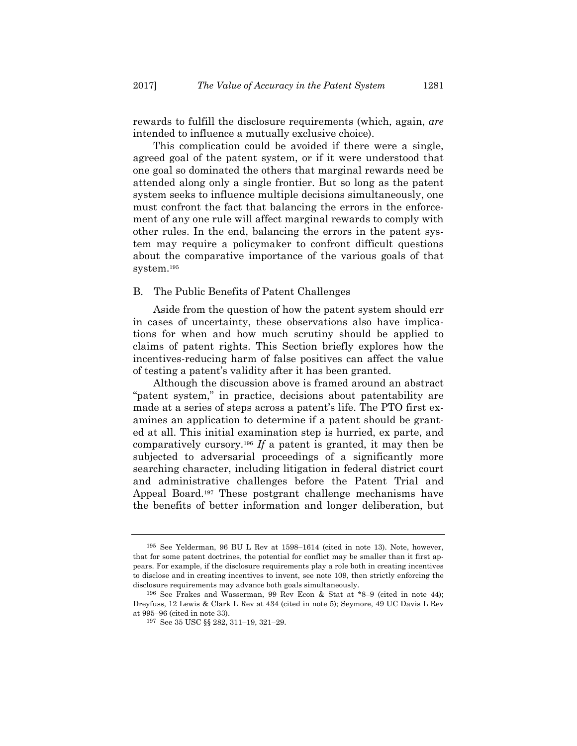rewards to fulfill the disclosure requirements (which, again, *are* intended to influence a mutually exclusive choice).

This complication could be avoided if there were a single, agreed goal of the patent system, or if it were understood that one goal so dominated the others that marginal rewards need be attended along only a single frontier. But so long as the patent system seeks to influence multiple decisions simultaneously, one must confront the fact that balancing the errors in the enforcement of any one rule will affect marginal rewards to comply with other rules. In the end, balancing the errors in the patent system may require a policymaker to confront difficult questions about the comparative importance of the various goals of that system.195

#### B. The Public Benefits of Patent Challenges

Aside from the question of how the patent system should err in cases of uncertainty, these observations also have implications for when and how much scrutiny should be applied to claims of patent rights. This Section briefly explores how the incentives-reducing harm of false positives can affect the value of testing a patent's validity after it has been granted.

Although the discussion above is framed around an abstract "patent system," in practice, decisions about patentability are made at a series of steps across a patent's life. The PTO first examines an application to determine if a patent should be granted at all. This initial examination step is hurried, ex parte, and comparatively cursory.196 *If* a patent is granted, it may then be subjected to adversarial proceedings of a significantly more searching character, including litigation in federal district court and administrative challenges before the Patent Trial and Appeal Board.197 These postgrant challenge mechanisms have the benefits of better information and longer deliberation, but

<sup>195</sup> See Yelderman, 96 BU L Rev at 1598–1614 (cited in note 13). Note, however, that for some patent doctrines, the potential for conflict may be smaller than it first appears. For example, if the disclosure requirements play a role both in creating incentives to disclose and in creating incentives to invent, see note 109, then strictly enforcing the disclosure requirements may advance both goals simultaneously.

<sup>196</sup> See Frakes and Wasserman, 99 Rev Econ & Stat at \*8–9 (cited in note 44); Dreyfuss, 12 Lewis & Clark L Rev at 434 (cited in note 5); Seymore, 49 UC Davis L Rev at 995–96 (cited in note 33). 197 See 35 USC §§ 282, 311–19, 321–29.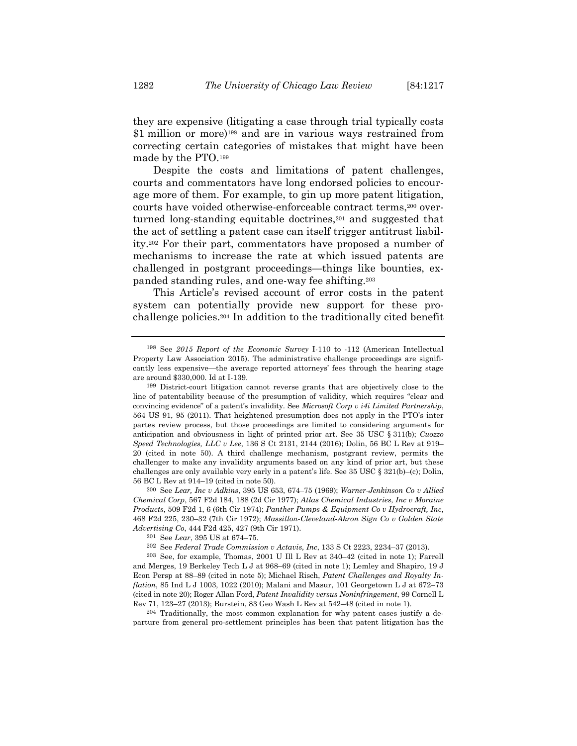they are expensive (litigating a case through trial typically costs \$1 million or more)<sup>198</sup> and are in various ways restrained from correcting certain categories of mistakes that might have been made by the PTO.199

Despite the costs and limitations of patent challenges, courts and commentators have long endorsed policies to encourage more of them. For example, to gin up more patent litigation, courts have voided otherwise-enforceable contract terms,200 overturned long-standing equitable doctrines,<sup>201</sup> and suggested that the act of settling a patent case can itself trigger antitrust liability.202 For their part, commentators have proposed a number of mechanisms to increase the rate at which issued patents are challenged in postgrant proceedings—things like bounties, expanded standing rules, and one-way fee shifting.203

This Article's revised account of error costs in the patent system can potentially provide new support for these prochallenge policies.204 In addition to the traditionally cited benefit

200 See *Lear, Inc v Adkins*, 395 US 653, 674–75 (1969); *Warner-Jenkinson Co v Allied Chemical Corp*, 567 F2d 184, 188 (2d Cir 1977); *Atlas Chemical Industries, Inc v Moraine Products*, 509 F2d 1, 6 (6th Cir 1974); *Panther Pumps & Equipment Co v Hydrocraft, Inc*, 468 F2d 225, 230–32 (7th Cir 1972); *Massillon-Cleveland-Akron Sign Co v Golden State Advertising Co*, 444 F2d 425, 427 (9th Cir 1971).

202 See *Federal Trade Commission v Actavis, Inc*, 133 S Ct 2223, 2234–37 (2013).

203 See, for example, Thomas, 2001 U Ill L Rev at 340–42 (cited in note 1); Farrell and Merges, 19 Berkeley Tech L J at 968–69 (cited in note 1); Lemley and Shapiro, 19 J Econ Persp at 88–89 (cited in note 5); Michael Risch, *Patent Challenges and Royalty Inflation*, 85 Ind L J 1003, 1022 (2010); Malani and Masur, 101 Georgetown L J at 672–73 (cited in note 20); Roger Allan Ford, *Patent Invalidity versus Noninfringement*, 99 Cornell L Rev 71, 123–27 (2013); Burstein, 83 Geo Wash L Rev at 542–48 (cited in note 1).

204 Traditionally, the most common explanation for why patent cases justify a departure from general pro-settlement principles has been that patent litigation has the

<sup>198</sup> See *2015 Report of the Economic Survey* I-110 to -112 (American Intellectual Property Law Association 2015). The administrative challenge proceedings are significantly less expensive—the average reported attorneys' fees through the hearing stage are around \$330,000. Id at I-139.

<sup>199</sup> District-court litigation cannot reverse grants that are objectively close to the line of patentability because of the presumption of validity, which requires "clear and convincing evidence" of a patent's invalidity. See *Microsoft Corp v i4i Limited Partnership*, 564 US 91, 95 (2011). That heightened presumption does not apply in the PTO's inter partes review process, but those proceedings are limited to considering arguments for anticipation and obviousness in light of printed prior art. See 35 USC § 311(b); *Cuozzo Speed Technologies, LLC v Lee*, 136 S Ct 2131, 2144 (2016); Dolin, 56 BC L Rev at 919– 20 (cited in note 50). A third challenge mechanism, postgrant review, permits the challenger to make any invalidity arguments based on any kind of prior art, but these challenges are only available very early in a patent's life. See 35 USC § 321(b)–(c); Dolin, 56 BC L Rev at 914–19 (cited in note 50).

<sup>201</sup> See *Lear*, 395 US at 674–75.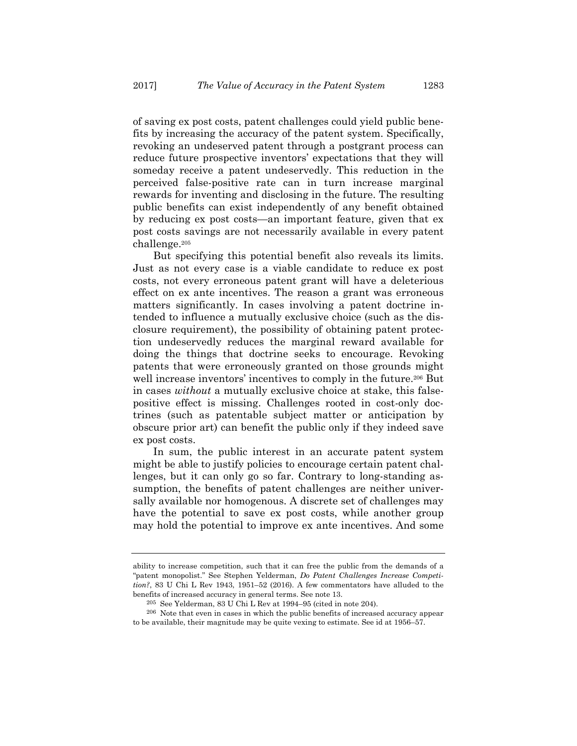of saving ex post costs, patent challenges could yield public benefits by increasing the accuracy of the patent system. Specifically, revoking an undeserved patent through a postgrant process can reduce future prospective inventors' expectations that they will someday receive a patent undeservedly. This reduction in the perceived false-positive rate can in turn increase marginal rewards for inventing and disclosing in the future. The resulting public benefits can exist independently of any benefit obtained by reducing ex post costs—an important feature, given that ex post costs savings are not necessarily available in every patent challenge.205

But specifying this potential benefit also reveals its limits. Just as not every case is a viable candidate to reduce ex post costs, not every erroneous patent grant will have a deleterious effect on ex ante incentives. The reason a grant was erroneous matters significantly. In cases involving a patent doctrine intended to influence a mutually exclusive choice (such as the disclosure requirement), the possibility of obtaining patent protection undeservedly reduces the marginal reward available for doing the things that doctrine seeks to encourage. Revoking patents that were erroneously granted on those grounds might well increase inventors' incentives to comply in the future.<sup>206</sup> But in cases *without* a mutually exclusive choice at stake, this falsepositive effect is missing. Challenges rooted in cost-only doctrines (such as patentable subject matter or anticipation by obscure prior art) can benefit the public only if they indeed save ex post costs.

In sum, the public interest in an accurate patent system might be able to justify policies to encourage certain patent challenges, but it can only go so far. Contrary to long-standing assumption, the benefits of patent challenges are neither universally available nor homogenous. A discrete set of challenges may have the potential to save ex post costs, while another group may hold the potential to improve ex ante incentives. And some

ability to increase competition, such that it can free the public from the demands of a "patent monopolist." See Stephen Yelderman, *Do Patent Challenges Increase Competition?*, 83 U Chi L Rev 1943, 1951–52 (2016). A few commentators have alluded to the benefits of increased accuracy in general terms. See note 13.

<sup>205</sup> See Yelderman, 83 U Chi L Rev at 1994–95 (cited in note 204).

<sup>206</sup> Note that even in cases in which the public benefits of increased accuracy appear to be available, their magnitude may be quite vexing to estimate. See id at 1956–57.